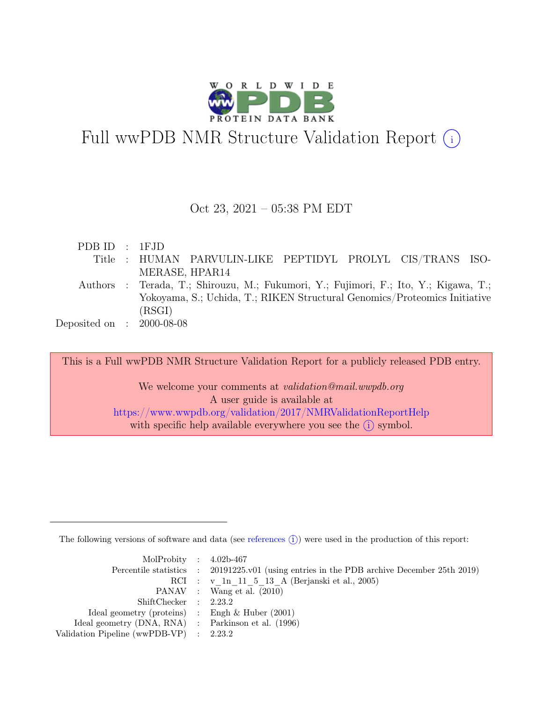

# Full wwPDB NMR Structure Validation Report (i)

#### Oct 23, 2021 – 05:38 PM EDT

| PDBID : IFJD                |                                                                                      |
|-----------------------------|--------------------------------------------------------------------------------------|
|                             | Title : HUMAN PARVULIN-LIKE PEPTIDYL PROLYL CIS/TRANS ISO-                           |
|                             | MERASE, HPAR14                                                                       |
|                             | Authors : Terada, T.; Shirouzu, M.; Fukumori, Y.; Fujimori, F.; Ito, Y.; Kigawa, T.; |
|                             | Yokoyama, S.; Uchida, T.; RIKEN Structural Genomics/Proteomics Initiative            |
|                             | (RSGI)                                                                               |
| Deposited on : $2000-08-08$ |                                                                                      |

This is a Full wwPDB NMR Structure Validation Report for a publicly released PDB entry.

We welcome your comments at *validation@mail.wwpdb.org* A user guide is available at <https://www.wwpdb.org/validation/2017/NMRValidationReportHelp> with specific help available everywhere you see the  $(i)$  symbol.

The following versions of software and data (see [references](https://www.wwpdb.org/validation/2017/NMRValidationReportHelp#references)  $\hat{I}$ ) were used in the production of this report:

| MolProbity : $4.02b-467$                            |                                                                                            |
|-----------------------------------------------------|--------------------------------------------------------------------------------------------|
|                                                     | Percentile statistics : 20191225.v01 (using entries in the PDB archive December 25th 2019) |
|                                                     | RCI : v 1n 11 5 13 A (Berjanski et al., 2005)                                              |
|                                                     | PANAV : Wang et al. (2010)                                                                 |
| ShiftChecker : 2.23.2                               |                                                                                            |
| Ideal geometry (proteins) : Engh $\&$ Huber (2001)  |                                                                                            |
| Ideal geometry (DNA, RNA) : Parkinson et al. (1996) |                                                                                            |
| Validation Pipeline (wwPDB-VP) : $2.23.2$           |                                                                                            |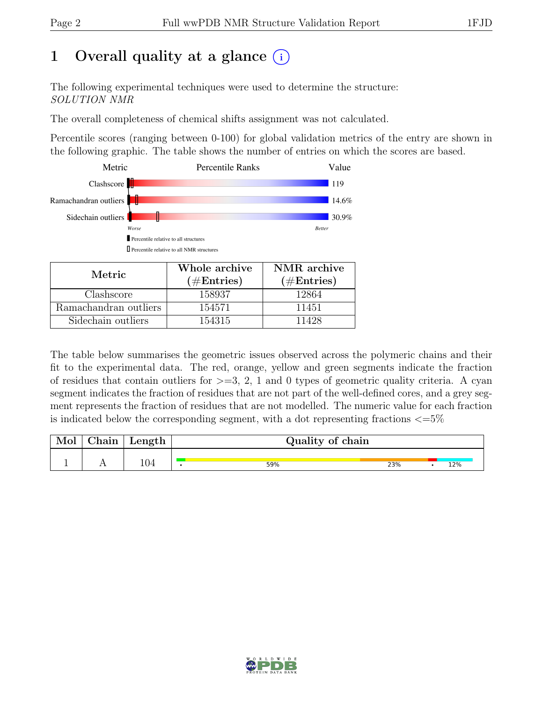### 1 Overall quality at a glance  $(i)$

The following experimental techniques were used to determine the structure: SOLUTION NMR

The overall completeness of chemical shifts assignment was not calculated.

Percentile scores (ranging between 0-100) for global validation metrics of the entry are shown in the following graphic. The table shows the number of entries on which the scores are based.



| Metric.               | Whole archive<br>$(\#Entries)$ | NMR archive<br>$(\#Entries)$ |  |  |
|-----------------------|--------------------------------|------------------------------|--|--|
| Clashscore            | 158937                         | 12864                        |  |  |
| Ramachandran outliers | 154571                         | 11451                        |  |  |
| Sidechain outliers    | 154315                         | 11428                        |  |  |

The table below summarises the geometric issues observed across the polymeric chains and their fit to the experimental data. The red, orange, yellow and green segments indicate the fraction of residues that contain outliers for  $>=$  3, 2, 1 and 0 types of geometric quality criteria. A cyan segment indicates the fraction of residues that are not part of the well-defined cores, and a grey segment represents the fraction of residues that are not modelled. The numeric value for each fraction is indicated below the corresponding segment, with a dot representing fractions  $\langle=5\%$ 

| Mol | Chain | $\mathsf{Length}_{\perp}$ | Quality of chain |     |  |     |  |  |
|-----|-------|---------------------------|------------------|-----|--|-----|--|--|
|     |       |                           | 59%              | 23% |  | 12% |  |  |

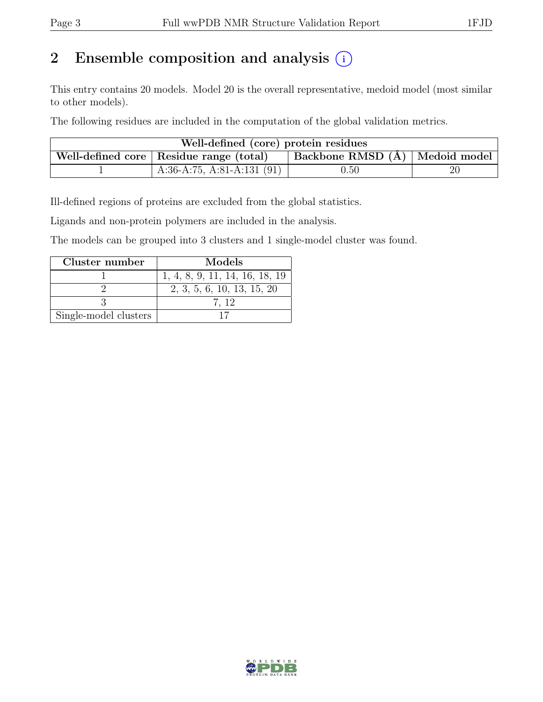### 2 Ensemble composition and analysis  $(i)$

This entry contains 20 models. Model 20 is the overall representative, medoid model (most similar to other models).

The following residues are included in the computation of the global validation metrics.

| Well-defined (core) protein residues                                                  |                              |          |    |  |  |  |  |
|---------------------------------------------------------------------------------------|------------------------------|----------|----|--|--|--|--|
| $\vert$ Backbone RMSD $(A)$ Medoid model<br>Well-defined core   Residue range (total) |                              |          |    |  |  |  |  |
|                                                                                       | A:36-A:75, A:81-A:131 $(91)$ | $0.50\,$ | 20 |  |  |  |  |

Ill-defined regions of proteins are excluded from the global statistics.

Ligands and non-protein polymers are included in the analysis.

The models can be grouped into 3 clusters and 1 single-model cluster was found.

| Cluster number        | Models                         |
|-----------------------|--------------------------------|
|                       | 1, 4, 8, 9, 11, 14, 16, 18, 19 |
|                       | 2, 3, 5, 6, 10, 13, 15, 20     |
|                       | 7. 12                          |
| Single-model clusters |                                |

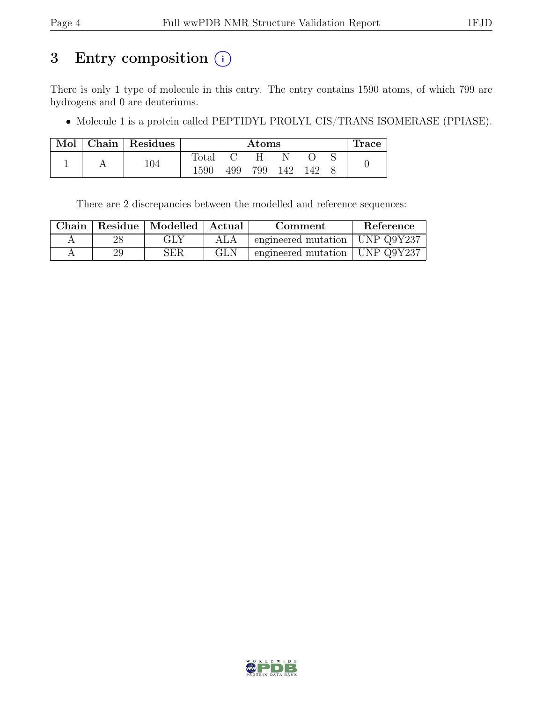### 3 Entry composition  $(i)$

There is only 1 type of molecule in this entry. The entry contains 1590 atoms, of which 799 are hydrogens and 0 are deuteriums.

• Molecule 1 is a protein called PEPTIDYL PROLYL CIS/TRANS ISOMERASE (PPIASE).

| Mol | $\vert$ Chain $\vert$ Residues |              | $\rm{Atoms}$ |     |     |     | Trace |  |
|-----|--------------------------------|--------------|--------------|-----|-----|-----|-------|--|
|     | 104                            | <b>Total</b> |              |     |     |     |       |  |
|     |                                | 1590         | 499          | 799 | 142 | 142 |       |  |

There are 2 discrepancies between the modelled and reference sequences:

| Chain |    |     |            | Residue   Modelled   Actual<br>Comment |  | Reference |
|-------|----|-----|------------|----------------------------------------|--|-----------|
|       |    | GLY | ALA        | engineered mutation   UNP Q9Y237       |  |           |
|       | 29 | SER | <b>GLN</b> | engineered mutation   UNP Q9Y237       |  |           |

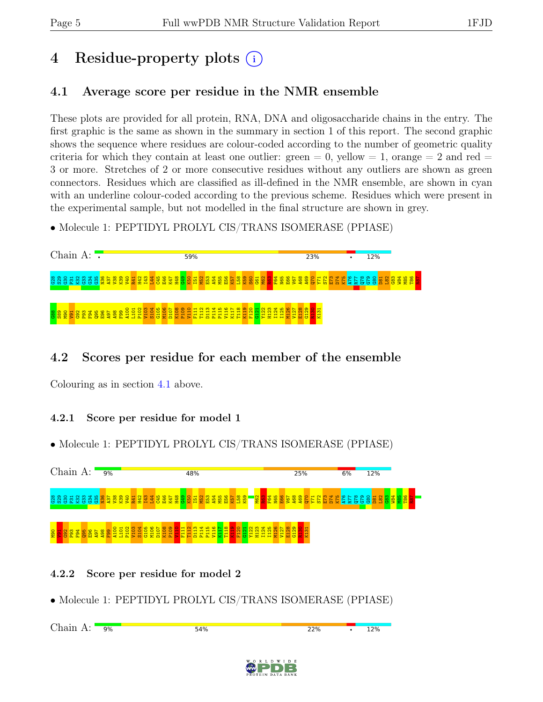# 4 Residue-property plots (i)

### <span id="page-4-0"></span>4.1 Average score per residue in the NMR ensemble

These plots are provided for all protein, RNA, DNA and oligosaccharide chains in the entry. The first graphic is the same as shown in the summary in section 1 of this report. The second graphic shows the sequence where residues are colour-coded according to the number of geometric quality criteria for which they contain at least one outlier:  $green = 0$ ,  $yellow = 1$ ,  $orange = 2$  and  $red =$ 3 or more. Stretches of 2 or more consecutive residues without any outliers are shown as green connectors. Residues which are classified as ill-defined in the NMR ensemble, are shown in cyan with an underline colour-coded according to the previous scheme. Residues which were present in the experimental sample, but not modelled in the final structure are shown in grey.

• Molecule 1: PEPTIDYL PROLYL CIS/TRANS ISOMERASE (PPIASE)



### 4.2 Scores per residue for each member of the ensemble

Colouring as in section [4.1](#page-4-0) above.

#### 4.2.1 Score per residue for model 1





#### 4.2.2 Score per residue for model 2

Chain A: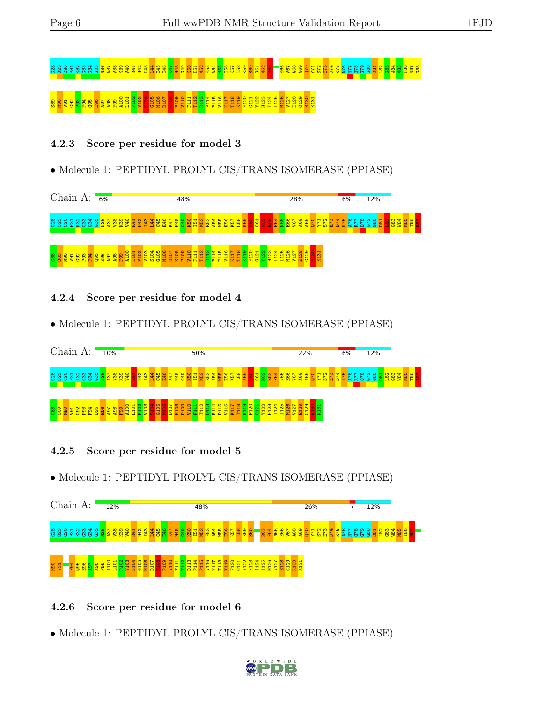# G28 S29 G30 P31 K32 G33 G34 G35 N36 A37 V38 K39 V40 R41 H42 I43 L44 C45 E46 K47 H48 G49 K50 I51 M52 E53 A54 M55 E56 K57 L58 K59 S60 G61 M62 R63 E66 V67 A68 A69 Q70 Y71 S72 E73 D74 K75 A76 R77 Q78 G79 G80 D81 L82 G83 W84 M85 T86 R87 G88  $88\%$   $89\%$   $298\%$   $291$ 12  $293\%$   $299\%$   $299\%$   $299\%$   $299\%$

#### 4.2.3 Score per residue for model 3

• Molecule 1: PEPTIDYL PROLYL CIS/TRANS ISOMERASE (PPIASE)



4.2.4 Score per residue for model 4

• Molecule 1: PEPTIDYL PROLYL CIS/TRANS ISOMERASE (PPIASE)



4.2.5 Score per residue for model 5

• Molecule 1: PEPTIDYL PROLYL CIS/TRANS ISOMERASE (PPIASE)



#### 4.2.6 Score per residue for model 6

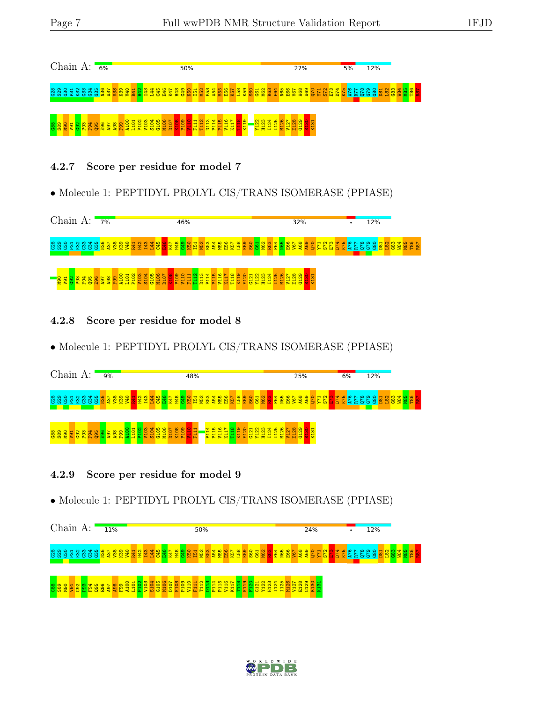

#### 4.2.7 Score per residue for model 7

• Molecule 1: PEPTIDYL PROLYL CIS/TRANS ISOMERASE (PPIASE)



#### 4.2.8 Score per residue for model 8

• Molecule 1: PEPTIDYL PROLYL CIS/TRANS ISOMERASE (PPIASE)



#### 4.2.9 Score per residue for model 9



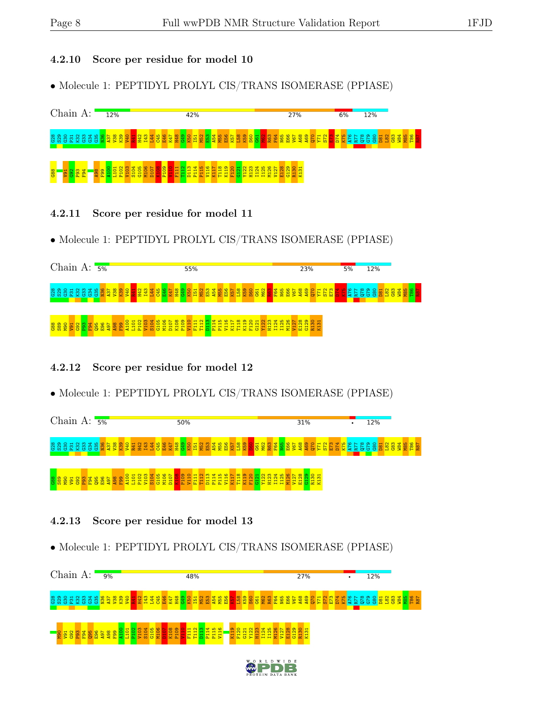#### 4.2.10 Score per residue for model 10

• Molecule 1: PEPTIDYL PROLYL CIS/TRANS ISOMERASE (PPIASE)



- 4.2.11 Score per residue for model 11
- Molecule 1: PEPTIDYL PROLYL CIS/TRANS ISOMERASE (PPIASE)



- 4.2.12 Score per residue for model 12
- Molecule 1: PEPTIDYL PROLYL CIS/TRANS ISOMERASE (PPIASE)



#### 4.2.13 Score per residue for model 13

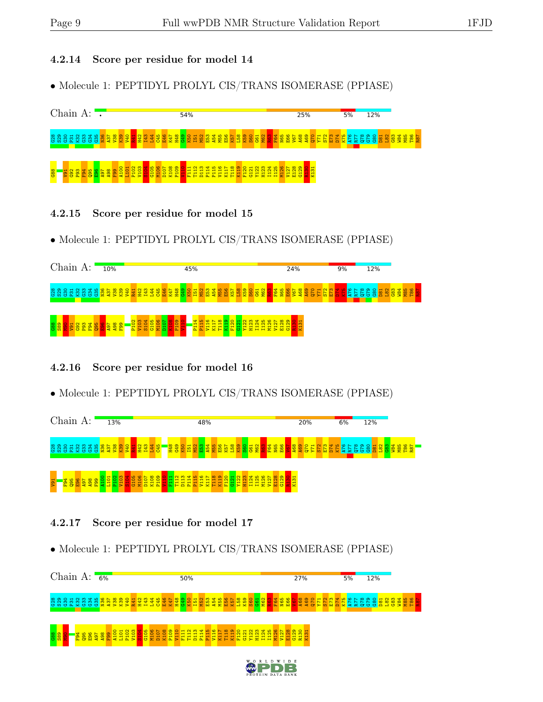#### 4.2.14 Score per residue for model 14

• Molecule 1: PEPTIDYL PROLYL CIS/TRANS ISOMERASE (PPIASE)



- 4.2.15 Score per residue for model 15
- Molecule 1: PEPTIDYL PROLYL CIS/TRANS ISOMERASE (PPIASE)



- 4.2.16 Score per residue for model 16
- Molecule 1: PEPTIDYL PROLYL CIS/TRANS ISOMERASE (PPIASE)



#### 4.2.17 Score per residue for model 17

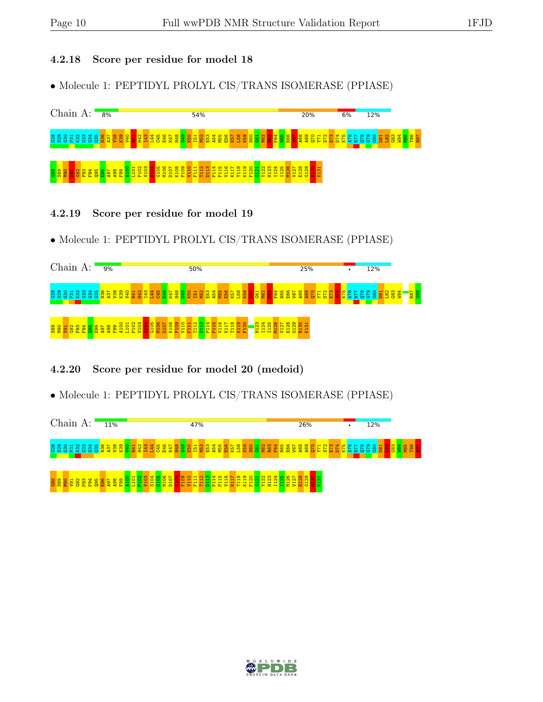#### 4.2.18 Score per residue for model 18

• Molecule 1: PEPTIDYL PROLYL CIS/TRANS ISOMERASE (PPIASE)



- 4.2.19 Score per residue for model 19
- Molecule 1: PEPTIDYL PROLYL CIS/TRANS ISOMERASE (PPIASE)



#### 4.2.20 Score per residue for model 20 (medoid)



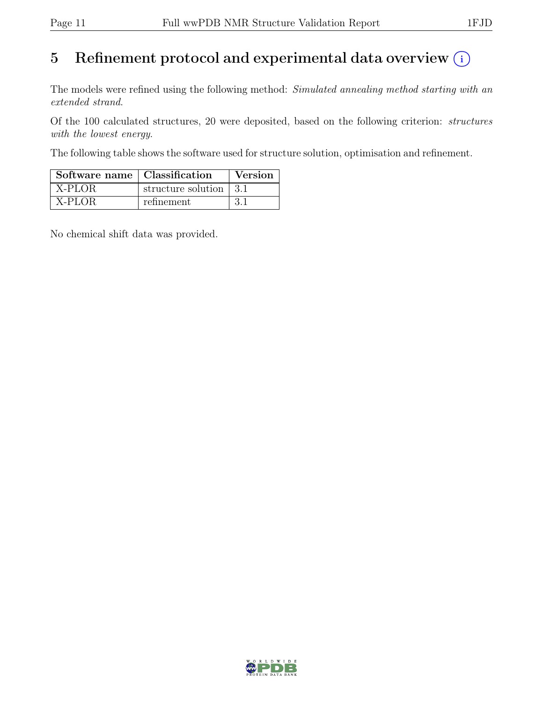# 5 Refinement protocol and experimental data overview  $\odot$

The models were refined using the following method: Simulated annealing method starting with an extended strand.

Of the 100 calculated structures, 20 were deposited, based on the following criterion: structures with the lowest energy.

The following table shows the software used for structure solution, optimisation and refinement.

| Software name   Classification |                        | Version |  |
|--------------------------------|------------------------|---------|--|
| $\overline{X}$ -PLOR           | structure solution 3.1 |         |  |
| X-PLOR                         | refinement             | -3.1    |  |

No chemical shift data was provided.

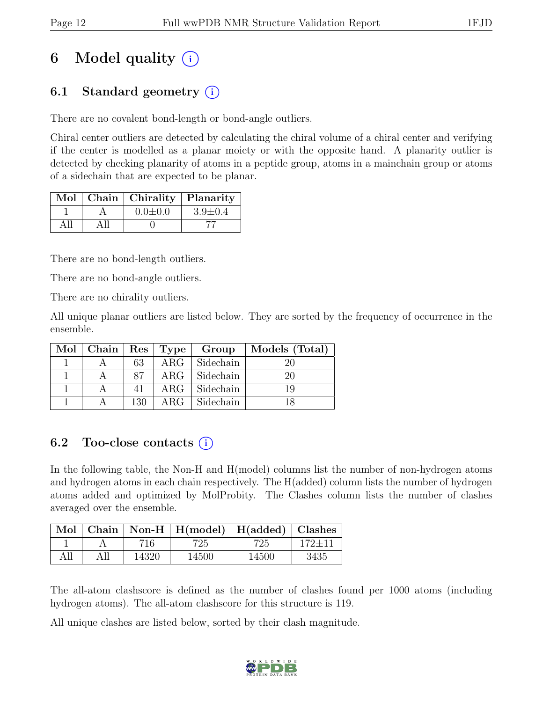# 6 Model quality  $(i)$

### 6.1 Standard geometry  $(i)$

There are no covalent bond-length or bond-angle outliers.

Chiral center outliers are detected by calculating the chiral volume of a chiral center and verifying if the center is modelled as a planar moiety or with the opposite hand. A planarity outlier is detected by checking planarity of atoms in a peptide group, atoms in a mainchain group or atoms of a sidechain that are expected to be planar.

|  | Mol   Chain   Chirality   Planarity |               |
|--|-------------------------------------|---------------|
|  | $0.0 \pm 0.0$                       | $3.9 \pm 0.4$ |
|  |                                     |               |

There are no bond-length outliers.

There are no bond-angle outliers.

There are no chirality outliers.

All unique planar outliers are listed below. They are sorted by the frequency of occurrence in the ensemble.

| $Mol$   Chain   Res   Type |     |                  | Group     | Models (Total) |
|----------------------------|-----|------------------|-----------|----------------|
|                            | 63  | ARG <sub>2</sub> | Sidechain |                |
|                            | 87  | $\rm{ARG}$       | Sidechain |                |
|                            |     | $\rm{ARG}$       | Sidechain |                |
|                            | 130 | ARG <sub>1</sub> | Sidechain |                |

### 6.2 Too-close contacts  $(i)$

In the following table, the Non-H and H(model) columns list the number of non-hydrogen atoms and hydrogen atoms in each chain respectively. The H(added) column lists the number of hydrogen atoms added and optimized by MolProbity. The Clashes column lists the number of clashes averaged over the ensemble.

| Mol |       | $\vert$ Chain $\vert$ Non-H $\vert$ H(model) $\vert$ H(added) $\vert$ Clashes |       |            |
|-----|-------|-------------------------------------------------------------------------------|-------|------------|
|     | 716   | 725                                                                           | 725   | $172 + 11$ |
| All | 14320 | 14500                                                                         | 14500 | 3435       |

The all-atom clashscore is defined as the number of clashes found per 1000 atoms (including hydrogen atoms). The all-atom clashscore for this structure is 119.

All unique clashes are listed below, sorted by their clash magnitude.

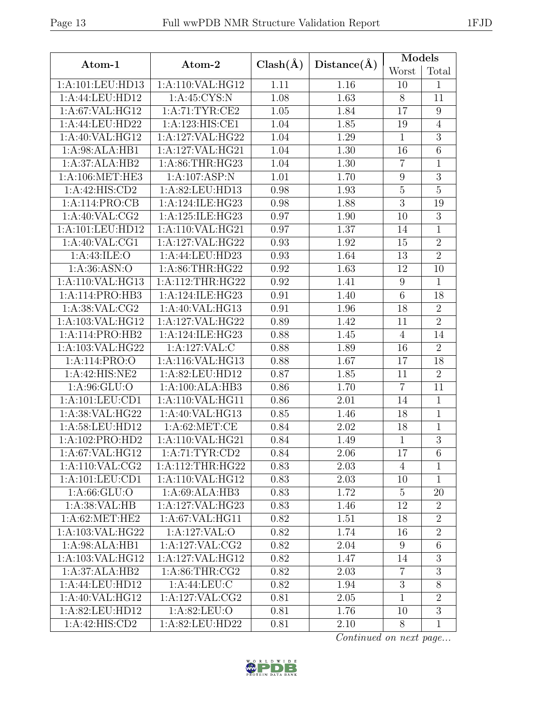| Atom-1<br>Atom-2                                                        | <b>Models</b>    |                 |
|-------------------------------------------------------------------------|------------------|-----------------|
| $Clash(\AA)$<br>Distance(A)                                             | Worst            | Total           |
| 1:A:110:VAL:HG12<br>1:A:101:LEU:HD13<br>1.11<br>1.16                    | 10               | $\mathbf{1}$    |
| 1:A:44:LEU:HD12<br>1: A:45: CYS:N<br>1.08<br>1.63                       | 8                | 11              |
| 1: A:67: VAL: HG12<br>1: A:71:TYR:CE2<br>1.05<br>1.84                   | 17               | 9               |
| 1.85<br>1:A:44:LEU:HD22<br>1:A:123:HIS:CE1<br>1.04                      | 19               | $\overline{4}$  |
| 1.29<br>1:A:40:VAL:HG12<br>1:A:127:VAL:HG22<br>1.04                     | $\mathbf{1}$     | $\overline{3}$  |
| 1:A:98:ALA:HB1<br>1:A:127:VAL:HG21<br>1.04<br>1.30                      | 16               | $6\phantom{.}$  |
| 1:A:37:ALA:HB2<br>1: A:86:THR:HG23<br>1.04<br>1.30                      | $\overline{7}$   | $\mathbf{1}$    |
| 1:A:106:MET:HE3<br>1:A:107:ASP:N<br>1.01<br>1.70                        | 9                | 3               |
| 1:A:42:HIS:CD2<br>1:A:82:LEU:HD13<br>0.98<br>1.93                       | $\bf 5$          | $\overline{5}$  |
| 1:A:124:ILE:HG23<br>1.88<br>1:A:114:PRO:CB<br>0.98                      | $\overline{3}$   | 19              |
| 1: A:40: VAL: CG2<br>1:A:125:ILE:HG23<br>0.97<br>1.90                   | 10               | $\overline{3}$  |
| 1:A:101:LEU:HD12<br>1:A:110:VAL:HG21<br>0.97<br>1.37                    | 14               | 1               |
| 0.93<br>1.92<br>1:A:40:VAL:CG1<br>1:A:127:VAL:HG22                      | 15               | $\overline{2}$  |
| 1.64<br>1:A:43:ILE:O<br>1:A:44:LEU:HD23<br>0.93                         | 13               | $\overline{2}$  |
| 1: A:86:THR:HG22<br>$\overline{1.63}$<br>1: A:36: ASN:O<br>0.92         | 12               | 10              |
| 1:A:110:VAL:HG13<br>1: A:112:THR:HG22<br>0.92<br>1.41                   | $\boldsymbol{9}$ | $\mathbf{1}$    |
| 0.91<br>1:A:114:PRO:HB3<br>1:A:124:ILE:HG23<br>$\overline{1.40}$        | $\overline{6}$   | 18              |
| 1:A:38:VAL:CG2<br>1:A:40:VAL:HG13<br>0.91<br>1.96                       | 18               | $\overline{2}$  |
| 1:A:103:VAL:HG12<br>1:A:127:VAL:HG22<br>0.89<br>1.42                    | 11               | $\overline{2}$  |
| 1:A:114:PRO:HB2<br>1:A:124:ILE:HG23<br>0.88<br>1.45                     | $\overline{4}$   | 14              |
| 0.88<br>1:A:103:VAL:HG22<br>1:A:127:VAL:C<br>1.89                       | 16               | $\overline{2}$  |
| 1:A:116:VAL:HG13<br>0.88<br>1.67<br>1:A:114:PRO:O                       | 17               | $\overline{18}$ |
| 1:A:42:HIS:NE2<br>1:A:82:LEU:HD12<br>0.87<br>1.85                       | 11               | $\overline{2}$  |
| 1:A:100:ALA:HB3<br>1: A:96: GLU:O<br>0.86<br>1.70                       | $\overline{7}$   | 11              |
| 1:A:101:LEU:CD1<br>1:A:110:VAL:HG11<br>0.86<br>2.01                     | 14               | $\mathbf{1}$    |
| 1:A:38:VAL:HG22<br>1:A:40:VAL:HG13<br>0.85<br>1.46                      | 18               | $\mathbf{1}$    |
| 1:A:58:LEU:HD12<br>1: A:62:MET:CE<br>0.84<br>2.02                       | 18               | $\mathbf{1}$    |
| 1:A:102:PRO:HD2<br>$1:A:110:\overline{\text{VAL}:HG21}$<br>0.84<br>1.49 | $\mathbf{1}$     | $\overline{3}$  |
| 1:A:67:VAL:HG12<br>1:A:71:TYR:CD2<br>0.84<br>2.06                       | 17               | 6               |
| 1: A:110: VAL: CG2<br>1: A:112:THR:HG22<br>0.83<br>2.03                 | $\overline{4}$   | $\mathbf{1}$    |
| 1: A: 101: LEU: CD1<br>1:A:110:VAL:HG12<br>0.83<br>2.03                 | 10               | $\mathbf{1}$    |
| 1: A:66: GLU:O<br>1:A:69:ALA:HB3<br>0.83<br>1.72                        | $\overline{5}$   | 20              |
| 1:A:38:VAL:HB<br>1:A:127:VAL:HG23<br>0.83<br>1.46                       | 12               | $\overline{2}$  |
| 1: A:62:MET:HE2<br>1:A:67:VAL:HG11<br>0.82<br>1.51                      | 18               | $\overline{2}$  |
| 1:A:103:VAL:HG22<br>1:A:127:VAL:O<br>0.82<br>1.74                       | 16               | $\overline{2}$  |
| 1:A:98:ALA:HB1<br>1:A:127:VAL:CG2<br>0.82<br>2.04                       | 9                | 6               |
| 1:A:103:VAL:HG12<br>1:A:127:VAL:HG12<br>0.82<br>1.47                    | 14               | 3               |
| 1:A:37:ALA:HB2<br>1: A:86:THR:CG2<br>0.82<br>2.03                       | $\overline{7}$   | 3               |
| 1:A:44:LEU:HD12<br>1: A:44:LEU:C<br>0.82<br>1.94                        | $\overline{3}$   | 8               |
| 1:A:40:VAL:HG12<br>1:A:127:VAL:CG2<br>0.81<br>2.05                      | $\mathbf{1}$     | $\overline{2}$  |
| 1:A:82:LEU:HD12<br>1: A:82: LEU:O<br>0.81<br>1.76                       | 10               | $\overline{3}$  |
| 1:A:42:HIS:CD2<br>1:A:82:LEU:HD22<br>0.81<br>2.10                       | 8                | $\mathbf{1}$    |

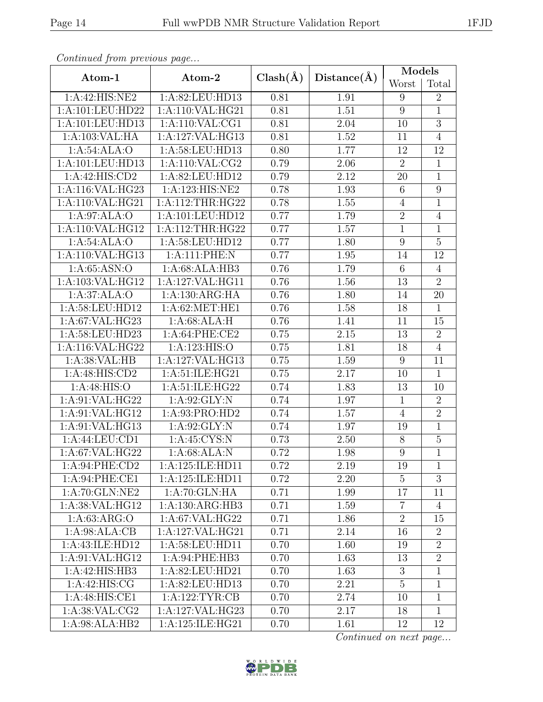| Continuation precious page   |                            |              | Distance(A) | Models           |                  |  |
|------------------------------|----------------------------|--------------|-------------|------------------|------------------|--|
| Atom-1                       | Atom-2                     | $Clash(\AA)$ |             | Worst            | Total            |  |
| 1:A:42:HIS:NE2               | 1:A:82:LEU:HD13            | 0.81         | 1.91        | 9                | $\overline{2}$   |  |
| 1:A:101:LEU:HD22             | 1:A:110:VAL:HG21           | 0.81         | 1.51        | 9                | $\mathbf{1}$     |  |
| 1:A:101:LEU:HD13             | 1:A:110:VAL:CG1            | 0.81         | 2.04        | 10               | $\overline{3}$   |  |
| 1:A:103:VAL:HA               | 1:A:127:VAL:HG13           | 0.81         | 1.52        | 11               | $\overline{4}$   |  |
| 1:A:54:ALA:O                 | 1:A:58:LEU:HD13            | 0.80         | 1.77        | 12               | 12               |  |
| 1:A:101:LEU:HD13             | 1:A:110:VAL:CG2            | 0.79         | 2.06        | $\overline{2}$   | $\mathbf{1}$     |  |
| 1:A:42:HIS:CD2               | 1:A:82:LEU:HD12            | 0.79         | 2.12        | 20               | $\overline{1}$   |  |
| 1:A:116:VAL:HG23             | 1:A:123:HIS:NE2            | 0.78         | 1.93        | $\,6\,$          | $\boldsymbol{9}$ |  |
| 1:A:110:VAL:HG21             | 1:A:112:THR:HG22           | 0.78         | 1.55        | $\overline{4}$   | $\overline{1}$   |  |
| 1:A:97:ALA:O                 | 1:A:101:LEU:HD12           | 0.77         | 1.79        | $\sqrt{2}$       | $\overline{4}$   |  |
| 1:A:110:VAL:HG12             | 1:A:112:THR:HG22           | 0.77         | $1.57\,$    | $\mathbf{1}$     | $\overline{1}$   |  |
| 1:A:54:ALA:O                 | 1:A:58:LEU:HD12            | 0.77         | 1.80        | $\boldsymbol{9}$ | $\overline{5}$   |  |
| 1:A:110:VAL:HG13             | 1:A:111:PHE:N              | 0.77         | 1.95        | 14               | 12               |  |
| 1: A:65: ASN:O               | 1:A:68:ALA:HB3             | 0.76         | 1.79        | $6\,$            | $\overline{4}$   |  |
| 1:A:103:VAL:HG12             | 1:A:127:VAL:HG11           | 0.76         | 1.56        | 13               | $\overline{2}$   |  |
| 1:A:37:ALA:O                 | 1:A:130:ARG:HA             | 0.76         | 1.80        | 14               | $\overline{20}$  |  |
| $1:A:\overline{58:LEU:HD12}$ | 1: A:62:MET:HE1            | 0.76         | 1.58        | 18               | $\mathbf{1}$     |  |
| 1:A:67:VAL:HG23              | 1:A:68:ALA:H               | 0.76         | 1.41        | 11               | 15               |  |
| 1:A:58:LEU:HD23              | 1:A:64:PHE:CE2             | 0.75         | $2.15\,$    | 13               | $\overline{2}$   |  |
| 1:A:116:VAL:HG22             | 1: A: 123: HIS: O          | 0.75         | 1.81        | 18               | $\overline{4}$   |  |
| 1: A:38: VAL:HB              | 1:A:127:VAL:HG13           | 0.75         | 1.59        | 9                | 11               |  |
| 1:A:48:HIS:CD2               | 1:A:51:ILE:HG21            | 0.75         | 2.17        | 10               | $\mathbf{1}$     |  |
| 1:A:48:HIS:O                 | 1:A:51:ILE:HG22            | 0.74         | 1.83        | 13               | 10               |  |
| 1:A:91:VAL:HG22              | 1: A:92: GLY:N             | 0.74         | 1.97        | $\mathbf{1}$     | $\overline{2}$   |  |
| 1:A:91:VAL:HG12              | 1:A:93:PRO:HD2             | 0.74         | 1.57        | $\overline{4}$   | $\overline{2}$   |  |
| 1:A:91:VAL:HG13              | 1: A:92: GLY:N             | 0.74         | 1.97        | 19               | $\overline{1}$   |  |
| 1:A:44:LEU:CD1               | $1: A:45:CYS:\overline{N}$ | 0.73         | 2.50        | $8\,$            | $\overline{5}$   |  |
| 1:A:67:VAL:HG22              | 1:A:68:ALA:N               | 0.72         | 1.98        | $\overline{9}$   | $\overline{1}$   |  |
| 1:A:94:PHE:CD2               | 1:A:125:ILE:HD11           | 0.72         | 2.19        | 19               | $\mathbf{1}$     |  |
| 1:A:94:PHE:CE1               | 1:A:125:ILE:HD11           | 0.72         | 2.20        | $\overline{5}$   | $\overline{3}$   |  |
| 1:A:70:GLN:NE2               | 1: A:70: GLN: HA           | 0.71         | 1.99        | 17               | 11               |  |
| 1:A:38:VAL:HG12              | 1:A:130:ARG:HB3            | 0.71         | 1.59        | $\overline{7}$   | $\overline{4}$   |  |
| 1: A:63: ARG:O               | 1: A:67: VAL: HG22         | 0.71         | 1.86        | $\sqrt{2}$       | 15               |  |
| 1: A:98: ALA:CB              | 1:A:127:VAL:HG21           | 0.71         | 2.14        | 16               | $\overline{2}$   |  |
| 1:A:43:ILE:HD12              | 1:A:58:LEU:HD11            | 0.70         | 1.60        | 19               | $\overline{2}$   |  |
| 1: A:91: VAL: HG12           | 1:A:94:PHE:HB3             | 0.70         | 1.63        | 13               | $\overline{2}$   |  |
| 1:A:42:HIS:HB3               | 1:A:82:LEU:HD21            | 0.70         | 1.63        | 3                | $\mathbf{1}$     |  |
| 1:A:42:HIS:CG                | 1:A:82:LEU:HD13            | 0.70         | 2.21        | $\overline{5}$   | $\mathbf{1}$     |  |
| 1:A:48:HIS:CE1               | 1:A:122:TYR:CB             | 0.70         | 2.74        | 10               | $\mathbf{1}$     |  |
| 1: A:38: VAL: CG2            | 1:A:127:VAL:HG23           | 0.70         | 2.17        | 18               | $\mathbf{1}$     |  |
| 1:A:98:ALA:HB2               | 1:A:125:ILE:HG21           | 0.70         | 1.61        | 12               | 12               |  |

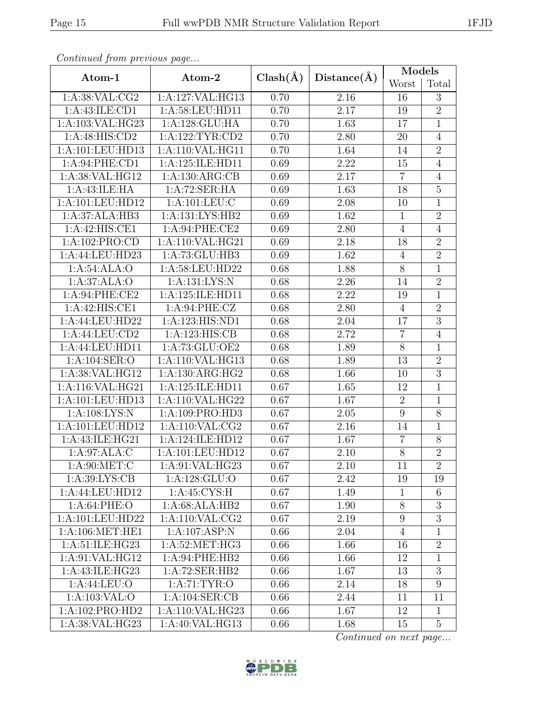| Continueu from pretious page |                    |              |             | Models           |                |  |
|------------------------------|--------------------|--------------|-------------|------------------|----------------|--|
| Atom-1                       | Atom-2             | $Clash(\AA)$ | Distance(A) | Worst            | Total          |  |
| 1:A:38:VAL:CG2               | 1:A:127:VAL:HG13   | 0.70         | 2.16        | 16               | 3              |  |
| 1:A:43:ILE:CD1               | 1:A:58:LEU:HD11    | 0.70         | 2.17        | 19               | $\overline{2}$ |  |
| 1:A:103:VAL:HG23             | 1:A:128:GLU:HA     | 0.70         | 1.63        | 17               | $\mathbf{1}$   |  |
| 1:A:48:HIS:CD2               | 1: A:122: TYR: CD2 | 0.70         | 2.80        | 20               | $\overline{4}$ |  |
| 1:A:101:LEU:HD13             | 1:A:110:VAL:HG11   | 0.70         | 1.64        | 14               | $\overline{2}$ |  |
| 1:A:94:PHE:CD1               | 1:A:125:ILE:HD11   | 0.69         | 2.22        | 15               | $\overline{4}$ |  |
| 1:A:38:VAL:HG12              | 1:A:130:ARG:CB     | 0.69         | 2.17        | $\overline{7}$   | $\overline{4}$ |  |
| 1: A: 43: ILE: HA            | 1:A:72:SER:HA      | 0.69         | 1.63        | 18               | $\bf 5$        |  |
| 1:A:101:LEU:HD12             | 1: A: 101: LEU: C  | 0.69         | 2.08        | 10               | $\overline{1}$ |  |
| 1:A:37:ALA:HB3               | 1:A:131:LYS:HB2    | 0.69         | 1.62        | $\mathbf{1}$     | $\overline{2}$ |  |
| 1:A:42:HIS:CE1               | 1:A:94:PHE:CE2     | 0.69         | 2.80        | $\overline{4}$   | $\overline{4}$ |  |
| 1:A:102:PRO:CD               | 1:A:110:VAL:HG21   | 0.69         | 2.18        | 18               | $\overline{2}$ |  |
| 1:A:44:LEU:HD23              | 1:A:73:GLU:HB3     | 0.69         | 1.62        | $\sqrt{4}$       | $\overline{2}$ |  |
| 1:A:54:ALA:O                 | 1: A:58:LEU:HD22   | 0.68         | 1.88        | $8\,$            | $\overline{1}$ |  |
| 1:A:37:ALA:O                 | 1:A:131:LYS:N      | 0.68         | 2.26        | 14               | $\overline{2}$ |  |
| 1: A:94:PHE:CE2              | 1:A:125:ILE:HD11   | 0.68         | 2.22        | 19               | $\overline{1}$ |  |
| 1:A:42:HIS:CE1               | 1:A:94:PHE:CZ      | 0.68         | 2.80        | $\overline{4}$   | $\overline{2}$ |  |
| 1:A:44:LEU:HD22              | 1:A:123:HIS:ND1    | 0.68         | 2.04        | 17               | $\overline{3}$ |  |
| $1:A:\overline{44:LEU:CD2}$  | 1:A:123:HIS:CB     | 0.68         | 2.72        | $\overline{7}$   | $\overline{4}$ |  |
| 1:A:44:LEU:HD11              | 1:A:73:GLU:OE2     | 0.68         | 1.89        | $8\,$            | $\mathbf{1}$   |  |
| 1:A:104:SER:O                | 1:A:110:VAL:HG13   | 0.68         | 1.89        | 13               | $\overline{2}$ |  |
| 1:A:38:VAL:HG12              | 1:A:130:ARG:HG2    | 0.68         | 1.66        | 10               | $\overline{3}$ |  |
| 1:A:116:VAL:HG21             | 1:A:125:ILE:HD11   | 0.67         | 1.65        | 12               | $\mathbf{1}$   |  |
| 1:A:101:LEU:HD13             | 1:A:110:VAL:HG22   | 0.67         | 1.67        | $\overline{2}$   | $\overline{1}$ |  |
| 1:A:108:LYS:N                | 1:A:109:PRO:HD3    | 0.67         | 2.05        | $\boldsymbol{9}$ | $8\,$          |  |
| 1:A:101:LEU:HD12             | 1: A:110: VAL: CG2 | 0.67         | 2.16        | 14               | $\overline{1}$ |  |
| 1:A:43:ILE:HG21              | 1:A:124:ILE:HD12   | 0.67         | 1.67        | $\overline{7}$   | $8\,$          |  |
| 1:A:97:ALA:C                 | 1:A:101:LEU:HD12   | 0.67         | 2.10        | $\overline{8}$   | $\overline{2}$ |  |
| $1: A:90:MET:C$              | 1: A:91: VAL: HG23 | 0.67         | 2.10        | 11               | $\overline{2}$ |  |
| 1: A:39: LYS: CB             | 1: A: 128: GLU:O   | 0.67         | 2.42        | 19               | 19             |  |
| 1:A:44:LEU:HD12              | 1: A:45: CYS:H     | 0.67         | 1.49        | 1                | $6\,$          |  |
| 1: A:64:PHE:O                | 1:A:68:ALA:HB2     | 0.67         | 1.90        | $8\,$            | $\overline{3}$ |  |
| 1:A:101:LEU:HD22             | 1: A:110: VAL: CG2 | 0.67         | 2.19        | 9                | $\overline{3}$ |  |
| 1: A:106: MET:HE1            | 1:A:107:ASP:N      | 0.66         | 2.04        | $\overline{4}$   | $\mathbf{1}$   |  |
| 1:A:51:ILE:HG23              | 1: A:52:MET:HG3    | 0.66         | 1.66        | 16               | $\overline{2}$ |  |
| 1: A:91: VAL: HG12           | 1:A:94:PHE:HB2     | 0.66         | 1.66        | 12               | $\overline{1}$ |  |
| 1:A:43:ILE:HG23              | 1:A:72:SER:HB2     | 0.66         | 1.67        | 13               | $\overline{3}$ |  |
| 1:A:44:LEU:O                 | 1: A:71: TYR:O     | 0.66         | 2.14        | 18               | 9              |  |
| 1: A: 103: VAL: O            | 1: A:104: SER:CB   | 0.66         | 2.44        | 11               | 11             |  |
| 1:A:102:PRO:HD2              | 1:A:110:VAL:HG23   | 0.66         | 1.67        | 12               | $\mathbf{1}$   |  |
| 1:A:38:VAL:HG23              | 1:A:40:VAL:HG13    | 0.66         | 1.68        | 15               | $\overline{5}$ |  |

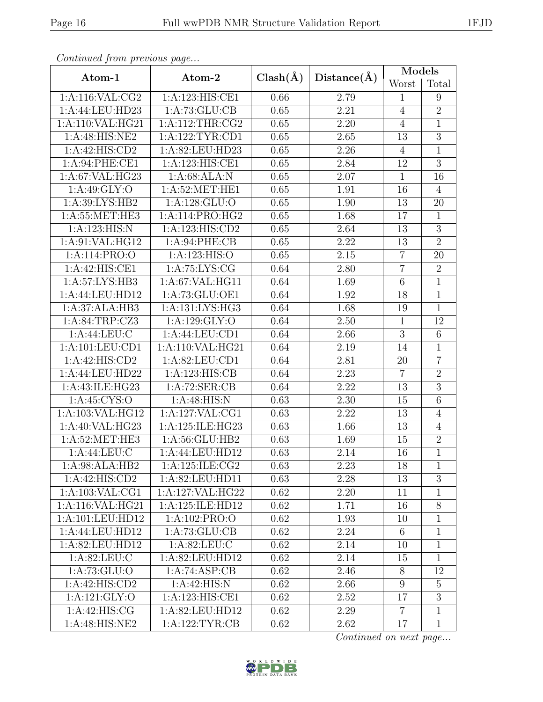| Continued from previous page |                            |              |                   | Models          |                |  |
|------------------------------|----------------------------|--------------|-------------------|-----------------|----------------|--|
| Atom-1                       | Atom-2                     | $Clash(\AA)$ | Distance(A)       | Worst           | Total          |  |
| 1:A:116:VAL:CG2              | 1:A:123:HIS:CE1            | 0.66         | 2.79              | 1               | 9              |  |
| 1:A:44:LEU:HD23              | 1:A:73:GLU:CB              | 0.65         | 2.21              | $\overline{4}$  | $\overline{2}$ |  |
| 1:A:110:VAL:HG21             | 1: A:112:THR:CG2           | 0.65         | 2.20              | $\overline{4}$  | $\mathbf{1}$   |  |
| 1:A:48:HIS:NE2               | 1:A:122:TYR:CD1            | 0.65         | 2.65              | 13              | $\overline{3}$ |  |
| 1:A:42:HIS:CD2               | 1:A:82:LEU:HD23            | 0.65         | 2.26              | $\overline{4}$  | $\mathbf 1$    |  |
| 1:A:94:PHE:CE1               | 1:A:123:HIS:CE1            | 0.65         | 2.84              | 12              | $\overline{3}$ |  |
| 1:A:67:VAL:HG23              | 1:A:68:ALA:N               | 0.65         | 2.07              | $\mathbf{1}$    | 16             |  |
| 1: A:49: GLY:O               | 1: A:52:MET:HE1            | 0.65         | 1.91              | 16              | $\overline{4}$ |  |
| 1: A:39: LYS: HB2            | $1:A:\overline{128:GLU:O}$ | 0.65         | 1.90              | 13              | 20             |  |
| 1:A:55:MET:HE3               | 1:A:114:PRO:HG2            | 0.65         | 1.68              | 17              | $\mathbf{1}$   |  |
| 1:A:123:HIS:N                | 1:A:123:HIS:CD2            | 0.65         | 2.64              | 13              | $\overline{3}$ |  |
| 1:A:91:VAL:HG12              | 1: A:94:PHE:CB             | 0.65         | 2.22              | 13              | $\overline{2}$ |  |
| 1:A:114:PRO:O                | 1:A:123:HIS:O              | 0.65         | 2.15              | $\overline{7}$  | 20             |  |
| 1:A:42:HIS:CE1               | 1: A:75: LYS: CG           | 0.64         | 2.80              | $\overline{7}$  | $\overline{2}$ |  |
| 1:A:57:LYS:HB3               | 1:A:67:VAL:HG11            | 0.64         | 1.69              | $\,6\,$         | $\overline{1}$ |  |
| 1:A:44:LEU:HD12              | 1:A:73:GLU:OE1             | 0.64         | 1.92              | 18              | $\overline{1}$ |  |
| 1:A:37:ALA:HB3               | 1:A:131:LYS:HG3            | 0.64         | 1.68              | 19              | $\overline{1}$ |  |
| 1:A:84:TRP:CZ3               | $1:A:\overline{129:GLY:O}$ | 0.64         | 2.50              | $\mathbf{1}$    | 12             |  |
| 1:A:44:LEU:C                 | 1:A:44:LEU:CD1             | 0.64         | 2.66              | $\overline{3}$  | $\overline{6}$ |  |
| 1:A:101:LEU:CD1              | 1:A:110:VAL:HG21           | 0.64         | 2.19              | 14              | 1              |  |
| 1:A:42:HIS:CD2               | 1:A:82:LEU:CD1             | 0.64         | 2.81              | 20              | $\overline{7}$ |  |
| 1:A:44:LEU:HD22              | 1:A:123:HIS:CB             | 0.64         | 2.23              | $\overline{7}$  | $\overline{2}$ |  |
| 1:A:43:ILE:HG23              | 1:A:72:SER:CB              | 0.64         | $\overline{2.22}$ | 13              | $\overline{3}$ |  |
| 1: A:45: CYS:O               | 1: A:48: HIS:N             | 0.63         | 2.30              | 15              | $\overline{6}$ |  |
| 1:A:103:VAL:HG12             | 1: A: 127: VAL: CG1        | 0.63         | 2.22              | 13              | $\overline{4}$ |  |
| 1:A:40:VAL:HG23              | 1:A:125:ILE:HG23           | 0.63         | 1.66              | 13              | $\overline{4}$ |  |
| 1:A:52:MET:HE3               | 1:A:56:GLU:HB2             | 0.63         | 1.69              | 15              | $\overline{2}$ |  |
| 1:A:44:LEU:C                 | 1:A:44:LEU:HD12            | 0.63         | 2.14              | 16              | $\overline{1}$ |  |
| 1:A:98:ALA:HB2               | 1:A:125:ILE:CG2            | 0.63         | 2.23              | 18              | $\mathbf{1}$   |  |
| 1:A:42:HIS:CD2               | 1:A:82:LEU:HD11            | 0.63         | 2.28              | 13              | 3              |  |
| 1:A:103:VAL:CG1              | 1:A:127:VAL:HG22           | 0.62         | 2.20              | 11              | 1              |  |
| 1:A:116:VAL:HG21             | 1:A:125:ILE:HD12           | 0.62         | 1.71              | 16              | $8\,$          |  |
| 1:A:101:LEU:HD12             | 1:A:102:PRO:O              | 0.62         | 1.93              | 10              | $\mathbf{1}$   |  |
| 1:A:44:LEU:HD12              | 1:A:73:GLU:CB              | 0.62         | 2.24              | $6\phantom{.}6$ | $\mathbf 1$    |  |
| 1:A:82:LEU:HD12              | 1: A:82: LEU: C            | 0.62         | 2.14              | 10              | $\mathbf{1}$   |  |
| 1: A:82: LEU: C              | 1:A:82:LEU:HD12            | 0.62         | 2.14              | 15              | $\overline{1}$ |  |
| 1:A:73:GLU:O                 | 1:A:74:ASP:CB              | 0.62         | 2.46              | 8               | 12             |  |
| 1:A:42:HIS:CD2               | 1:A:42:HIS:N               | 0.62         | 2.66              | $9\phantom{.0}$ | $\overline{5}$ |  |
| 1:A:121:GLY:O                | 1:A:123:HIS:CE1            | 0.62         | 2.52              | 17              | $\mathbf{3}$   |  |
| 1:A:42:HIS:CG                | 1:A:82:LEU:HD12            | 0.62         | 2.29              | $\overline{7}$  | $\mathbf 1$    |  |
| 1:A:48:HIS:NE2               | 1:A:122:TYR:CB             | 0.62         | 2.62              | 17              | $\mathbf{1}$   |  |

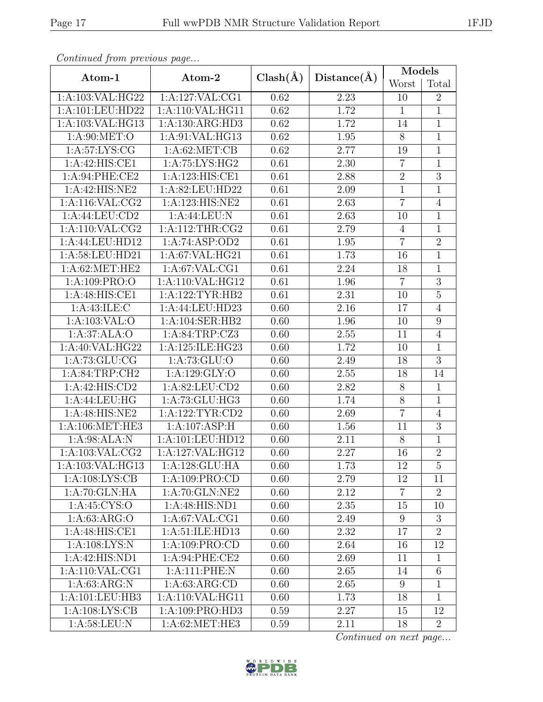| Continued from previous page |                             |                   |             | Models          |                  |  |
|------------------------------|-----------------------------|-------------------|-------------|-----------------|------------------|--|
| Atom-1                       | Atom-2                      | $Clash(\AA)$      | Distance(A) | Worst           | Total            |  |
| 1: A:103:VAL:HG22            | 1:A:127:VAL:CG1             | 0.62              | 2.23        | 10              | $\overline{2}$   |  |
| 1:A:101:LEU:HD22             | 1:A:110:VAL:HG11            | 0.62              | 1.72        | $\mathbf{1}$    | $\overline{1}$   |  |
| 1:A:103:VAL:HG13             | 1:A:130:ARG:HD3             | 0.62              | 1.72        | 14              | $\mathbf{1}$     |  |
| 1:A:90:MET:O                 | 1:A:91:VAL:HG13             | 0.62              | 1.95        | $8\,$           | $\mathbf{1}$     |  |
| 1: A:57: LYS: CG             | 1: A:62:MET:CB              | 0.62              | 2.77        | 19              | $\mathbf{1}$     |  |
| 1:A:42:HIS:CE1               | 1:A:75:LYS:HG2              | 0.61              | 2.30        | $\overline{7}$  | $\mathbf{1}$     |  |
| 1:A:94:PHE:CE2               | 1:A:123:HIS:CE1             | 0.61              | 2.88        | $\sqrt{2}$      | $\overline{3}$   |  |
| 1:A:42:HIS:NE2               | 1:A:82:LEU:HD22             | 0.61              | 2.09        | $\mathbf{1}$    | $\mathbf 1$      |  |
| 1: A:116: VAL: CG2           | 1:A:123:HIS:NE2             | 0.61              | 2.63        | $\overline{7}$  | $\overline{4}$   |  |
| 1:A:44:LEU:CD2               | 1:A:44:LEU:N                | 0.61              | 2.63        | 10              | $\mathbf{1}$     |  |
| 1: A:110: VAL: CG2           | 1: A:112:THR:CG2            | $\overline{0.61}$ | 2.79        | $\overline{4}$  | $\overline{1}$   |  |
| 1:A:44:LEU:HD12              | 1:A:74:ASP:OD2              | 0.61              | 1.95        | $\overline{7}$  | $\overline{2}$   |  |
| 1:A:58:LEU:HD21              | 1:A:67:VAL:HG21             | 0.61              | 1.73        | 16              | $\mathbf{1}$     |  |
| 1: A:62:MET:HE2              | 1:A:67:VAL:CG1              | 0.61              | 2.24        | 18              | $\mathbf{1}$     |  |
| $1:A:109:\overline{PRO:O}$   | 1:A:110:VAL:HG12            | 0.61              | 1.96        | $\overline{7}$  | $\overline{3}$   |  |
| 1:A:48:HIS:CE1               | 1:A:122:TYR:HB2             | 0.61              | 2.31        | 10              | $\overline{5}$   |  |
| 1: A:43: ILE:C               | 1:A:44:LEU:HD23             | 0.60              | 2.16        | 17              | $\overline{4}$   |  |
| $1:A:103:VA\overline{L:O}$   | 1:A:104:SER:HB2             | 0.60              | 1.96        | 10              | $\boldsymbol{9}$ |  |
| 1:A:37:ALA:O                 | 1:A:84:TRP:CZ3              | 0.60              | 2.55        | 11              | $\overline{4}$   |  |
| 1: A:40: VAL: HG22           | 1:A:125:ILE:HG23            | 0.60              | 1.72        | 10              | $\mathbf{1}$     |  |
| 1: A:73: GLU: CG             | 1:A:73:GLU:O                | 0.60              | 2.49        | 18              | $\overline{3}$   |  |
| 1:A:84:TRP:CH2               | 1:A:129:GLY:O               | 0.60              | 2.55        | 18              | 14               |  |
| 1:A:42:HIS:CD2               | 1:A:82:LEU:CD2              | 0.60              | 2.82        | $8\,$           | $\mathbf{1}$     |  |
| 1:A:44:LEU:HG                | 1:A:73:GLU:HG3              | 0.60              | 1.74        | $8\,$           | $\overline{1}$   |  |
| 1:A:48:HIS:NE2               | 1: A:122: TYR: CD2          | 0.60              | 2.69        | $\overline{7}$  | $\overline{4}$   |  |
| 1: A:106: MET:HE3            | $1:A:107:AS\overline{P:H}$  | 0.60              | 1.56        | 11              | $\overline{3}$   |  |
| 1:A:98:ALA:N                 | 1:A:101:LEU:HD12            | 0.60              | 2.11        | $8\phantom{.}$  | 1                |  |
| 1:A:103:VAL:CG2              | 1:A:127:VAL:HG12            | 0.60              | 2.27        | 16              | $\overline{2}$   |  |
| 1:A:103:VAL:HG13             | 1:A:128:GLU:HA              | 0.60              | 1.73        | 12              | $\overline{5}$   |  |
| 1:A:108:LYS:CB               | 1:A:109:PRO:CD              | 0.60              | 2.79        | 12              | 11               |  |
| 1: A:70: GLN: HA             | 1:A:70:GLN:NE2              | 0.60              | 2.12        | $\overline{7}$  | $\overline{2}$   |  |
| 1:A:45:CYS:O                 | $1:A:48:HI\overline{S:ND1}$ | 0.60              | 2.35        | 15              | 10               |  |
| 1: A:63: ARG:O               | 1:A:67:VAL:CG1              | 0.60              | 2.49        | 9               | 3                |  |
| 1:A:48:HIS:CE1               | 1:A:51:ILE:HD13             | 0.60              | 2.32        | 17              | $\overline{2}$   |  |
| 1: A:108:LYS:N               | 1:A:109:PRO:CD              | 0.60              | 2.64        | 16              | 12               |  |
| 1:A:42:HIS:ND1               | 1:A:94:PHE:CE2              | 0.60              | 2.69        | 11              | 1                |  |
| 1: A: 110: VAL: CG1          | $1:A:111:PHE:\overline{N}$  | 0.60              | 2.65        | 14              | $6\phantom{.}6$  |  |
| 1: A:63: ARG:N               | 1: A:63: ARG:CD             | 0.60              | 2.65        | $9\phantom{.0}$ | $\mathbf{1}$     |  |
| 1:A:101:LEU:HB3              | 1:A:110:VAL:HG11            | 0.60              | 1.73        | 18              | $\mathbf{1}$     |  |
| 1: A:108: LYS: CB            | 1:A:109:PRO:HD3             | 0.59              | 2.27        | 15              | 12               |  |
| 1:A:58:LEU:N                 | 1:A:62:MET:HE3              | 0.59              | 2.11        | 18              | $\overline{2}$   |  |

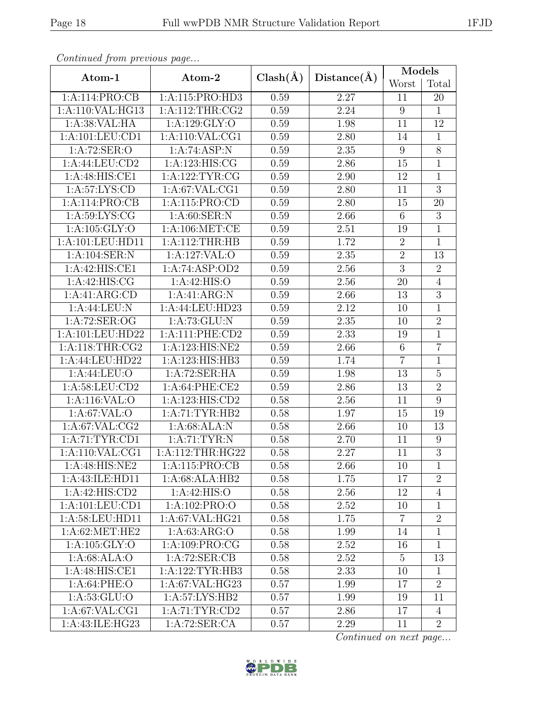| Continua from previous page |                    |              | Distance(A)       | Models           |                  |  |
|-----------------------------|--------------------|--------------|-------------------|------------------|------------------|--|
| Atom-1                      | Atom-2             | $Clash(\AA)$ |                   | Worst            | Total            |  |
| 1:A:114:PRO:CB              | 1:A:115:PRO:HD3    | 0.59         | 2.27              | 11               | 20               |  |
| 1:A:110:VAL:HG13            | 1: A:112:THR:CG2   | 0.59         | 2.24              | $9\phantom{.0}$  | $\mathbf{1}$     |  |
| 1:A:38: VAL: HA             | 1:A:129:GLY:O      | 0.59         | 1.98              | 11               | 12               |  |
| 1:A:101:LEU:CD1             | 1: A:110: VAL:CG1  | 0.59         | 2.80              | 14               | $\mathbf{1}$     |  |
| 1:A:72:SER:O                | 1:A:74:ASP:N       | 0.59         | $2.35\,$          | $\boldsymbol{9}$ | $\overline{8}$   |  |
| 1:A:44:LEU:CD2              | 1: A: 123: HIS: CG | 0.59         | 2.86              | 15               | $\mathbf 1$      |  |
| 1:A:48:HIS:CE1              | 1: A: 122: TYR: CG | 0.59         | 2.90              | 12               | $\overline{1}$   |  |
| 1: A:57: LYS: CD            | 1: A:67: VAL:CG1   | 0.59         | 2.80              | 11               | $\overline{3}$   |  |
| 1:A:114:PRO:CB              | 1:A:115:PRO:CD     | 0.59         | 2.80              | 15               | 20               |  |
| 1: A:59: LYS: CG            | 1: A:60: SER: N    | 0.59         | 2.66              | $6\,$            | 3                |  |
| 1: A: 105: GLY:O            | 1: A:106: MET:CE   | 0.59         | $\overline{2.51}$ | 19               | $\overline{1}$   |  |
| 1:A:101:LEU:HD11            | 1: A:112:THR:HB    | 0.59         | 1.72              | $\sqrt{2}$       | $\overline{1}$   |  |
| 1:A:104:SER:N               | 1:A:127:VAL:O      | 0.59         | 2.35              | $\overline{2}$   | 13               |  |
| 1:A:42:HIS:CE1              | 1:A:74:ASP:OD2     | 0.59         | 2.56              | $\overline{3}$   | $\overline{2}$   |  |
| 1:A:42:HIS:CG               | 1:A:42:HIS:O       | 0.59         | 2.56              | 20               | $\overline{4}$   |  |
| 1:A:41:ARG:CD               | 1:A:41:ARG:N       | 0.59         | 2.66              | 13               | $\overline{3}$   |  |
| 1:A:44:LEU:N                | 1:A:44:LEU:HD23    | 0.59         | 2.12              | 10               | $\overline{1}$   |  |
| 1:A:72:SER:OG               | 1: A: 73: GLU: N   | 0.59         | $2.35\,$          | 10               | $\overline{2}$   |  |
| 1:A:101:LEU:HD22            | 1:A:111:PHE:CD2    | 0.59         | 2.33              | 19               | $\overline{1}$   |  |
| 1: A:118:THR:CG2            | 1:A:123:HIS:NE2    | 0.59         | 2.66              | $\,6\,$          | $\overline{7}$   |  |
| 1:A:44:LEU:HD22             | 1:A:123:HIS:HB3    | 0.59         | 1.74              | $\overline{7}$   | $\mathbf{1}$     |  |
| 1: A:44:LEU:O               | 1:A:72:SER:HA      | 0.59         | 1.98              | 13               | $\overline{5}$   |  |
| 1:A:58:LEU:CD2              | 1:A:64:PHE:CE2     | 0.59         | 2.86              | 13               | $\overline{2}$   |  |
| 1:A:116:VAL:O               | 1:A:123:HIS:CD2    | 0.58         | 2.56              | 11               | 9                |  |
| 1:A:67:VAL:O                | 1:A:71:TYR:HB2     | 0.58         | 1.97              | 15               | 19               |  |
| 1: A:67: VAL:CG2            | 1: A:68: ALA: N    | 0.58         | 2.66              | 10               | 13               |  |
| 1: A:71: TYR: CD1           | 1:A:71:TYR:N       | 0.58         | 2.70              | 11               | $\boldsymbol{9}$ |  |
| 1:A:110:VAL:CG1             | 1:A:112:THR:HG22   | 0.58         | 2.27              | $\overline{11}$  | $\overline{3}$   |  |
| 1:A:48:HIS:NE2              | 1:A:115:PRO:CB     | 0.58         | 2.66              | 10               | 1                |  |
| 1:A:43:ILE:HD11             | 1:A:68:ALA:HB2     | 0.58         | 1.75              | 17               | $\overline{2}$   |  |
| 1:A:42:HIS:CD2              | 1:A:42:HIS:O       | 0.58         | 2.56              | 12               | $\overline{4}$   |  |
| 1: A: 101: LEU: CD1         | 1: A: 102: PRO: O  | 0.58         | 2.52              | 10               | 1                |  |
| 1:A:58:LEU:HD11             | 1: A:67: VAL:HG21  | 0.58         | 1.75              | 7                | $\overline{2}$   |  |
| 1: A:62:MET:HE2             | 1: A:63: ARG:O     | 0.58         | 1.99              | 14               | 1                |  |
| 1: A: 105: GLY:O            | 1:A:109:PRO:CG     | 0.58         | 2.52              | 16               | 1                |  |
| 1: A:68: ALA:O              | 1:A:72:SER:CB      | 0.58         | 2.52              | $\overline{5}$   | 13               |  |
| 1:A:48:HIS:CE1              | 1:A:122:TYR:HB3    | 0.58         | 2.33              | 10               | $\mathbf{1}$     |  |
| 1:A:64:PHE:O                | 1:A:67:VAL:HG23    | 0.57         | 1.99              | 17               | $\overline{2}$   |  |
| 1: A:53: GLU:O              | 1:A:57:LYS:HB2     | 0.57         | 1.99              | 19               | 11               |  |
| 1: A:67: VAL:CG1            | 1: A:71: TYR: CD2  | 0.57         | 2.86              | 17               | $\overline{4}$   |  |
| 1:A:43:ILE:HG23             | 1:A:72:SER:CA      | 0.57         | 2.29              | 11               | $\overline{2}$   |  |

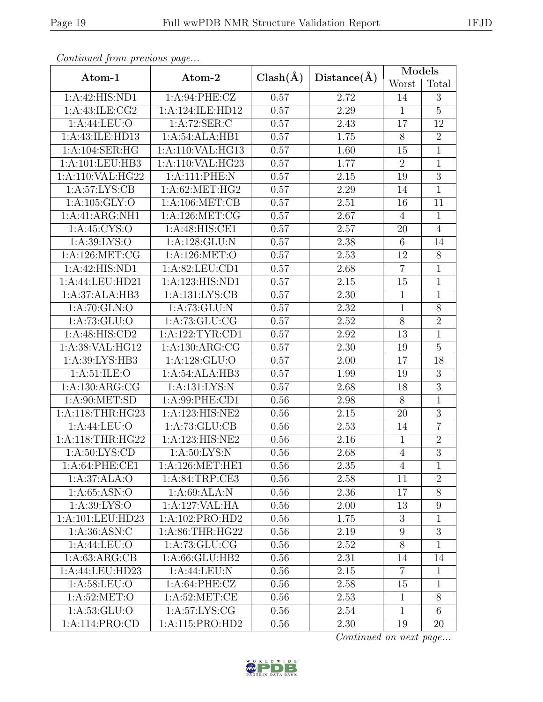| Continual from previous page          |                             |              |                   | Models           |                 |  |
|---------------------------------------|-----------------------------|--------------|-------------------|------------------|-----------------|--|
| Atom-1                                | Atom-2                      | $Clash(\AA)$ | Distance(A)       | Worst            | Total           |  |
| 1:A:42:HIS:ND1                        | 1:A:94:PHE:CZ               | 0.57         | 2.72              | 14               | 3               |  |
| 1:A:43:ILE:CG2                        | 1:A:124:ILE:HD12            | 0.57         | 2.29              | $\mathbf{1}$     | $\overline{5}$  |  |
| 1: A:44: LEU:O                        | 1: A:72: SER: C             | 0.57         | 2.43              | 17               | 12              |  |
| 1:A:43:ILE:HD13                       | 1:A:54:ALA:HB1              | 0.57         | 1.75              | $8\,$            | $\overline{2}$  |  |
| 1: A:104: SER: HG                     | 1:A:110:VAL:HG13            | 0.57         | 1.60              | 15               | $\mathbf{1}$    |  |
| $1:A:101:\overline{\textrm{LEU:HB3}}$ | 1:A:110:VAL:HG23            | 0.57         | 1.77              | $\overline{2}$   | 1               |  |
| 1:A:110:VAL:HG22                      | 1:A:111:PHE:N               | 0.57         | 2.15              | 19               | $\overline{3}$  |  |
| 1: A:57: LYS: CB                      | 1:A:62:MET:HG2              | 0.57         | 2.29              | 14               | $\mathbf{1}$    |  |
| 1: A: 105: GLY:O                      | 1: A:106: MET:CB            | 0.57         | 2.51              | 16               | $\overline{11}$ |  |
| 1:A:41:ARG:NH1                        | 1:A:126:MET:CG              | 0.57         | 2.67              | $\overline{4}$   | $\mathbf{1}$    |  |
| 1: A:45: CYS:O                        | $1:A:48:\overline{HIS:CE1}$ | 0.57         | 2.57              | 20               | $\overline{4}$  |  |
| 1: A:39: LYS:O                        | 1:A:128:GLU:N               | 0.57         | 2.38              | $\,$ 6 $\,$      | 14              |  |
| 1: A:126: MET:CG                      | 1: A:126: MET:O             | 0.57         | 2.53              | 12               | $\overline{8}$  |  |
| 1:A:42:HIS:ND1                        | 1: A:82: LEU:CD1            | 0.57         | 2.68              | $\overline{7}$   | $\mathbf{1}$    |  |
| 1:A:44:LEU:HD21                       | 1:A:123:HIS:ND1             | 0.57         | 2.15              | 15               | $\overline{1}$  |  |
| 1:A:37:ALA:HB3                        | 1:A:131:LYS:CB              | 0.57         | 2.30              | $\mathbf{1}$     | $\overline{1}$  |  |
| 1:A:70:GLN:O                          | 1: A:73: GLU:N              | 0.57         | 2.32              | $\mathbf{1}$     | $\overline{8}$  |  |
| 1: A: 73: GLU:O                       | 1:A:73:GLU:CG               | 0.57         | 2.52              | $8\,$            | $\overline{2}$  |  |
| 1:A:48:HIS:CD2                        | 1:A:122:TYR:CD1             | 0.57         | 2.92              | 13               | $\overline{1}$  |  |
| 1:A:38:VAL:HG12                       | 1:A:130:ARG:CG              | 0.57         | 2.30              | 19               | $\overline{5}$  |  |
| 1:A:39:LYS:HB3                        | 1:A:128:GLU:O               | 0.57         | 2.00              | 17               | 18              |  |
| 1: A:51: ILE: O                       | 1:A:54:ALA:HB3              | 0.57         | 1.99              | 19               | $\overline{3}$  |  |
| 1: A: 130: ARG: CG                    | 1:A:131:LYS:N               | 0.57         | 2.68              | 18               | $\overline{3}$  |  |
| 1: A:90:MET:SD                        | 1: A:99: PHE:CD1            | 0.56         | 2.98              | $8\,$            | $\mathbf{1}$    |  |
| 1:A:118:THR:HG23                      | 1:A:123:HIS:NE2             | 0.56         | 2.15              | 20               | $\mathfrak{Z}$  |  |
| 1: A:44:LEU:O                         | 1: A:73: GLU:CB             | 0.56         | 2.53              | 14               | $\overline{7}$  |  |
| 1: A:118:THR:HG22                     | 1:A:123:HIS:NE2             | 0.56         | 2.16              | $\mathbf{1}$     | $\overline{2}$  |  |
| 1: A:50: LYS:CD                       | 1: A:50: LYS: N             | 0.56         | $\overline{2.68}$ | $\overline{4}$   | $\overline{3}$  |  |
| 1:A:64:PHE:CE1                        | 1: A:126: MET:HE1           | 0.56         | 2.35              | 4                | 1               |  |
| 1:A:37:ALA:O                          | 1:A:84:TRP:CE3              | 0.56         | 2.58              | 11               | $\overline{2}$  |  |
| 1: A:65: ASN:O                        | 1:A:69:ALA:N                | 0.56         | 2.36              | 17               | $8\,$           |  |
| 1: A:39: LYS:O                        | 1:A:127:VAL:HA              | 0.56         | 2.00              | 13               | $9\phantom{.}$  |  |
| 1:A:101:LEU:HD23                      | 1:A:102:PRO:HD2             | 0.56         | 1.75              | 3                | 1               |  |
| 1: A:36: ASN: C                       | 1: A:86:THR:HG22            | 0.56         | 2.19              | $\boldsymbol{9}$ | $\overline{3}$  |  |
| $1:A:44:\overline{\text{LEU:O}}$      | 1: A:73: GLU:CG             | 0.56         | 2.52              | $8\,$            | $\mathbf{1}$    |  |
| 1: A:63: ARG:CB                       | 1:A:66:GLU:HB2              | 0.56         | 2.31              | 14               | 14              |  |
| 1:A:44:LEU:HD23                       | 1:A:44:LEU:N                | 0.56         | 2.15              | $\overline{7}$   | $\mathbf{1}$    |  |
| 1: A:58:LEU:O                         | 1: A:64:PHE:CZ              | 0.56         | 2.58              | 15               | $\mathbf{1}$    |  |
| 1: A:52: MET:O                        | 1: A:52:MET:CE              | 0.56         | 2.53              | $\mathbf{1}$     | $8\,$           |  |
| 1: A: 53: GLU:O                       | 1: A:57: LYS: CG            | 0.56         | 2.54              | $\mathbf{1}$     | 6               |  |
| 1:A:114:PRO:CD                        | 1:A:115:PRO:HD2             | 0.56         | 2.30              | 19               | 20              |  |

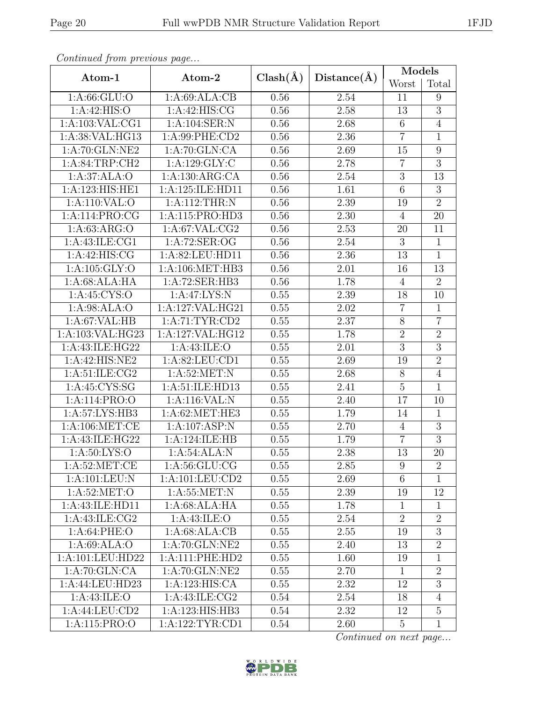| Continued from previous page |                    |              |             | Models          |                  |  |
|------------------------------|--------------------|--------------|-------------|-----------------|------------------|--|
| Atom-1                       | Atom-2             | $Clash(\AA)$ | Distance(A) | Worst           | Total            |  |
| 1: A:66: GLU:O               | 1:A:69:ALA:CB      | 0.56         | 2.54        | 11              | 9                |  |
| 1:A:42:HIS:O                 | 1:A:42:HIS:CG      | 0.56         | 2.58        | 13              | $\overline{3}$   |  |
| 1: A: 103: VAL: CG1          | 1:A:104:SER:N      | 0.56         | 2.68        | $\,6\,$         | $\overline{4}$   |  |
| 1:A:38:VAL:HG13              | 1:A:99:PHE:CD2     | 0.56         | 2.36        | $\overline{7}$  | $\mathbf{1}$     |  |
| 1:A:70:GLN:NE2               | 1:A:70:GLN:CA      | 0.56         | 2.69        | 15              | $\boldsymbol{9}$ |  |
| 1:A:84:TRP:CH2               | 1:A:129:GLY:C      | 0.56         | 2.78        | $\overline{7}$  | $\overline{3}$   |  |
| 1:A:37:ALA:O                 | 1:A:130:ARG:CA     | 0.56         | $2.54\,$    | $\sqrt{3}$      | 13               |  |
| 1:A:123:HIS:HE1              | 1:A:125:ILE:HD11   | 0.56         | 1.61        | $\,6$           | $\sqrt{3}$       |  |
| 1:A:110:VAL:O                | 1:A:112:THR:N      | 0.56         | 2.39        | 19              | $\overline{2}$   |  |
| 1:A:114:PRO:CG               | 1:A:115:PRO:HD3    | 0.56         | 2.30        | $\overline{4}$  | 20               |  |
| 1:A:63:ARG:O                 | 1: A:67: VAL:CG2   | 0.56         | 2.53        | 20              | 11               |  |
| 1:A:43:ILE:CG1               | 1:A:72:SER:OG      | 0.56         | 2.54        | $\mathbf{3}$    | $\mathbf{1}$     |  |
| 1: A:42: HIS: CG             | 1:A:82:LEU:HD11    | 0.56         | 2.36        | 13              | $\overline{1}$   |  |
| 1:A:105:GLY:O                | 1:A:106:MET:HB3    | 0.56         | 2.01        | 16              | 13               |  |
| 1:A:68:ALA:HA                | 1:A:72:SER:HB3     | 0.56         | 1.78        | $\overline{4}$  | $\overline{2}$   |  |
| 1:A:45:CYS:O                 | 1:A:47:LYS:N       | 0.55         | 2.39        | 18              | 10               |  |
| 1: A:98: ALA:O               | 1:A:127:VAL:HG21   | 0.55         | 2.02        | $\overline{7}$  | $\mathbf{1}$     |  |
| 1: A:67: VAL:HB              | 1: A:71: TYR: CD2  | 0.55         | 2.37        | $8\,$           | $\overline{7}$   |  |
| 1:A:103:VAL:HG23             | 1:A:127:VAL:HG12   | 0.55         | 1.78        | $\overline{2}$  | $\overline{2}$   |  |
| 1:A:43:ILE:HG22              | 1:A:43:ILE:O       | 0.55         | 2.01        | $\overline{3}$  | $\overline{3}$   |  |
| 1:A:42:HIS:NE2               | 1:A:82:LEU:CD1     | 0.55         | 2.69        | 19              | $\overline{2}$   |  |
| 1: A:51: ILE: CG2            | 1: A:52:MET:N      | 0.55         | $2.68\,$    | $8\,$           | $\overline{4}$   |  |
| 1:A:45:CYS:SG                | 1:A:51:ILE:HD13    | 0.55         | 2.41        | $\overline{5}$  | $\mathbf{1}$     |  |
| 1:A:114:PRO:O                | 1:A:116:VAL:N      | 0.55         | 2.40        | 17              | 10               |  |
| 1: A:57: LYS: HB3            | 1: A:62:MET:HE3    | 0.55         | 1.79        | 14              | $\mathbf{1}$     |  |
| 1: A:106: MET:CE             | $1:A:107:$ ASP:N   | 0.55         | 2.70        | $\overline{4}$  | $\overline{3}$   |  |
| 1:A:43:ILE:HG22              | 1:A:124:ILE:HB     | 0.55         | 1.79        | $\overline{7}$  | 3                |  |
| 1: A:50: LYS:O               | 1:A:54:ALA:N       | 0.55         | 2.38        | 13              | 20               |  |
| 1: A:52: MET:CE              | 1: A:56: GLU:CG    | 0.55         | 2.85        | 9               | $\overline{2}$   |  |
| 1:A:101:LEU:N                | 1:A:101:LEU:CD2    | 0.55         | 2.69        | $6\phantom{.}6$ | $\mathbf{1}$     |  |
| 1: A:52:MET:O                | 1: A:55:MET: N     | 0.55         | 2.39        | 19              | 12               |  |
| 1:A:43:ILE:HD11              | 1:A:68:ALA:HA      | 0.55         | 1.78        | $\mathbf{1}$    | 1                |  |
| 1:A:43:ILE:CG2               | 1: A: 43: ILE: O   | 0.55         | 2.54        | $\overline{2}$  | $\overline{2}$   |  |
| 1: A:64:PHE:O                | 1:A:68:ALA:CB      | 0.55         | 2.55        | 19              | $\overline{3}$   |  |
| 1: A:69: ALA:O               | 1:A:70:GLN:NE2     | 0.55         | 2.40        | 13              | $\overline{2}$   |  |
| 1:A:101:LEU:HD22             | 1:A:111:PHE:HD2    | 0.55         | 1.60        | 19              | 1                |  |
| 1:A:70:GLN:CA                | 1:A:70:GLN:NE2     | 0.55         | 2.70        | $\mathbf{1}$    | $\overline{2}$   |  |
| 1:A:44:LEU:HD23              | 1:A:123:HIS:CA     | 0.55         | 2.32        | 12              | $\overline{3}$   |  |
| 1:A:43:ILE:O                 | 1: A: 43: ILE: CG2 | 0.54         | 2.54        | 18              | $\overline{4}$   |  |
| 1:A:44:LEU:CD2               | 1:A:123:HIS:HB3    | 0.54         | 2.32        | 12              | $\overline{5}$   |  |
| 1:A:115:PRO:O                | 1:A:122:TYR:CD1    | 0.54         | 2.60        | $\overline{5}$  | $\mathbf{1}$     |  |

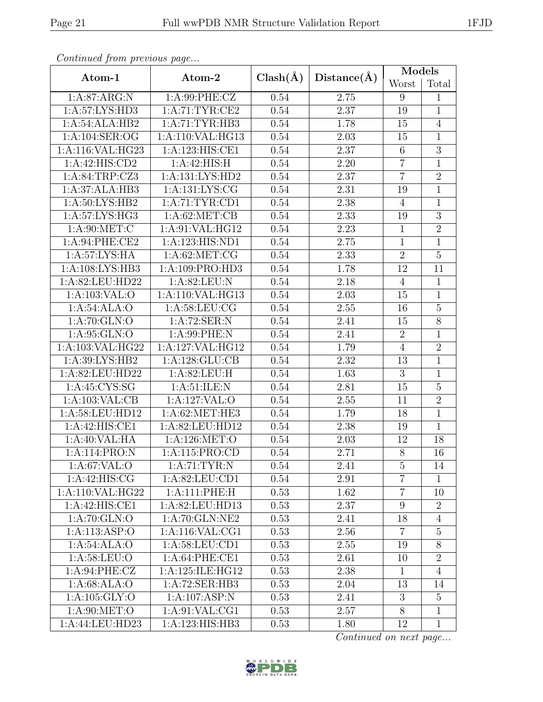| Continuale from previous page |                                    |              | Distance(A) | <b>Models</b>   |                 |  |
|-------------------------------|------------------------------------|--------------|-------------|-----------------|-----------------|--|
| Atom-1                        | Atom-2                             | $Clash(\AA)$ |             | Worst           | Total           |  |
| 1:A:87:ARG:N                  | 1:A:99:PHE:CZ                      | 0.54         | $2.75\,$    | 9               | $\mathbf{1}$    |  |
| 1:A:57:LYS:HD3                | 1:A:71:TYR:CE2                     | 0.54         | 2.37        | 19              | $\mathbf{1}$    |  |
| 1:A:54:ALA:HB2                | 1: A:71: TYR: HB3                  | 0.54         | 1.78        | 15              | $\overline{4}$  |  |
| 1:A:104:SER:OG                | 1:A:110:VAL:HG13                   | 0.54         | 2.03        | 15              | $\mathbf{1}$    |  |
| 1:A:116:VAL:HG23              | 1:A:123:HIS:CE1                    | 0.54         | 2.37        | $\,6$           | $\overline{3}$  |  |
| $1:\overline{A:42:HIS:CD2}$   | 1:A:42:HIS:H                       | 0.54         | 2.20        | $\overline{7}$  | $\mathbf{1}$    |  |
| 1:A:84:TRP:CZ3                | 1:A:131:LYS:HD2                    | 0.54         | 2.37        | $\overline{7}$  | $\overline{2}$  |  |
| 1:A:37:ALA:HB3                | 1:A:131:LYS:CG                     | 0.54         | 2.31        | 19              | $\mathbf{1}$    |  |
| 1:A:50:LYS:HB2                | 1: A:71: TYR: CD1                  | 0.54         | 2.38        | $\overline{4}$  | $\overline{1}$  |  |
| 1:A:57:LYS:HG3                | 1: A:62:MET:CB                     | 0.54         | 2.33        | 19              | $\overline{3}$  |  |
| 1: A:90:MET:C                 | $1:\overline{A:91:VAL:HG12}$       | 0.54         | 2.23        | $\overline{1}$  | $\overline{2}$  |  |
| 1:A:94:PHE:CE2                | 1:A:123:HIS:ND1                    | 0.54         | 2.75        | $\mathbf{1}$    | $\mathbf{1}$    |  |
| 1:A:57:LYS:HA                 | 1: A:62:MET:CG                     | 0.54         | 2.33        | $\overline{2}$  | $\overline{5}$  |  |
| 1:A:108:LYS:HB3               | 1:A:109:PRO:HD3                    | 0.54         | 1.78        | 12              | 11              |  |
| 1:A:82:LEU:HD22               | $1:A:82:\overline{\textrm{LEU:N}}$ | 0.54         | 2.18        | $\overline{4}$  | $\mathbf{1}$    |  |
| 1: A: 103: VAL: O             | 1:A:110:VAL:HG13                   | 0.54         | 2.03        | 15              | $\overline{1}$  |  |
| 1:A:54:ALA:O                  | 1: A:58: LEU: CG                   | 0.54         | 2.55        | 16              | $\overline{5}$  |  |
| 1: A:70: GLN:O                | 1:A:72:SER:N                       | 0.54         | 2.41        | 15              | $\overline{8}$  |  |
| 1:A:95:GLN:O                  | 1:A:99:PHE:N                       | 0.54         | 2.41        | $\overline{2}$  | $\mathbf{1}$    |  |
| 1:A:103:VAL:HG22              | 1:A:127:VAL:HG12                   | 0.54         | 1.79        | $\overline{4}$  | $\overline{2}$  |  |
| 1:A:39:LYS:HB2                | 1:A:128:GLU:CB                     | 0.54         | 2.32        | 13              | $\overline{1}$  |  |
| 1:A:82:LEU:HD22               | 1:A:82:LEU:H                       | 0.54         | 1.63        | 3               | $\mathbf{1}$    |  |
| 1: A:45:CYS:SG                | 1: A:51: ILE:N                     | 0.54         | 2.81        | 15              | $\overline{5}$  |  |
| 1:A:103:VAL:CB                | 1:A:127:VAL:O                      | 0.54         | $2.55\,$    | 11              | $\overline{2}$  |  |
| 1:A:58:LEU:HD12               | 1:A:62:MET:HE3                     | 0.54         | 1.79        | 18              | $\overline{1}$  |  |
| 1:A:42:HIS:CE1                | 1:A:82:LEU:HD12                    | 0.54         | 2.38        | 19              | $\overline{1}$  |  |
| 1:A:40:VAL:HA                 | 1:A:126:MET:O                      | 0.54         | 2.03        | 12              | 18              |  |
| 1:A:114:PRO:N                 | 1:A:115:PRO:CD                     | 0.54         | 2.71        | $\overline{8}$  | $\overline{16}$ |  |
| 1:A:67:VAL:O                  | 1: A:71: TYR: N                    | 0.54         | 2.41        | $\overline{5}$  | 14              |  |
| $1:A:42:\overline{HIS:CG}$    | 1:A:82:LEU:CD1                     | 0.54         | 2.91        | $\overline{7}$  | $\mathbf{1}$    |  |
| 1:A:110:VAL:HG22              | 1:A:111:PHE:H                      | 0.53         | 1.62        | $\overline{7}$  | 10              |  |
| 1:A:42:HIS:CE1                | 1:A:82:LEU:HD13                    | 0.53         | 2.37        | $9\phantom{.0}$ | $\overline{2}$  |  |
| 1:A:70:GLN:O                  | 1:A:70:GLN:NE2                     | 0.53         | 2.41        | 18              | $\overline{4}$  |  |
| 1:A:113:ASP:O                 | 1:A:116:VAL:CG1                    | 0.53         | 2.56        | $\overline{7}$  | $\overline{5}$  |  |
| 1:A:54:ALA:O                  | 1: A:58:LEU:CD1                    | 0.53         | 2.55        | 19              | $\overline{8}$  |  |
| 1: A:58:LEU:O                 | 1:A:64:PHE:CE1                     | 0.53         | 2.61        | 10              | $\overline{2}$  |  |
| 1: A:94:PHE: CZ               | 1:A:125:ILE:HG12                   | 0.53         | 2.38        | $\mathbf{1}$    | $\overline{4}$  |  |
| 1: A:68: ALA:O                | 1:A:72:SER:HB3                     | 0.53         | 2.04        | 13              | 14              |  |
| 1:A:105:GLY:O                 | 1:A:107:ASP:N                      | 0.53         | 2.41        | 3               | 5               |  |
| 1: A:90:MET:O                 | 1: A:91: VAL:CG1                   | 0.53         | 2.57        | 8               | $\mathbf{1}$    |  |
| 1:A:44:LEU:HD23               | 1:A:123:HIS:HB3                    | 0.53         | 1.80        | 12              | $\mathbf{1}$    |  |

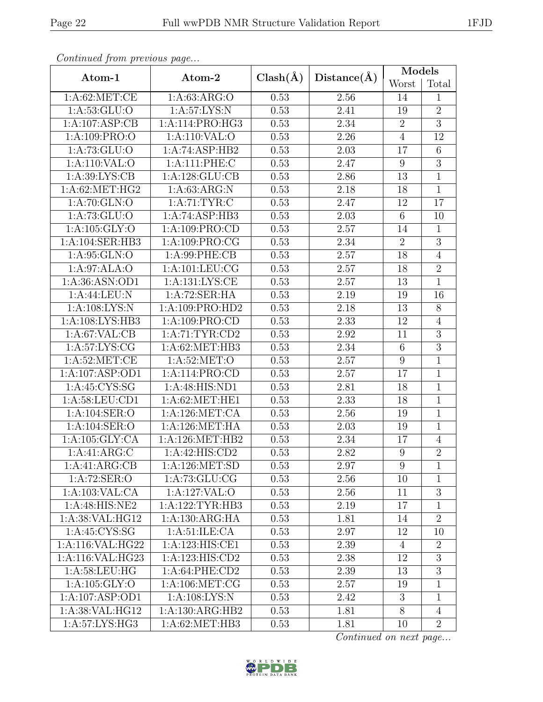| Continual from previous page |                    |              | Distance(A) | Models          |                 |  |
|------------------------------|--------------------|--------------|-------------|-----------------|-----------------|--|
| Atom-1                       | Atom-2             | $Clash(\AA)$ |             | Worst           | Total           |  |
| 1: A:62:MET:CE               | 1: A:63: ARG:O     | 0.53         | 2.56        | 14              | $\mathbf{1}$    |  |
| 1:A:53:GLU:O                 | 1:A:57:LYS:N       | 0.53         | 2.41        | 19              | $\overline{2}$  |  |
| 1:A:107:ASP:CB               | 1:A:114:PRO:HG3    | 0.53         | $2.34\,$    | $\sqrt{2}$      | $\overline{3}$  |  |
| 1: A:109: PRO:O              | 1:A:110:VAL:O      | 0.53         | 2.26        | $\overline{4}$  | 12              |  |
| 1: A: 73: GLU:O              | 1:A:74:ASP:HB2     | 0.53         | 2.03        | 17              | $\,$ 6 $\,$     |  |
| 1:A:110:VAL:O                | 1:A:111:PHE:C      | 0.53         | 2.47        | 9               | $\overline{3}$  |  |
| 1: A:39: LYS: CB             | 1:A:128:GLU:CB     | 0.53         | 2.86        | 13              | $\overline{1}$  |  |
| 1:A:62:MET:HG2               | 1: A:63: ARG: N    | 0.53         | 2.18        | 18              | $\overline{1}$  |  |
| 1:A:70:GLN:O                 | 1: A:71: TYR: C    | 0.53         | 2.47        | 12              | $\overline{17}$ |  |
| 1: A: 73: GLU:O              | 1:A:74:ASP:HB3     | 0.53         | 2.03        | $\,6\,$         | 10              |  |
| 1: A: 105: GLY:O             | 1:A:109:PRO:CD     | 0.53         | 2.57        | 14              | $\overline{1}$  |  |
| 1:A:104:SER:HB3              | 1:A:109:PRO:CG     | 0.53         | 2.34        | $\sqrt{2}$      | $\overline{3}$  |  |
| 1: A:95: GLN:O               | 1: A:99: PHE:CB    | 0.53         | 2.57        | 18              | $\overline{4}$  |  |
| 1:A:97:ALA:O                 | 1: A: 101: LEU: CG | 0.53         | 2.57        | 18              | $\overline{2}$  |  |
| 1:A:36:ASN:OD1               | 1:A:131:LYS:CE     | 0.53         | 2.57        | 13              | $\mathbf{1}$    |  |
| 1:A:44:LEU:N                 | 1:A:72:SER:HA      | 0.53         | 2.19        | 19              | 16              |  |
| 1: A:108: LYS:N              | 1:A:109:PRO:HD2    | 0.53         | 2.18        | 13              | 8               |  |
| 1:A:108:LYS:HB3              | 1:A:109:PRO:CD     | 0.53         | 2.33        | 12              | $\overline{4}$  |  |
| 1:A:67:VAL:CB                | 1:A:71:TYR:CD2     | 0.53         | $2.92\,$    | 11              | $\overline{3}$  |  |
| 1: A:57: LYS: CG             | 1: A:62:MET:HB3    | 0.53         | 2.34        | $6\phantom{.}6$ | $\overline{3}$  |  |
| 1: A:52:MET:CE               | 1:A:52:MET:O       | 0.53         | 2.57        | $9\,$           | $\overline{1}$  |  |
| 1:A:107:ASP:OD1              | 1:A:114:PRO:CD     | 0.53         | 2.57        | 17              | $\mathbf{1}$    |  |
| 1:A:45:CYS:SG                | 1:A:48:HIS:ND1     | 0.53         | 2.81        | 18              | $\overline{1}$  |  |
| 1:A:58:LEU:CD1               | 1: A:62:MET:HE1    | 0.53         | 2.33        | 18              | $\mathbf{1}$    |  |
| 1:A:104:SER:O                | 1: A:126: MET:CA   | 0.53         | 2.56        | 19              | $\mathbf{1}$    |  |
| 1:A:104:SER:O                | 1:A:126:MET:HA     | 0.53         | 2.03        | 19              | $\overline{1}$  |  |
| 1: A: 105: GLY: CA           | 1: A:126: MET:HB2  | 0.53         | 2.34        | 17              | $\overline{4}$  |  |
| 1:A:41:ARG:C                 | 1: A:42: HIS: CD2  | 0.53         | 2.82        | $\overline{9}$  | $\overline{2}$  |  |
| 1:A:41:ARG:CB                | 1:A:126:MET:SD     | 0.53         | 2.97        | 9               | 1               |  |
| 1:A:72:SER:O                 | 1: A:73: GLU: CG   | 0.53         | 2.56        | 10              | 1               |  |
| 1:A:103:VAL:CA               | 1:A:127:VAL:O      | 0.53         | 2.56        | 11              | $\overline{3}$  |  |
| 1:A:48:HIS:NE2               | 1:A:122:TYR:HB3    | 0.53         | 2.19        | 17              | $\mathbf{1}$    |  |
| 1: A:38: VAL: HG12           | 1:A:130:ARG:HA     | 0.53         | 1.81        | 14              | $\overline{2}$  |  |
| 1:A:45:CYS:SG                | 1: A:51: ILE: CA   | 0.53         | 2.97        | 12              | 10              |  |
| 1: A:116: VAL: HG22          | 1:A:123:HIS:CE1    | 0.53         | 2.39        | 4               | $\overline{2}$  |  |
| 1:A:116:VAL:HG23             | 1:A:123:HIS:CD2    | 0.53         | 2.38        | 12              | $\overline{3}$  |  |
| 1: A:58:LEU:HG               | 1: A:64:PHE:CD2    | 0.53         | 2.39        | 13              | $\overline{3}$  |  |
| 1: A: 105: GLY:O             | 1: A:106: MET:CG   | 0.53         | 2.57        | 19              | 1               |  |
| 1:A:107:ASP:OD1              | 1: A:108: LYS:N    | 0.53         | 2.42        | 3               | $\mathbf{1}$    |  |
| 1:A:38:VAL:HG12              | 1:A:130:ARG:HB2    | 0.53         | 1.81        | 8               | $\overline{4}$  |  |
| 1:A:57:LYS:HG3               | 1: A:62:MET:HB3    | 0.53         | 1.81        | 10              | $\overline{2}$  |  |

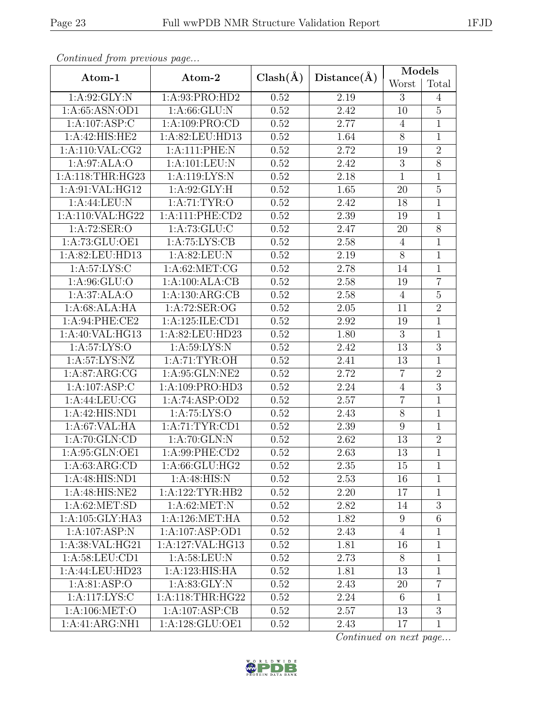| Continual from previous page |                            |              | Distance(A)       | Models          |                 |  |
|------------------------------|----------------------------|--------------|-------------------|-----------------|-----------------|--|
| Atom-1                       | Atom-2                     | $Clash(\AA)$ |                   | Worst           | Total           |  |
| 1:A:92:GLY:N                 | 1: A:93: PRO:HD2           | 0.52         | 2.19              | 3               | $\overline{4}$  |  |
| 1:A:65:ASN:OD1               | 1:A:66:GLU:N               | 0.52         | 2.42              | 10              | $\overline{5}$  |  |
| 1:A:107:ASP:C                | 1:A:109:PRO:CD             | 0.52         | 2.77              | $\overline{4}$  | $\mathbf{1}$    |  |
| 1:A:42:HIS:HE2               | 1:A:82:LEU:HD13            | 0.52         | 1.64              | $8\,$           | $\mathbf{1}$    |  |
| 1: A:110: VAL: CG2           | 1:A:111:PHE:N              | 0.52         | 2.72              | 19              | $\overline{2}$  |  |
| 1:A:97:ALA:O                 | 1:A:101:LEU:N              | 0.52         | 2.42              | 3               | $\overline{8}$  |  |
| 1:A:118:THR:HG23             | $1:\overline{A:119:LYS:N}$ | 0.52         | 2.18              | $\mathbf{1}$    | $\overline{1}$  |  |
| 1:A:91:VAL:HG12              | 1:A:92:GLY:H               | 0.52         | 1.65              | 20              | $\overline{5}$  |  |
| 1:A:44:LEU:N                 | 1:A:71:TYR:O               | 0.52         | 2.42              | 18              | $\overline{1}$  |  |
| 1:A:110:VAL:HG22             | 1: A:111: PHE:CD2          | 0.52         | 2.39              | 19              | $\mathbf 1$     |  |
| 1:A:72:SER:O                 | 1: A:73: GLU: C            | 0.52         | 2.47              | 20              | $\overline{8}$  |  |
| 1:A:73:GLU:OE1               | 1: A:75: LYS: CB           | 0.52         | 2.58              | $\overline{4}$  | $\mathbf{1}$    |  |
| 1:A:82:LEU:HD13              | 1:A:82:LEU:N               | 0.52         | 2.19              | 8               | $\overline{1}$  |  |
| 1: A:57: LYS: C              | 1: A:62: MET:CG            | 0.52         | 2.78              | 14              | $\mathbf{1}$    |  |
| 1:A:96:GLU:O                 | 1:A:100:ALA:CB             | 0.52         | 2.58              | 19              | $\overline{7}$  |  |
| 1:A:37:ALA:O                 | 1:A:130:ARG:CB             | 0.52         | 2.58              | $\overline{4}$  | $\overline{5}$  |  |
| 1:A:68:ALA:HA                | 1:A:72:SER:OG              | 0.52         | 2.05              | 11              | $\overline{2}$  |  |
| 1:A:94:PHE:CE2               | 1:A:125:ILE:CD1            | 0.52         | 2.92              | 19              | $\overline{1}$  |  |
| 1:A:40:VAL:HG13              | 1:A:82:LEU:HD23            | 0.52         | 1.80              | 3               | $\overline{1}$  |  |
| 1: A:57: LYS:O               | 1: A:59: LYS:N             | 0.52         | 2.42              | 13              | $\overline{3}$  |  |
| 1: A:57: LYS: NZ             | 1: A:71: TYR:OH            | 0.52         | 2.41              | 13              | $\mathbf{1}$    |  |
| 1: A:87: ARG:CG              | 1:A:95:GLN:NE2             | 0.52         | 2.72              | $\overline{7}$  | $\overline{2}$  |  |
| 1:A:107:ASP:C                | 1:A:109:PRO:HD3            | 0.52         | 2.24              | $\overline{4}$  | $\overline{3}$  |  |
| 1:A:44:LEU:CG                | 1:A:74:ASP:OD2             | 0.52         | 2.57              | $\overline{7}$  | $\mathbf{1}$    |  |
| 1:A:42:HIS:ND1               | 1: A:75: LYS:O             | 0.52         | 2.43              | $8\,$           | 1               |  |
| 1:A:67:VAL:HA                | 1: A:71: TYR: CD1          | 0.52         | 2.39              | $9\,$           | $\overline{1}$  |  |
| 1:A:70:GLN:CD                | 1:A:70:GLN:N               | 0.52         | 2.62              | 13              | $\overline{2}$  |  |
| 1: A:95: GLN:OE1             | $1: A:99:$ PHE:CD2         | 0.52         | $\overline{2.63}$ | $\overline{13}$ | $\overline{1}$  |  |
| 1: A:63: ARG:CD              | 1:A:66:GLU:HG2             | 0.52         | 2.35              | 15              | 1               |  |
| 1:A:48:HIS:ND1               | 1: A:48: HIS:N             | 0.52         | 2.53              | 16              | 1               |  |
| 1:A:48:HIS:NE2               | 1:A:122:TYR:HB2            | 0.52         | 2.20              | 17              | $\mathbf{1}$    |  |
| 1: A:62: MET:SD              | 1: A:62:MET:N              | 0.52         | 2.82              | 14              | $\overline{3}$  |  |
| 1: A:105: GLY:HA3            | 1: A:126: MET:HA           | 0.52         | 1.82              | 9               | $6\phantom{.}6$ |  |
| $1:A:107:ASP:\overline{N}$   | 1:A:107:ASP:OD1            | 0.52         | 2.43              | $\overline{4}$  | 1               |  |
| 1: A:38: VAL: HG21           | 1:A:127:VAL:HG13           | 0.52         | 1.81              | 16              | $\mathbf{1}$    |  |
| 1:A:58:LEU:CD1               | 1: A:58:LEU: N             | 0.52         | 2.73              | 8               | $\mathbf{1}$    |  |
| 1:A:44:LEU:HD23              | 1:A:123:HIS:HA             | 0.52         | 1.81              | 13              | 1               |  |
| 1: A:81: ASP:O               | 1:A:83:GLY:N               | 0.52         | 2.43              | 20              | $\overline{7}$  |  |
| 1:A:117:LYS:C                | 1: A:118:THR:HG22          | 0.52         | 2.24              | 6               | $\mathbf{1}$    |  |
| 1: A:106: MET:O              | 1:A:107:ASP:CB             | 0.52         | 2.57              | 13              | $\overline{3}$  |  |
| 1:A:41:ARG:NH1               | 1:A:128:GLU:OE1            | 0.52         | 2.43              | 17              | $\mathbf 1$     |  |

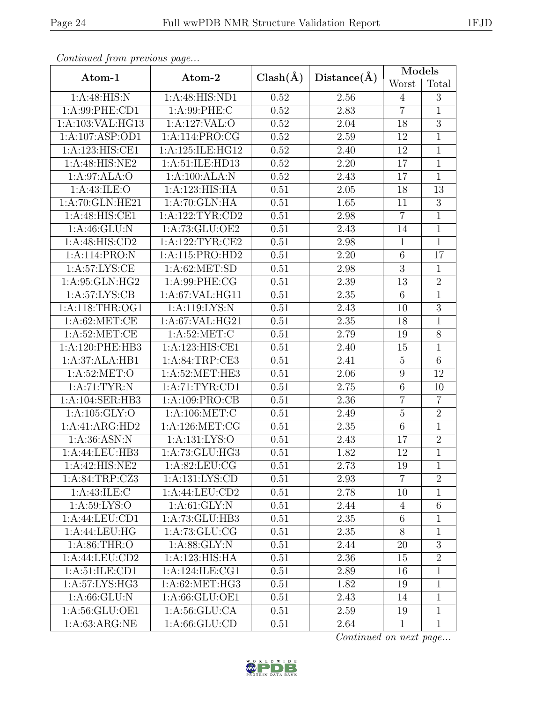| Continueu from pretious page |                    |              |             | Models           |                |  |
|------------------------------|--------------------|--------------|-------------|------------------|----------------|--|
| Atom-1                       | Atom-2             | $Clash(\AA)$ | Distance(A) | Worst            | Total          |  |
| 1:A:48:HIS:N                 | 1:A:48:HIS:ND1     | 0.52         | 2.56        | $\overline{4}$   | 3              |  |
| 1: A:99: PHE:CD1             | 1:A:99:PHE:C       | 0.52         | 2.83        | $\overline{7}$   | 1              |  |
| 1:A:103:VAL:HG13             | 1:A:127:VAL:O      | 0.52         | 2.04        | 18               | $\overline{3}$ |  |
| 1:A:107:ASP:OD1              | 1:A:114:PRO:CG     | 0.52         | 2.59        | 12               | $\mathbf{1}$   |  |
| 1:A:123:HIS:CE1              | 1:A:125:ILE:HG12   | 0.52         | 2.40        | 12               | $\overline{1}$ |  |
| 1:A:48:HIS:NE2               | 1:A:51:ILE:HD13    | 0.52         | 2.20        | 17               | $\overline{1}$ |  |
| 1:A:97:ALA:O                 | 1:A:100:ALA:N      | 0.52         | 2.43        | 17               | $\overline{1}$ |  |
| 1: A:43: ILE: O              | 1:A:123:HIS:HA     | 0.51         | 2.05        | 18               | 13             |  |
| 1:A:70:GLN:HE21              | 1:A:70:GLN:HA      | 0.51         | 1.65        | 11               | $\overline{3}$ |  |
| $1:A:48:HIS:C\overline{E1}$  | 1:A:122:TYR:CD2    | 0.51         | 2.98        | $\overline{7}$   | $\mathbf{1}$   |  |
| 1:A:46:GLU:N                 | 1: A:73: GLU:OE2   | 0.51         | 2.43        | 14               | $\overline{1}$ |  |
| 1:A:48:HIS:CD2               | 1:A:122:TYR:CE2    | 0.51         | 2.98        | $\mathbf 1$      | $\mathbf{1}$   |  |
| 1:A:114:PRO:N                | 1:A:115:PRO:HD2    | 0.51         | 2.20        | $\,6\,$          | 17             |  |
| 1: A:57: LYS: CE             | 1: A:62: MET:SD    | 0.51         | 2.98        | $\overline{3}$   | $\mathbf{1}$   |  |
| 1:A:95:GLN:HG2               | 1:A:99:PHE:CG      | 0.51         | 2.39        | 13               | $\overline{2}$ |  |
| 1: A:57: LYS: CB             | 1:A:67:VAL:HG11    | 0.51         | $2.35\,$    | $\,6$            | $\overline{1}$ |  |
| 1: A:118:THR:OG1             | 1:A:119:LYS:N      | 0.51         | 2.43        | 10               | $\overline{3}$ |  |
| 1: A:62:MET:CE               | 1: A:67: VAL: HG21 | 0.51         | 2.35        | 18               | 1              |  |
| 1: A:52:MET:CE               | 1: A:52:MET:C      | 0.51         | 2.79        | 19               | $8\,$          |  |
| 1:A:120:PHE:HB3              | 1:A:123:HIS:CE1    | 0.51         | 2.40        | 15               | $\mathbf{1}$   |  |
| 1:A:37:ALA:HB1               | 1:A:84:TRP:CE3     | 0.51         | 2.41        | $\overline{5}$   | $\overline{6}$ |  |
| 1: A:52:MET:O                | 1:A:52:MET:HE3     | 0.51         | 2.06        | $\boldsymbol{9}$ | 12             |  |
| 1: A:71: TYR: N              | 1: A:71: TYR: CD1  | 0.51         | 2.75        | $\,6$            | 10             |  |
| 1:A:104:SER:HB3              | 1:A:109:PRO:CB     | 0.51         | 2.36        | $\overline{7}$   | $\overline{7}$ |  |
| 1:A:105:GLY:O                | 1: A:106: MET:C    | 0.51         | 2.49        | $\bf 5$          | $\overline{2}$ |  |
| 1:A:41:ARG:HD2               | 1:A:126:MET:CG     | 0.51         | 2.35        | $\overline{6}$   | $\overline{1}$ |  |
| 1: A:36: ASN:N               | 1:A:131:LYS:O      | 0.51         | 2.43        | 17               | $\sqrt{2}$     |  |
| 1:A:44:LEU:HB3               | 1:A:73:GLU:HG3     | 0.51         | 1.82        | 12               | $\overline{1}$ |  |
| 1:A:42:HIS:NE2               | 1: A:82: LEU: CG   | 0.51         | 2.73        | 19               | $\mathbf{1}$   |  |
| 1:A:84:TRP:CZ3               | 1:A:131:LYS:CD     | 0.51         | 2.93        | $\overline{7}$   | $\overline{2}$ |  |
| 1: A:43: ILE:C               | 1:A:44:LEU:CD2     | 0.51         | 2.78        | 10               | 1              |  |
| 1: A:59: LYS:O               | 1: A:61: GLY:N     | 0.51         | 2.44        | $\overline{4}$   | $\,6\,$        |  |
| 1:A:44:LEU:CD1               | 1:A:73:GLU:HB3     | 0.51         | 2.35        | 6                | 1              |  |
| 1:A:44:LEU:HG                | 1: A:73: GLU:CG    | 0.51         | 2.35        | 8                | $\mathbf{1}$   |  |
| 1: A:86:THR:O                | 1: A:88: GLY:N     | 0.51         | 2.44        | 20               | $\overline{3}$ |  |
| 1:A:44:LEU:CD2               | 1:A:123:HIS:HA     | 0.51         | 2.36        | 15               | $\overline{2}$ |  |
| 1: A:51: ILE: CD1            | 1:A:124:ILE:CG1    | 0.51         | 2.89        | 16               | 1              |  |
| 1:A:57:LYS:HG3               | 1:A:62:MET:HG3     | 0.51         | 1.82        | 19               | $\mathbf{1}$   |  |
| 1: A:66: GLU: N              | 1: A:66: GLU:OE1   | 0.51         | 2.43        | 14               | 1              |  |
| 1:A:56:GLU:OE1               | 1: A:56: GLU:CA    | 0.51         | 2.59        | 19               | $\mathbf{1}$   |  |
| 1: A:63: ARG:NE              | 1: A:66: GLU:CD    | 0.51         | 2.64        | $\mathbf{1}$     | $\mathbf{1}$   |  |

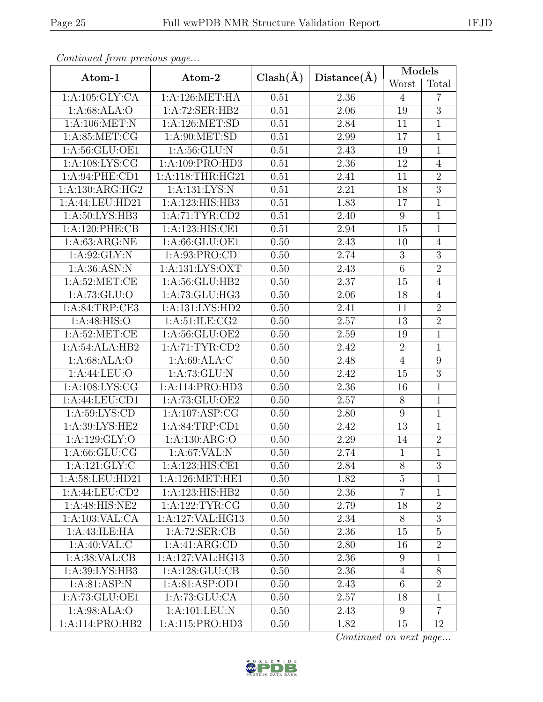| Continued from previous page |                    |              |             | Models          |                |  |
|------------------------------|--------------------|--------------|-------------|-----------------|----------------|--|
| Atom-1                       | Atom-2             | $Clash(\AA)$ | Distance(A) | Worst           | Total          |  |
| 1: A: 105: GLY: CA           | 1: A:126: MET:HA   | 0.51         | 2.36        | $\overline{4}$  | 7              |  |
| 1: A:68: ALA:O               | 1:A:72:SER:HB2     | 0.51         | 2.06        | 19              | $\overline{3}$ |  |
| 1: A:106: MET: N             | 1: A: 126: MET: SD | 0.51         | 2.84        | 11              | $\mathbf{1}$   |  |
| 1: A:85:MET:CG               | 1: A:90:MET:SD     | 0.51         | 2.99        | 17              | $\mathbf{1}$   |  |
| 1:A:56:GLU:OE1               | 1: A:56: GLU: N    | 0.51         | 2.43        | 19              | $\mathbf{1}$   |  |
| 1: A: 108: LYS: CG           | 1:A:109:PRO:HD3    | 0.51         | 2.36        | 12              | $\overline{4}$ |  |
| 1:A:94:PHE:CD1               | 1:A:118:THR:HG21   | 0.51         | 2.41        | 11              | $\overline{2}$ |  |
| 1:A:130:ARG:HG2              | 1:A:131:LYS:N      | 0.51         | 2.21        | 18              | $\overline{3}$ |  |
| 1:A:44:LEU:HD21              | 1:A:123:HIS:HB3    | 0.51         | 1.83        | 17              | $\overline{1}$ |  |
| 1:A:50:LYS:HB3               | 1:A:71:TYR:CD2     | 0.51         | 2.40        | 9               | $\mathbf{1}$   |  |
| 1:A:120:PHE:CB               | 1:A:123:HIS:CE1    | 0.51         | 2.94        | 15              | $\overline{1}$ |  |
| 1: A:63: ARG:NE              | 1:A:66:GLU:OE1     | 0.50         | 2.43        | 10              | $\overline{4}$ |  |
| 1: A:92: GLY:N               | 1:A:93:PRO:CD      | 0.50         | 2.74        | $\mathfrak{Z}$  | $\overline{3}$ |  |
| 1:A:36:ASN:N                 | 1:A:131:LYS:OXT    | 0.50         | 2.43        | $\,6\,$         | $\overline{2}$ |  |
| 1: A:52:MET:CE               | 1:A:56:GLU:HB2     | 0.50         | 2.37        | 15              | $\overline{4}$ |  |
| 1: A:73: GLU:O               | 1:A:73:GLU:HG3     | 0.50         | 2.06        | 18              | $\overline{4}$ |  |
| 1: A:84:TRP:CE3              | 1:A:131:LYS:HD2    | 0.50         | 2.41        | 11              | $\overline{2}$ |  |
| 1: A:48: HIS:O               | 1:A:51:ILE:CG2     | 0.50         | 2.57        | 13              | $\overline{2}$ |  |
| 1: A:52:MET:CE               | 1:A:56:GLU:OE2     | 0.50         | 2.59        | 19              | $\overline{1}$ |  |
| 1:A:54:ALA:HB2               | 1: A:71: TYR: CD2  | 0.50         | 2.42        | $\sqrt{2}$      | $\overline{1}$ |  |
| 1:A:68:ALA:O                 | 1: A:69: ALA: C    | 0.50         | 2.48        | $\overline{4}$  | $\overline{9}$ |  |
| 1: A:44: LEU:O               | 1: A:73: GLU: N    | 0.50         | 2.42        | 15              | $\overline{3}$ |  |
| 1:A:108:LYS:CG               | 1:A:114:PRO:HD3    | 0.50         | 2.36        | 16              | $\overline{1}$ |  |
| 1:A:44:LEU:CD1               | 1:A:73:GLU:OE2     | 0.50         | 2.57        | $8\,$           | $\overline{1}$ |  |
| 1: A:59: LYS: CD             | 1:A:107:ASP:CG     | 0.50         | 2.80        | $9\,$           | $\overline{1}$ |  |
| 1:A:39:LYS:HE2               | 1:A:84:TRP:CD1     | 0.50         | 2.42        | 13              | $\mathbf{1}$   |  |
| 1: A: 129: GLY:O             | 1:A:130:ARG:O      | 0.50         | 2.29        | 14              | $\sqrt{2}$     |  |
| 1: A:66: GLU:CG              | 1:A:67:VAL:N       | 0.50         | 2.74        | $\mathbf{1}$    | $\overline{1}$ |  |
| 1:A:121:GLY:C                | 1:A:123:HIS:CE1    | 0.50         | 2.84        | 8               | 3              |  |
| 1:A:58:LEU:HD21              | 1: A:126: MET:HE1  | 0.50         | 1.82        | $\overline{5}$  | $\mathbf{1}$   |  |
| 1:A:44:LEU:CD2               | 1:A:123:HIS:HB2    | 0.50         | 2.36        | $\overline{7}$  | 1              |  |
| 1:A:48:HIS:NE2               | 1:A:122:TYR:CG     | 0.50         | 2.79        | 18              | $\overline{2}$ |  |
| 1:A:103:VAL:CA               | 1:A:127:VAL:HG13   | 0.50         | 2.34        | 8               | $\overline{3}$ |  |
| 1:A:43:ILE:HA                | 1:A:72:SER:CB      | 0.50         | 2.36        | 15              | $\overline{5}$ |  |
| 1:A:40:VAL:CC                | 1:A:41:ARG:CD      | 0.50         | 2.80        | 16              | $\overline{2}$ |  |
| 1:A:38:VAL:CB                | 1:A:127:VAL:HG13   | 0.50         | 2.36        | 9               | 1              |  |
| 1: A:39: LYS: HB3            | 1: A: 128: GLU: CB | 0.50         | 2.36        | 4               | $8\,$          |  |
| 1: A:81: ASP: N              | 1:A:81:ASP:OD1     | 0.50         | 2.43        | $6\phantom{.}6$ | $\overline{2}$ |  |
| 1: A:73: GLU:OE1             | 1:A:73:GLU:CA      | 0.50         | 2.57        | 18              | $\mathbf{1}$   |  |
| 1:A:98:ALA:O                 | 1:A:101:LEU:N      | 0.50         | 2.43        | 9               | $\overline{7}$ |  |
| 1:A:114:PRO:HB2              | 1:A:115:PRO:HD3    | 0.50         | 1.82        | 15              | 12             |  |

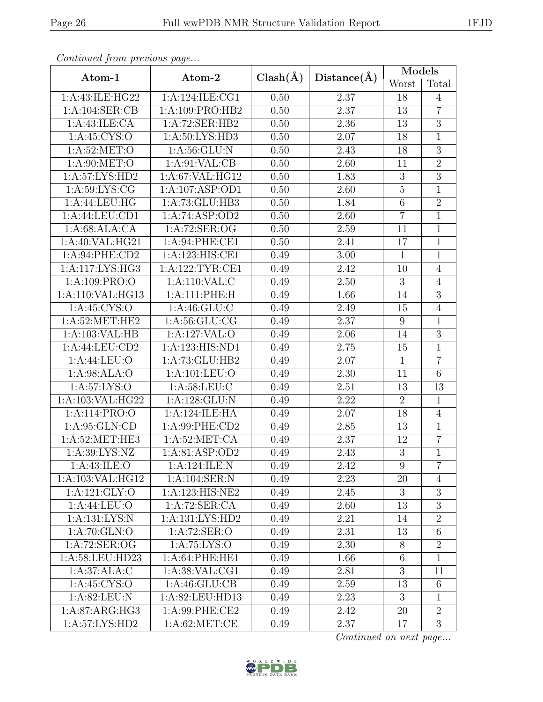| Continual from previous page |                     |              | Distance(A)       | Models         |                  |  |
|------------------------------|---------------------|--------------|-------------------|----------------|------------------|--|
| Atom-1                       | Atom-2              | $Clash(\AA)$ |                   | Worst          | Total            |  |
| 1:A:43:ILE:HG22              | 1:A:124:ILE:CG1     | 0.50         | 2.37              | 18             | $\overline{4}$   |  |
| 1:A:104:SER:CB               | 1:A:109:PRO:HB2     | 0.50         | 2.37              | 13             | $\overline{7}$   |  |
| $1:A:43:ILE:C\overline{A}$   | 1:A:72:SER:HB2      | 0.50         | 2.36              | 13             | $\overline{3}$   |  |
| 1:A:45:CYS:O                 | 1: A:50: LYS: HD3   | 0.50         | 2.07              | 18             | $\mathbf{1}$     |  |
| 1: A:52:MET:O                | 1: A:56: GLU: N     | 0.50         | 2.43              | 18             | $\overline{3}$   |  |
| 1:A:90:MET:O                 | 1: A:91: VAL:CB     | 0.50         | 2.60              | 11             | $\overline{2}$   |  |
| 1:A:57:LYS:HD2               | 1:A:67:VAL:HG12     | 0.50         | 1.83              | $\overline{3}$ | $\overline{3}$   |  |
| 1: A:59: LYS: CG             | 1:A:107:ASP:OD1     | 0.50         | 2.60              | $\bf 5$        | $\mathbf{1}$     |  |
| 1:A:44:LEU:HG                | 1:A:73:GLU:HB3      | 0.50         | 1.84              | $\overline{6}$ | $\overline{2}$   |  |
| 1:A:44:LEU:CD1               | 1:A:74:ASP:OD2      | 0.50         | 2.60              | $\overline{7}$ | $\mathbf{1}$     |  |
| 1:A:68:ALA:CA                | 1:A:72:SER:OG       | 0.50         | 2.59              | 11             | $\overline{1}$   |  |
| 1: A:40: VAL: HG21           | 1:A:94:PHE:CE1      | 0.50         | 2.41              | 17             | $\overline{1}$   |  |
| 1:A:94:PHE:CD2               | 1:A:123:HIS:CE1     | 0.49         | 3.00              | $\mathbf{1}$   | $\overline{1}$   |  |
| 1:A:117:LYS:HG3              | 1:A:122:TYR:CE1     | 0.49         | 2.42              | 10             | $\overline{4}$   |  |
| 1:A:109:PRO:O                | 1:A:110:VAL:C       | 0.49         | 2.50              | $\sqrt{3}$     | $\overline{4}$   |  |
| 1:A:110:VAL:HG13             | 1:A:111:PHE:H       | 0.49         | 1.66              | 14             | $\overline{3}$   |  |
| 1: A:45: CYS:O               | 1: A:46: GLU:C      | 0.49         | 2.49              | 15             | $\overline{4}$   |  |
| 1: A:52:MET:HE2              | 1: A:56: GLU:CG     | 0.49         | 2.37              | $9\,$          | $\overline{1}$   |  |
| 1:A:103:VAL:HB               | 1:A:127:VAL:O       | 0.49         | 2.06              | 14             | $\overline{3}$   |  |
| 1:A:44:LEU:CD2               | 1:A:123:HIS:ND1     | 0.49         | $2.75\,$          | 15             | $\mathbf{1}$     |  |
| 1: A:44: LEU:O               | 1:A:73:GLU:HB2      | 0.49         | 2.07              | $\mathbf{1}$   | $\overline{7}$   |  |
| 1: A:98: ALA:O               | 1:A:101:LEU:O       | 0.49         | 2.30              | 11             | $\overline{6}$   |  |
| 1:A:57:LYS:O                 | 1: A:58:LEU: C      | 0.49         | 2.51              | 13             | 13               |  |
| 1:A:103:VAL:HG22             | 1:A:128:GLU:N       | 0.49         | 2.22              | $\overline{2}$ | $\mathbf{1}$     |  |
| 1:A:114:PRO:O                | 1:A:124:ILE:HA      | 0.49         | 2.07              | 18             | $\overline{4}$   |  |
| 1: A:95: GLN:CD              | 1:A:99:PHE:CD2      | 0.49         | $2.85\,$          | 13             | $\overline{1}$   |  |
| 1: A:52:MET:HE3              | 1: A:52:MET:CA      | 0.49         | 2.37              | 12             | $\overline{7}$   |  |
| 1: A:39: LYS: NZ             | 1: A:81: ASP:OD2    | 0.49         | $\overline{2.43}$ | $\overline{3}$ | $\overline{1}$   |  |
| 1: A:43: ILE: O              | 1:A:124:ILE:N       | 0.49         | 2.42              | 9              | $\overline{7}$   |  |
| 1:A:103:VAL:HG12             | 1:A:104:SER:N       | 0.49         | 2.23              | 20             | $\overline{4}$   |  |
| 1:A:121:GLY:O                | 1:A:123:HIS:NE2     | 0.49         | 2.45              | 3              | $\boldsymbol{3}$ |  |
| 1: A:44: LEU:O               | 1:A:72:SER:CA       | 0.49         | 2.60              | 13             | $\overline{3}$   |  |
| 1:A:131:LYS:N                | 1: A: 131: LYS: HD2 | 0.49         | 2.21              | 14             | $\overline{2}$   |  |
| 1:A:70:GLN:O                 | 1:A:72:SER:O        | 0.49         | 2.31              | 13             | $6\,$            |  |
| 1:A:72:SER:OG                | 1:A:75:LYS:O        | 0.49         | 2.30              | 8              | $\overline{2}$   |  |
| 1:A:58:LEU:HD23              | 1:A:64:PHE:HE1      | 0.49         | 1.66              | 6              | $\overline{1}$   |  |
| 1:A:37:ALA:C                 | 1:A:38:VAL:CG1      | 0.49         | 2.81              | 3              | 11               |  |
| 1:A:45:CYS:O                 | 1: A:46: GLU:CB     | 0.49         | 2.59              | 13             | 6                |  |
| 1: A:82:LEU: N               | 1:A:82:LEU:HD13     | 0.49         | 2.23              | 3              | 1                |  |
| 1: A:87: ARG: HG3            | 1:A:99:PHE:CE2      | 0.49         | 2.42              | 20             | $\overline{2}$   |  |
| 1:A:57:LYS:HD2               | 1: A:62:MET:CE      | 0.49         | 2.37              | 17             | $\overline{3}$   |  |

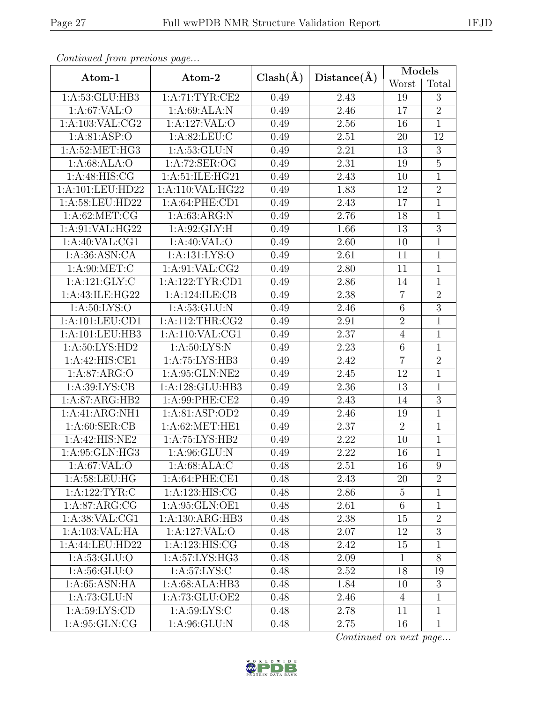| Continuale from previous page         |                     |              |                   | Models         |                |  |
|---------------------------------------|---------------------|--------------|-------------------|----------------|----------------|--|
| Atom-1                                | Atom-2              | $Clash(\AA)$ | Distance(A)       | Worst          | Total          |  |
| 1:A:53:GLU:HB3                        | 1:A:71:TYR:CE2      | 0.49         | 2.43              | 19             | 3              |  |
| 1:A:67:VAL:O                          | 1:A:69:ALA:N        | 0.49         | 2.46              | 17             | $\overline{2}$ |  |
| 1: A: 103: VAL: CG2                   | 1:A:127:VAL:O       | 0.49         | 2.56              | 16             | $\mathbf{1}$   |  |
| 1: A:81: ASP:O                        | 1: A:82: LEU: C     | 0.49         | 2.51              | 20             | 12             |  |
| 1: A:52: MET:HG3                      | 1: A:53: GLU: N     | 0.49         | 2.21              | 13             | $\overline{3}$ |  |
| 1:A:68:ALA:O                          | 1:A:72:SER:OG       | 0.49         | 2.31              | 19             | $\overline{5}$ |  |
| 1:A:48:HIS:CG                         | 1: A:51: ILE: HG21  | 0.49         | 2.43              | 10             | $\overline{1}$ |  |
| 1:A:101:LEU:HD22                      | $1:$ A:110:VAL:HG22 | 0.49         | 1.83              | 12             | $\overline{2}$ |  |
| 1: A:58: LEU:HD22                     | 1:A:64:PHE:CD1      | 0.49         | 2.43              | 17             | $\overline{1}$ |  |
| 1: A:62:MET:CG                        | 1: A:63: ARG:N      | 0.49         | 2.76              | 18             | $\mathbf{1}$   |  |
| 1: A:91: VAL: HG22                    | 1: A:92: GLY: H     | 0.49         | 1.66              | 13             | $\overline{3}$ |  |
| 1:A:40:VAL:CG1                        | 1:A:40:VAL:O        | 0.49         | 2.60              | 10             | $\mathbf{1}$   |  |
| 1: A:36: ASN:CA                       | 1: A: 131: LYS: O   | 0.49         | 2.61              | 11             | $\mathbf{1}$   |  |
| 1: A:90: MET:C                        | 1:A:91:VAL:CG2      | 0.49         | 2.80              | 11             | $\overline{1}$ |  |
| 1:A:121:GLY:C                         | 1:A:122:TYR:CD1     | 0.49         | 2.86              | 14             | $\overline{1}$ |  |
| 1:A:43:ILE:HG22                       | 1:A:124:ILE:CB      | 0.49         | 2.38              | $\overline{7}$ | $\overline{2}$ |  |
| 1: A:50: LYS:O                        | 1:A:53:GLU:N        | 0.49         | 2.46              | $\,6\,$        | $\overline{3}$ |  |
| 1: A: 101: LEU: CD1                   | 1: A:112:THR:CG2    | 0.49         | 2.91              | $\overline{2}$ | $\overline{1}$ |  |
| 1:A:101:LEU:HB3                       | 1:A:110:VAL:CG1     | 0.49         | 2.37              | $\overline{4}$ | $\mathbf{1}$   |  |
| 1:A:50:LYS:HD2                        | 1: A:50: LYS:N      | 0.49         | 2.23              | $\,6$          | $\mathbf{1}$   |  |
| 1:A:42:HIS:CE1                        | 1:A:75:LYS:HB3      | 0.49         | 2.42              | $\overline{7}$ | $\overline{2}$ |  |
| 1:A:87:ARG:O                          | 1:A:95:GLN:NE2      | 0.49         | 2.45              | 12             | $\mathbf{1}$   |  |
| 1: A:39: LYS: CB                      | 1:A:128:GLU:HB3     | 0.49         | 2.36              | 13             | 1              |  |
| 1:A:87:ARG:HB2                        | 1:A:99:PHE:CE2      | 0.49         | 2.43              | 14             | $\overline{3}$ |  |
| 1:A:41:ARG:NH1                        | 1:A:81:ASP:OD2      | 0.49         | 2.46              | 19             | $\mathbf{1}$   |  |
| 1: A:60: SER:CB                       | 1:A:62:MET:HE1      | 0.49         | 2.37              | $\overline{2}$ | $\overline{1}$ |  |
| 1:A:42:HIS:NE2                        | 1:A:75:LYS:HB2      | 0.49         | 2.22              | 10             | $\mathbf 1$    |  |
| 1: A:95: GLN:HG3                      | 1: A:96: GLU: N     | 0.49         | $\overline{2.22}$ | 16             | $\overline{1}$ |  |
| 1: A:67: VAL:O                        | 1: A:68: ALA: C     | 0.48         | 2.51              | 16             | 9              |  |
| $1: A:58: \overline{\textrm{LEU:HG}}$ | 1:A:64:PHE:CE1      | 0.48         | 2.43              | 20             | $\overline{2}$ |  |
| 1:A:122:TYR:C                         | 1:A:123:HIS:CG      | 0.48         | 2.86              | 5              | 1              |  |
| 1: A:87: ARG:CG                       | 1:A:95:GLN:OE1      | 0.48         | 2.61              | $\,6\,$        | $\mathbf{1}$   |  |
| 1: A:38: VAL:CG1                      | 1:A:130:ARG:HB3     | 0.48         | 2.38              | 15             | $\overline{2}$ |  |
| 1:A:103:VAL:HA                        | 1:A:127:VAL:O       | 0.48         | 2.07              | 12             | $\overline{3}$ |  |
| 1:A:44:LEU:HD22                       | 1:A:123:HIS:CG      | 0.48         | 2.42              | 15             | 1              |  |
| 1: A: 53: GLU:O                       | 1:A:57:LYS:HG3      | 0.48         | 2.09              | $\mathbf{1}$   | 8              |  |
| 1: A:56: GLU:O                        | 1: A:57: LYS:C      | 0.48         | 2.52              | 18             | 19             |  |
| 1: A:65: ASN: HA                      | 1:A:68:ALA:HB3      | 0.48         | 1.84              | 10             | 3              |  |
| 1: A:73: GLU: N                       | 1: A:73: GLU:OE2    | 0.48         | 2.46              | $\overline{4}$ | 1              |  |
| 1:A:59:LYS:CD                         | 1: A:59: LYS:C      | 0.48         | 2.78              | 11             | $\mathbf{1}$   |  |
| 1: A:95: GLN:CG                       | 1: A:96: GLU: N     | 0.48         | 2.75              | 16             | 1              |  |

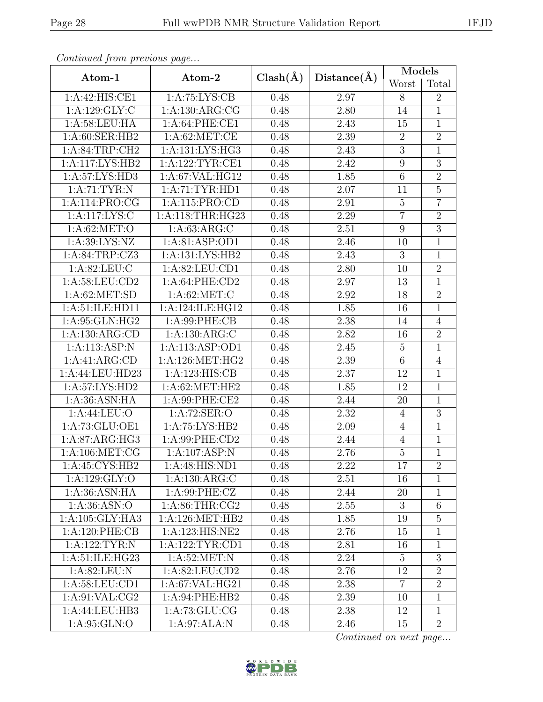| Continuale from previous page |                   |              |             | Models           |                |  |
|-------------------------------|-------------------|--------------|-------------|------------------|----------------|--|
| Atom-1                        | Atom-2            | $Clash(\AA)$ | Distance(A) | Worst            | Total          |  |
| 1:A:42:HIS:CE1                | 1:A:75:LYS:CB     | 0.48         | 2.97        | 8                | $\overline{2}$ |  |
| 1:A:129:GLY:C                 | 1:A:130:ARG:CG    | 0.48         | 2.80        | 14               | $\mathbf{1}$   |  |
| 1:A:58:LEU:HA                 | 1: A:64:PHE:CE1   | 0.48         | 2.43        | 15               | $\mathbf{1}$   |  |
| 1:A:60:SER:HB2                | 1: A:62:MET:CE    | 0.48         | 2.39        | $\overline{2}$   | $\overline{2}$ |  |
| 1: A:84:TRP:CH2               | 1:A:131:LYS:HG3   | 0.48         | 2.43        | $\mathfrak{Z}$   | $\mathbf{1}$   |  |
| 1:A:117:LYS:HB2               | 1:A:122:TYR:CE1   | 0.48         | 2.42        | $\boldsymbol{9}$ | $\overline{3}$ |  |
| 1: A:57: LYS: HD3             | 1:A:67:VAL:HG12   | 0.48         | 1.85        | $\overline{6}$   | $\overline{2}$ |  |
| 1: A:71:TYR:N                 | 1: A:71: TYR: HD1 | 0.48         | 2.07        | 11               | $\overline{5}$ |  |
| 1:A:114:PRO:CG                | 1:A:115:PRO:CD    | 0.48         | 2.91        | $\overline{5}$   | $\overline{7}$ |  |
| 1:A:117:LYS:C                 | 1:A:118:THR:HG23  | 0.48         | 2.29        | $\overline{7}$   | $\overline{2}$ |  |
| 1: A:62:MET:O                 | 1:A:63:ARG:C      | 0.48         | 2.51        | $\overline{9}$   | $\overline{3}$ |  |
| 1:A:39:LYS:NZ                 | 1:A:81:ASP:OD1    | 0.48         | 2.46        | 10               | $\mathbf{1}$   |  |
| 1:A:84:TRP:CZ3                | 1:A:131:LYS:HB2   | 0.48         | 2.43        | 3                | $\overline{1}$ |  |
| 1: A:82:LEU: C                | 1:A:82:LEU:CD1    | 0.48         | 2.80        | 10               | $\overline{2}$ |  |
| 1:A:58:LEU:CD2                | 1:A:64:PHE:CD2    | 0.48         | 2.97        | 13               | $\overline{1}$ |  |
| 1: A:62: MET:SD               | 1: A:62:MET:C     | 0.48         | 2.92        | 18               | $\overline{2}$ |  |
| 1:A:51:ILE:HD11               | 1:A:124:ILE:HG12  | 0.48         | 1.85        | 16               | $\overline{1}$ |  |
| 1:A:95:GLN:HG2                | 1: A:99: PHE:CB   | 0.48         | 2.38        | 14               | $\overline{4}$ |  |
| 1: A: 130: ARG: CD            | 1:A:130:ARG:C     | 0.48         | 2.82        | 16               | $\overline{2}$ |  |
| 1:A:113:ASP:N                 | 1:A:113:ASP:OD1   | 0.48         | 2.45        | $\mathbf 5$      | $\overline{1}$ |  |
| 1:A:41:ARG:CD                 | 1: A:126: MET:HG2 | 0.48         | 2.39        | $\overline{6}$   | $\overline{4}$ |  |
| 1:A:44:LEU:HD23               | 1:A:123:HIS:CB    | 0.48         | 2.37        | 12               | $\mathbf{1}$   |  |
| 1:A:57:LYS:HD2                | 1:A:62:MET:HE2    | 0.48         | 1.85        | 12               | $\mathbf{1}$   |  |
| 1: A:36: ASN: HA              | 1:A:99:PHE:CE2    | 0.48         | 2.44        | 20               | $\overline{1}$ |  |
| 1: A:44: LEU:O                | 1:A:72:SER:O      | 0.48         | 2.32        | $\overline{4}$   | $\overline{3}$ |  |
| 1: A:73: GLU:OE1              | 1:A:75:LYS:HB2    | 0.48         | 2.09        | $\overline{4}$   | $\overline{1}$ |  |
| 1: A:87: ARG: HG3             | 1:A:99:PHE:CD2    | 0.48         | 2.44        | $\overline{4}$   | 1              |  |
| 1: A:106: MET:CG              | 1:A:107:ASP:N     | 0.48         | 2.76        | $\overline{5}$   | $\overline{1}$ |  |
| 1:A:45:CYS:HB2                | 1:A:48:HIS:ND1    | 0.48         | 2.22        | 17               | $\overline{2}$ |  |
| 1: A: 129: GLY:O              | 1:A:130:ARG:C     | 0.48         | 2.51        | 16               | $\mathbf{1}$   |  |
| 1:A:36:ASN:HA                 | 1: A:99: PHE: CZ  | 0.48         | 2.44        | $20\,$           | 1              |  |
| 1: A:36: ASN:O                | 1: A:86:THR:CG2   | 0.48         | 2.55        | 3                | $\sqrt{6}$     |  |
| 1: A: 105: GLY: HA3           | 1: A:126: MET:HB2 | 0.48         | 1.85        | 19               | $\overline{5}$ |  |
| 1:A:120:PHE:CB                | 1:A:123:HIS:NE2   | 0.48         | 2.76        | 15               | 1              |  |
| 1:A:122:TYR:N                 | 1: A:122:TYR:CD1  | 0.48         | 2.81        | 16               | 1              |  |
| 1: A:51: ILE: HG23            | 1: A:52:MET:N     | 0.48         | 2.24        | $\overline{5}$   | 3              |  |
| 1: A:82:LEU: N                | 1:A:82:LEU:CD2    | 0.48         | 2.76        | 12               | $\overline{2}$ |  |
| 1: A:58: LEU:CD1              | 1:A:67:VAL:HG21   | 0.48         | 2.38        | $\overline{7}$   | $\overline{2}$ |  |
| 1: A:91: VAL: CG2             | 1:A:94:PHE:HB2    | 0.48         | 2.39        | 10               | $\mathbf{1}$   |  |
| 1:A:44:LEU:HB3                | 1: A:73: GLU:CG   | 0.48         | 2.38        | 12               | $\mathbf{1}$   |  |
| 1: A:95: GLN:O                | 1:A:97:ALA:N      | 0.48         | 2.46        | 15               | $\overline{2}$ |  |

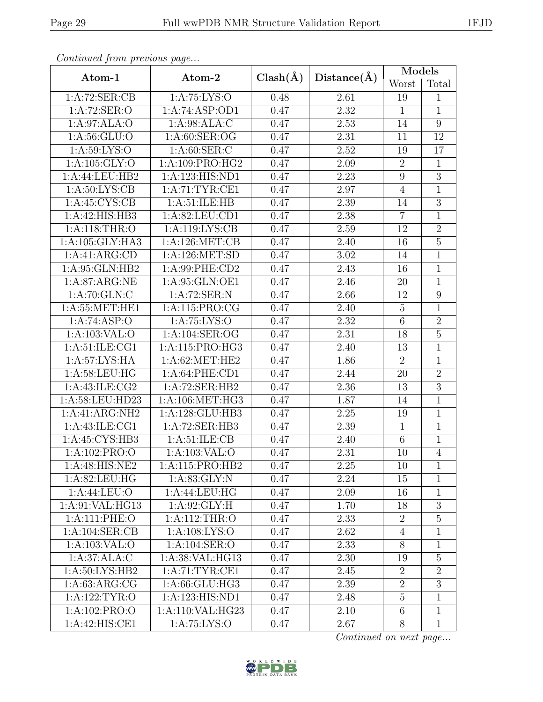| Continual from previous page |                   |              |                   | Models           |                |
|------------------------------|-------------------|--------------|-------------------|------------------|----------------|
| Atom-1                       | Atom-2            | $Clash(\AA)$ | Distance(A)       | Worst            | Total          |
| 1:A:72:SER:CB                | 1:A:75:LYS:O      | 0.48         | 2.61              | 19               | $\mathbf{1}$   |
| 1:A:72:SER:O                 | 1:A:74:ASP:OD1    | 0.47         | 2.32              | $\mathbf{1}$     | $\mathbf{1}$   |
| 1:A:97:ALA:O                 | 1:A:98:ALA:C      | 0.47         | 2.53              | 14               | $\overline{9}$ |
| 1: A:56: GLU:O               | 1: A:60: SER:OG   | 0.47         | 2.31              | 11               | 12             |
| 1: A:59: LYS:O               | 1: A:60: SER: C   | 0.47         | 2.52              | 19               | 17             |
| 1:A:105:GLY:O                | 1:A:109:PRO:HG2   | 0.47         | 2.09              | $\overline{2}$   | $\mathbf{1}$   |
| 1:A:44:LEU:HB2               | 1:A:123:HIS:ND1   | 0.47         | 2.23              | $\boldsymbol{9}$ | $\overline{3}$ |
| 1: A:50: LYS: CB             | 1: A:71:TYR:CE1   | 0.47         | 2.97              | $\overline{4}$   | $\mathbf{1}$   |
| 1: A:45: CYS:CB              | 1: A:51: ILE: HB  | 0.47         | 2.39              | 14               | $\overline{3}$ |
| 1:A:42:HIS:HB3               | 1:A:82:LEU:CD1    | 0.47         | 2.38              | $\overline{7}$   | $\mathbf{1}$   |
| 1:A:118:THR:O                | 1:A:119:LYS:CB    | 0.47         | 2.59              | 12               | $\overline{2}$ |
| 1: A: 105: GLY: HA3          | 1:A:126:MET:CB    | 0.47         | 2.40              | 16               | $\overline{5}$ |
| 1:A:41:ARG:CD                | 1: A:126: MET:SD  | 0.47         | 3.02              | 14               | $\overline{1}$ |
| 1:A:95:GLN:HB2               | 1:A:99:PHE:CD2    | 0.47         | 2.43              | 16               | $\mathbf{1}$   |
| 1: A:87: ARG: NE             | 1:A:95:GLN:OE1    | 0.47         | 2.46              | 20               | $\mathbf{1}$   |
| 1: A:70: GLN: C              | 1:A:72:SER:N      | 0.47         | 2.66              | 12               | $\overline{9}$ |
| 1: A:55:MET:HE1              | 1:A:115:PRO:CG    | 0.47         | 2.40              | $\overline{5}$   | $\mathbf{1}$   |
| 1:A:74:ASP:O                 | 1:A:75:LYS:O      | 0.47         | 2.32              | $\overline{6}$   | $\overline{2}$ |
| 1:A:103:VAL:O                | 1:A:104:SER:OG    | 0.47         | 2.31              | 18               | $\overline{5}$ |
| 1: A:51: ILE: CG1            | 1:A:115:PRO:HG3   | 0.47         | 2.40              | 13               | $\mathbf{1}$   |
| 1: A:57: LYS: HA             | 1: A:62: MET:HE2  | 0.47         | 1.86              | $\overline{2}$   | $\mathbf{1}$   |
| 1: A:58:LEU:HG               | 1:A:64:PHE:CD1    | 0.47         | 2.44              | 20               | $\overline{2}$ |
| 1:A:43:ILE:CG2               | 1:A:72:SER:HB2    | 0.47         | 2.36              | 13               | $\overline{3}$ |
| 1:A:58:LEU:HD23              | 1: A:106: MET:HG3 | 0.47         | 1.87              | 14               | $\mathbf{1}$   |
| 1:A:41:ARG:NH2               | 1:A:128:GLU:HB3   | 0.47         | 2.25              | 19               | $\mathbf 1$    |
| 1:A:43:ILE:CG1               | 1:A:72:SER:HB3    | 0.47         | 2.39              | $\mathbf{1}$     | $\overline{1}$ |
| 1:A:45:CYS:HB3               | 1: A:51: ILE: CB  | 0.47         | 2.40              | $6\,$            | $\mathbf{1}$   |
| 1:A:102:PRO:O                | 1:A:103:VAL:O     | 0.47         | $\overline{2.31}$ | 10               | $\overline{4}$ |
| 1:A:48:HIS:NE2               | 1: A:115: PRO:HB2 | 0.47         | 2.25              | 10               | 1              |
| 1: A:82: LEU: HG             | 1: A:83: GLY:N    | 0.47         | 2.24              | 15               | 1              |
| 1: A:44: LEU:O               | 1: A:44: LEU: HG  | 0.47         | 2.09              | 16               | 1              |
| 1:A:91:VAL:HG13              | 1: A:92: GLY: H   | 0.47         | 1.70              | 18               | $\overline{3}$ |
| 1:A:111:PHE:O                | 1: A:112:THR:O    | 0.47         | 2.33              | $\overline{2}$   | $\mathbf 5$    |
| 1:A:104:SER:CB               | 1:A:108:LYS:O     | 0.47         | 2.62              | $\overline{4}$   | 1              |
| 1:A:103:VAL:O                | 1:A:104:SER:O     | 0.47         | 2.33              | 8                | 1              |
| 1:A:37:ALA:C                 | 1:A:38:VAL:HG13   | 0.47         | 2.30              | 19               | $\overline{5}$ |
| 1: A:50: LYS: HB2            | 1: A:71: TYR: CE1 | 0.47         | 2.45              | $\overline{2}$   | $\overline{2}$ |
| 1: A:63: ARG:CG              | 1:A:66:GLU:HG3    | 0.47         | 2.39              | $\overline{2}$   | $\overline{3}$ |
| 1: A: 122: TYR: O            | 1:A:123:HIS:ND1   | 0.47         | 2.48              | $\overline{5}$   | $\mathbf{1}$   |
| 1:A:102:PRO:O                | 1:A:110:VAL:HG23  | 0.47         | 2.10              | $6\phantom{.}6$  | $\mathbf{1}$   |
| 1:A:42:HIS:CE1               | 1:A:75:LYS:O      | 0.47         | 2.67              | 8                | $\mathbf{1}$   |

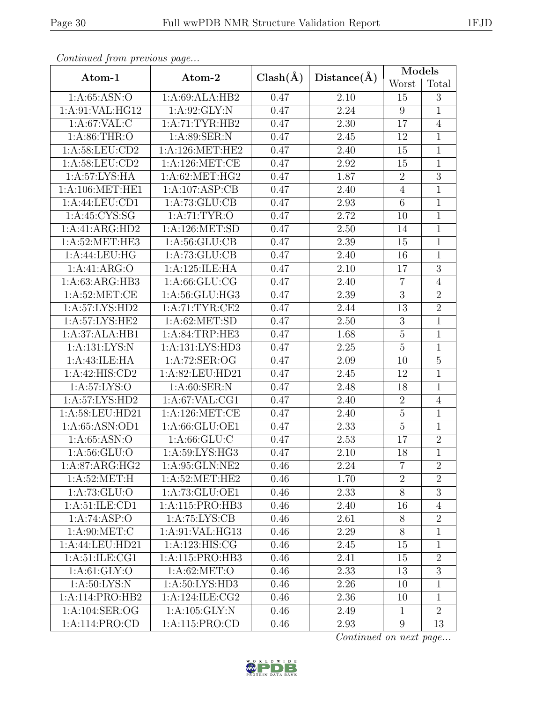| Continual from previous page |                     |              | Distance(A)       | Models          |                |  |
|------------------------------|---------------------|--------------|-------------------|-----------------|----------------|--|
| Atom-1                       | Atom-2              | $Clash(\AA)$ |                   | Worst           | Total          |  |
| 1: A:65: ASN:O               | 1:A:69:ALA:HB2      | 0.47         | 2.10              | 15              | 3              |  |
| 1:A:91:VAL:HG12              | 1:A:92:GLY:N        | 0.47         | 2.24              | $9\phantom{.0}$ | $\overline{1}$ |  |
| 1: A:67: VAL:C               | 1:A:71:TYR:HB2      | 0.47         | $2.30\,$          | 17              | $\overline{4}$ |  |
| 1: A:86:THR:O                | 1:A:89:SER:N        | 0.47         | 2.45              | 12              | $\mathbf 1$    |  |
| 1: A:58:LEU:CD2              | 1: A:126: MET:HE2   | 0.47         | 2.40              | 15              | $\mathbf{1}$   |  |
| 1: A:58: LEU:CD2             | 1:A:126:MET:CE      | 0.47         | 2.92              | 15              | 1              |  |
| 1: A:57: LYS: HA             | 1:A:62:MET:HG2      | 0.47         | 1.87              | $\overline{2}$  | $\overline{3}$ |  |
| 1: A:106: MET:HE1            | 1:A:107:ASP:CB      | 0.47         | 2.40              | $\overline{4}$  | $\mathbf{1}$   |  |
| 1:A:44:LEU:CD1               | 1:A:73:GLU:CB       | 0.47         | 2.93              | $\overline{6}$  | $\overline{1}$ |  |
| 1: A:45: CYS:SG              | 1: A:71: TYR:O      | 0.47         | 2.72              | 10              | $\mathbf{1}$   |  |
| $1:A:41:\overline{ARG:HD2}$  | 1:A:126:MET:SD      | 0.47         | 2.50              | 14              | $\overline{1}$ |  |
| 1: A:52:MET:HE3              | 1: A:56: GLU:CB     | 0.47         | 2.39              | 15              | $\overline{1}$ |  |
| 1:A:44:LEU:HG                | 1: A:73: GLU:CB     | 0.47         | 2.40              | 16              | $\overline{1}$ |  |
| 1:A:41:ARG:O                 | 1:A:125:ILE:HA      | 0.47         | 2.10              | 17              | $\overline{3}$ |  |
| 1: A:63: ARG:HB3             | 1: A:66: GLU:CG     | 0.47         | 2.40              | $\overline{7}$  | $\overline{4}$ |  |
| 1: A:52:MET:CE               | 1:A:56:GLU:HG3      | 0.47         | 2.39              | $\overline{3}$  | $\overline{2}$ |  |
| 1:A:57:LYS:HD2               | 1:A:71:TYR:CE2      | 0.47         | 2.44              | 13              | $\overline{2}$ |  |
| 1:A:57:LYS:HE2               | 1: A:62: MET:SD     | 0.47         | 2.50              | $\overline{3}$  | $\mathbf{1}$   |  |
| 1:A:37:ALA:HB1               | 1:A:84:TRP:HE3      | 0.47         | 1.68              | $\overline{5}$  | $\overline{1}$ |  |
| 1:A:131:LYS:N                | 1: A: 131: LYS: HD3 | 0.47         | 2.25              | $\overline{5}$  | $\mathbf{1}$   |  |
| 1:A:43:ILE:HA                | 1:A:72:SER:OG       | 0.47         | 2.09              | 10              | $\overline{5}$ |  |
| 1:A:42:HIS:CD2               | 1:A:82:LEU:HD21     | 0.47         | 2.45              | 12              | $\overline{1}$ |  |
| 1:A:57:LYS:O                 | 1: A:60: SER: N     | 0.47         | 2.48              | 18              | $\mathbf{1}$   |  |
| 1:A:57:LYS:HD2               | 1:A:67:VAL:CG1      | 0.47         | 2.40              | $\sqrt{2}$      | $\overline{4}$ |  |
| 1:A:58:LEU:HD21              | 1:A:126:MET:CE      | 0.47         | 2.40              | $\bf 5$         | 1              |  |
| 1: A:65: ASN:OD1             | 1:A:66:GLU:OE1      | 0.47         | 2.33              | $\overline{5}$  | $\overline{1}$ |  |
| 1: A:65: ASN:O               | 1: A:66: GLU:C      | 0.47         | 2.53              | 17              | $\overline{2}$ |  |
| 1: A: 56: GLU:O              | 1: A:59: LYS: HG3   | 0.47         | $\overline{2.10}$ | 18              | $\overline{1}$ |  |
| 1:A:87:ARG:HG2               | 1:A:95:GLN:NE2      | 0.46         | 2.24              | $\overline{7}$  | $\overline{2}$ |  |
| 1: A:52:MET:H                | 1: A:52: MET:HE2    | 0.46         | 1.70              | $\overline{2}$  | $\overline{2}$ |  |
| 1: A: 73: GLU:O              | 1: A:73: GLU:OE1    | 0.46         | 2.33              | $8\,$           | $\overline{3}$ |  |
| 1: A:51: ILE: CD1            | 1:A:115:PRO:HB3     | 0.46         | 2.40              | 16              | $\overline{4}$ |  |
| 1:A:74:ASP:O                 | 1: A:75: LYS: CB    | 0.46         | 2.61              | 8               | $\overline{2}$ |  |
| 1: A:90:MET:C                | 1:A:91:VAL:HG13     | 0.46         | 2.29              | $8\,$           | 1              |  |
| 1:A:44:LEU:HD21              | 1:A:123:HIS:CG      | 0.46         | 2.45              | 15              | 1              |  |
| 1: A:51: ILE: CG1            | 1:A:115:PRO:HB3     | 0.46         | 2.41              | 15              | $\overline{2}$ |  |
| 1: A:61: GLY:O               | 1: A:62: MET:O      | 0.46         | 2.33              | 13              | $\overline{3}$ |  |
| 1: A:50: LYS: N              | 1:A:50:LYS:HD3      | 0.46         | 2.26              | 10              | 1              |  |
| 1:A:114:PRO:HB2              | 1:A:124:ILE:CG2     | 0.46         | 2.36              | 10              | $\mathbf{1}$   |  |
| 1:A:104:SER:OG               | 1: A: 105: GLY:N    | 0.46         | 2.49              | $\mathbf{1}$    | $\overline{2}$ |  |
| 1:A:114:PRO:CD               | 1:A:115:PRO:CD      | 0.46         | 2.93              | $9\phantom{.}$  | 13             |  |

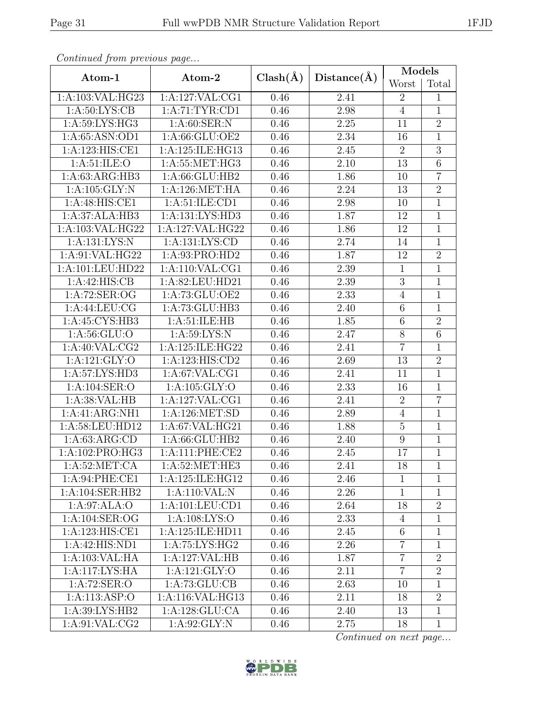| Continued from previous page |                            |              | Distance(A)       | Models           |                |  |
|------------------------------|----------------------------|--------------|-------------------|------------------|----------------|--|
| Atom-1                       | Atom-2                     | $Clash(\AA)$ |                   | Worst            | Total          |  |
| 1:A:103:VAL:HG23             | 1:A:127:VAL:CG1            | 0.46         | 2.41              | $\overline{2}$   | 1              |  |
| 1: A:50: LYS: CB             | 1:A:71:TYR:CD1             | 0.46         | 2.98              | $\overline{4}$   | $\overline{1}$ |  |
| 1:A:59:LYS:HG3               | 1: A:60: SER: N            | 0.46         | 2.25              | 11               | $\overline{2}$ |  |
| 1:A:65:ASN:OD1               | 1:A:66:GLU:OE2             | 0.46         | 2.34              | 16               | $\overline{1}$ |  |
| 1:A:123:HIS:CE1              | 1:A:125:ILE:HG13           | 0.46         | 2.45              | $\overline{2}$   | $\overline{3}$ |  |
| 1: A:51: ILE: O              | 1:A:55:MET:HG3             | 0.46         | 2.10              | 13               | $\overline{6}$ |  |
| 1:A:63:ARG:HB3               | 1:A:66:GLU:HB2             | 0.46         | 1.86              | 10               | $\overline{7}$ |  |
| 1: A: 105: GLY: N            | 1:A:126:MET:HA             | 0.46         | 2.24              | 13               | $\overline{2}$ |  |
| 1:A:48:HIS:CE1               | 1:A:51:ILE:CD1             | 0.46         | 2.98              | 10               | $\overline{1}$ |  |
| 1:A:37:ALA:HB3               | 1: A: 131: LYS: HD3        | 0.46         | 1.87              | 12               | $\mathbf 1$    |  |
| 1:A:103:VAL:HG22             | 1:A:127:VAL:HG22           | 0.46         | 1.86              | $\overline{12}$  | $\overline{1}$ |  |
| 1:A:131:LYS:N                | 1:A:131:LYS:CD             | 0.46         | 2.74              | 14               | $\mathbf{1}$   |  |
| 1:A:91:VAL:HG22              | 1:A:93:PRO:HD2             | 0.46         | 1.87              | 12               | $\overline{2}$ |  |
| 1:A:101:LEU:HD22             | 1:A:110:VAL:CG1            | 0.46         | 2.39              | $\mathbf{1}$     | $\mathbf{1}$   |  |
| 1:A:42:HIS:CB                | 1:A:82:LEU:HD21            | 0.46         | 2.39              | $\overline{3}$   | $\overline{1}$ |  |
| 1:A:72:SER:OG                | 1:A:73:GLU:OE2             | 0.46         | $\overline{2.33}$ | $\overline{4}$   | $\overline{1}$ |  |
| 1: A:44:LEU:CG               | 1:A:73:GLU:HB3             | 0.46         | 2.40              | $\,6$            | $\overline{1}$ |  |
| 1:A:45:CYS:HB3               | 1: A:51: ILE: HB           | 0.46         | 1.85              | 6                | $\overline{2}$ |  |
| 1: A:56: GLU:O               | 1: A:59: LYS:N             | 0.46         | 2.47              | $8\,$            | $\overline{6}$ |  |
| 1: A:40: VAL: CG2            | 1:A:125:ILE:HG22           | 0.46         | 2.41              | $\overline{7}$   | $\mathbf{1}$   |  |
| 1:A:121:GLY:O                | 1:A:123:HIS:CD2            | 0.46         | 2.69              | 13               | $\overline{2}$ |  |
| 1:A:57:LYS:HD3               | 1:A:67:VAL:CG1             | 0.46         | 2.41              | 11               | $\mathbf{1}$   |  |
| 1:A:104:SER:O                | 1:A:105:GLY:O              | 0.46         | 2.33              | 16               | $\mathbf{1}$   |  |
| 1:A:38:VAL:HB                | 1:A:127:VAL:CG1            | 0.46         | 2.41              | $\sqrt{2}$       | $\overline{7}$ |  |
| 1:A:41:ARG:NH1               | 1:A:126:MET:SD             | 0.46         | 2.89              | $\overline{4}$   | $\mathbf{1}$   |  |
| 1:A:58:LEU:HD12              | 1:A:67:VAL:HG21            | 0.46         | 1.88              | $\overline{5}$   | $\mathbf 1$    |  |
| 1: A:63: ARG:CD              | 1:A:66:GLU:HB2             | 0.46         | 2.40              | $\boldsymbol{9}$ | $\mathbf 1$    |  |
| 1:A:102:PRO:HG3              | 1:A:111:PHE:CE2            | 0.46         | $\overline{2}.45$ | 17               | $\overline{1}$ |  |
| 1: A:52:MET:CA               | 1: A:52: MET:HE3           | 0.46         | 2.41              | 18               | $\mathbf{1}$   |  |
| 1:A:94:PHE:CE1               | 1:A:125:ILE:HG12           | 0.46         | 2.46              | $\mathbf{1}$     | $\mathbf{1}$   |  |
| 1:A:104:SER:HB2              | $1:A:110:\overline{VAL}:N$ | 0.46         | 2.26              | $\mathbf{1}$     | $\mathbf{1}$   |  |
| 1:A:97:ALA:O                 | 1: A: 101: LEU: CD1        | 0.46         | 2.64              | 18               | $\overline{2}$ |  |
| 1:A:104:SER:OG               | 1: A: 108: LYS: O          | 0.46         | 2.33              | 4                | $\mathbf{1}$   |  |
| 1:A:123:HIS:CE1              | 1:A:125:ILE:HD11           | 0.46         | 2.45              | $\sqrt{6}$       | $\mathbf{1}$   |  |
| 1:A:42:HIS:ND1               | 1: A:75: LYS: HG2          | 0.46         | 2.26              | $\overline{7}$   | 1              |  |
| 1:A:103:VAL:HA               | 1:A:127:VAL:HB             | 0.46         | 1.87              | $\overline{7}$   | $\overline{2}$ |  |
| 1:A:117:LYS:HA               | 1:A:121:GLY:O              | 0.46         | 2.11              | $\overline{7}$   | $\overline{2}$ |  |
| 1:A:72:SER:O                 | 1: A:73: GLU:CB            | 0.46         | 2.63              | 10               | $\mathbf{1}$   |  |
| 1:A:113:ASP:O                | 1:A:116:VAL:HG13           | 0.46         | 2.11              | 18               | $\overline{2}$ |  |
| 1:A:39:LYS:HB2               | 1:A:128:GLU:CA             | 0.46         | 2.40              | 13               | $\overline{1}$ |  |
| 1: A:91: VAL: CG2            | 1: A:92: GLY:N             | 0.46         | 2.75              | 18               | $\mathbf{1}$   |  |

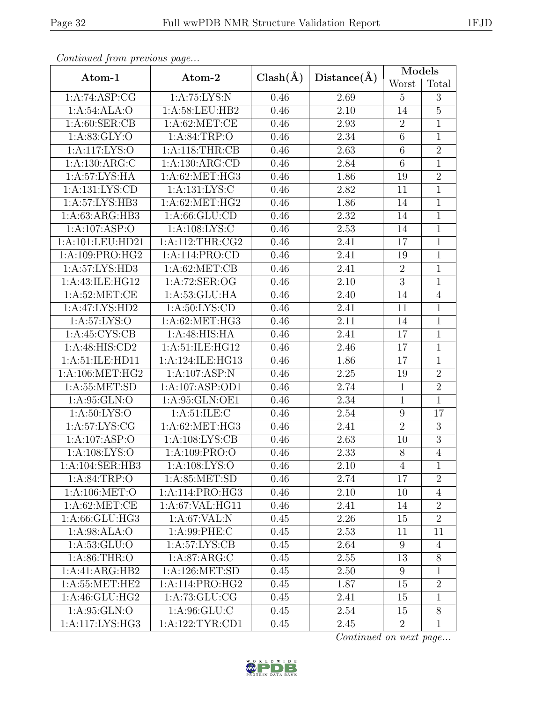| Convenaca from previous page |                    |              | Distance(A)       | Models          |                |  |
|------------------------------|--------------------|--------------|-------------------|-----------------|----------------|--|
| Atom-1                       | Atom-2             | $Clash(\AA)$ |                   | Worst           | Total          |  |
| 1:A:74:ASP:CG                | 1:A:75:LYS:N       | 0.46         | 2.69              | $\overline{5}$  | 3              |  |
| 1:A:54:ALA:O                 | 1: A:58: LEU: HB2  | 0.46         | 2.10              | 14              | $\overline{5}$ |  |
| 1: A:60: SER:CB              | 1: A:62:MET:CE     | 0.46         | 2.93              | $\sqrt{2}$      | $\mathbf{1}$   |  |
| 1: A:83: GLY:O               | 1: A:84:TRP:O      | 0.46         | 2.34              | $\overline{6}$  | $\overline{1}$ |  |
| 1:A:117:LYS:O                | 1: A:118:THR:CB    | 0.46         | 2.63              | $\,6\,$         | $\overline{2}$ |  |
| 1:A:130:ARG:C                | 1:A:130:ARG:CD     | 0.46         | 2.84              | $\,6$           | $\mathbf{1}$   |  |
| 1:A:57:LYS:HA                | 1:A:62:MET:HG3     | 0.46         | 1.86              | 19              | $\overline{2}$ |  |
| 1:A:131:LYS:CD               | 1:A:131:LYS:C      | 0.46         | 2.82              | 11              | $\overline{1}$ |  |
| 1:A:57:LYS:HB3               | 1:A:62:MET:HG2     | 0.46         | 1.86              | 14              | $\overline{1}$ |  |
| 1:A:63:ARG:HB3               | 1: A:66: GLU:CD    | 0.46         | 2.32              | 14              | $\mathbf 1$    |  |
| 1:A:107:ASP:O                | 1:A:108:LYS:C      | 0.46         | 2.53              | 14              | $\overline{1}$ |  |
| 1:A:101:LEU:HD21             | 1: A:112:THR:CG2   | 0.46         | 2.41              | 17              | $\overline{1}$ |  |
| 1:A:109:PRO:HG2              | 1:A:114:PRO:CD     | 0.46         | 2.41              | 19              | $\overline{1}$ |  |
| 1:A:57:LYS:HD3               | 1: A:62: MET:CB    | 0.46         | 2.41              | $\sqrt{2}$      | $\mathbf{1}$   |  |
| 1:A:43:ILE:HG12              | 1:A:72:SER:OG      | 0.46         | 2.10              | $\overline{3}$  | $\mathbf{1}$   |  |
| 1: A:52:MET:CE               | 1: A: 53: GLU: HA  | 0.46         | 2.40              | 14              | $\overline{4}$ |  |
| 1:A:47:LYS:HD2               | 1: A:50: LYS: CD   | 0.46         | 2.41              | 11              | $\mathbf{1}$   |  |
| 1:A:57:LYS:O                 | 1: A:62:MET:HG3    | 0.46         | $\overline{2}.11$ | 14              | $\overline{1}$ |  |
| 1:A:45:CYS:CB                | 1:A:48:HIS:HA      | 0.46         | 2.41              | 17              | 1              |  |
| 1:A:48:HIS:CD2               | 1:A:51:ILE:HG12    | 0.46         | 2.46              | 17              | $\mathbf{1}$   |  |
| 1:A:51:ILE:HD11              | 1:A:124:ILE:HG13   | 0.46         | 1.86              | 17              | $\mathbf{1}$   |  |
| 1: A:106:MET:HG2             | 1:A:107:ASP:N      | 0.46         | 2.25              | 19              | $\overline{2}$ |  |
| 1:A:55:MET:SD                | 1:A:107:ASP:OD1    | 0.46         | 2.74              | $\mathbf{1}$    | $\overline{2}$ |  |
| 1: A:95: GLN:O               | 1:A:95:GLN:OE1     | 0.46         | 2.34              | $\,1\,$         | $\overline{1}$ |  |
| 1: A:50: LYS:O               | 1: A:51: ILE:C     | 0.46         | 2.54              | 9               | 17             |  |
| 1: A:57: LYS: CG             | 1:A:62:MET:HG3     | 0.46         | 2.41              | $\overline{2}$  | $\overline{3}$ |  |
| 1:A:107:ASP:O                | 1: A:108: LYS: CB  | 0.46         | 2.63              | 10              | $\overline{3}$ |  |
| 1: A:108:LYS:O               | 1:A:109:PRO:O      | 0.46         | $\overline{2.33}$ | $\overline{8}$  | $\overline{4}$ |  |
| 1:A:104:SER:HB3              | 1:A:108:LYS:O      | 0.46         | 2.10              | 4               | 1              |  |
| 1: A:84:TRP:O                | 1: A:85: MET:SD    | 0.46         | 2.74              | 17              | $\overline{2}$ |  |
| 1: A:106: MET:O              | 1:A:114:PRO:HG3    | 0.46         | 2.10              | 10              | $\overline{4}$ |  |
| 1: A:62:MET:CE               | 1: A:67: VAL: HG11 | 0.46         | 2.41              | 14              | $\overline{2}$ |  |
| 1:A:66:GLU:HG3               | 1:A:67:VAL:N       | 0.45         | 2.26              | 15              | $\overline{2}$ |  |
| 1: A:98: ALA:O               | 1:A:99:PHE:C       | 0.45         | 2.53              | 11              | 11             |  |
| $1: A: 53: \overline{GLU:O}$ | 1: A:57: LYS: CB   | 0.45         | 2.64              | 9               | $\overline{4}$ |  |
| 1: A:86:THR:O                | 1: A:87: ARG: C    | 0.45         | 2.55              | 13              | 8              |  |
| 1:A:41:ARG:HB2               | 1:A:126:MET:SD     | 0.45         | 2.50              | $9\phantom{.0}$ | 1              |  |
| 1: A:55: MET:HE2             | 1:A:114:PRO:HG2    | 0.45         | 1.87              | 15              | $\overline{2}$ |  |
| 1: A:46: GLU:HG2             | 1: A:73: GLU: CG   | 0.45         | 2.41              | 15              | 1              |  |
| 1: A:95: GLN:O               | 1: A:96: GLU: C    | 0.45         | 2.54              | 15              | $8\,$          |  |
| 1:A:117:LYS:HG3              | 1:A:122:TYR:CD1    | 0.45         | 2.45              | $\overline{2}$  | $\mathbf{1}$   |  |

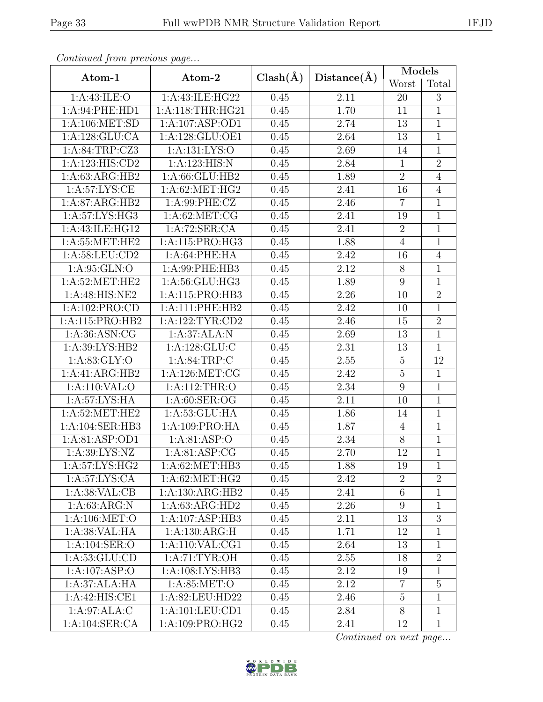| Continued from previous page                |                   |              |             | Models           |                |  |
|---------------------------------------------|-------------------|--------------|-------------|------------------|----------------|--|
| Atom-1                                      | Atom-2            | $Clash(\AA)$ | Distance(A) | Worst            | Total          |  |
| 1: A:43: ILE: O                             | 1:A:43:ILE:HG22   | 0.45         | 2.11        | 20               | 3              |  |
| 1:A:94:PHE:HD1                              | 1:A:118:THR:HG21  | 0.45         | 1.70        | 11               | $\overline{1}$ |  |
| 1: A:106: MET:SD                            | 1:A:107:ASP:OD1   | 0.45         | 2.74        | 13               | $\mathbf{1}$   |  |
| 1:A:128:GLU:CA                              | 1:A:128:GLU:OE1   | 0.45         | 2.64        | 13               | $\overline{1}$ |  |
| 1:A:84:TRP:CZ3                              | 1:A:131:LYS:O     | 0.45         | 2.69        | 14               | $\mathbf{1}$   |  |
| 1:A:123:HIS:CD2                             | 1:A:123:HIS:N     | 0.45         | 2.84        | $\mathbf{1}$     | $\overline{2}$ |  |
| 1:A:63:ARG:HB2                              | 1: A:66: GLU:HB2  | 0.45         | 1.89        | $\sqrt{2}$       | $\overline{4}$ |  |
| 1: A:57: LYS: CE                            | 1: A:62:MET:HG2   | 0.45         | 2.41        | 16               | $\overline{4}$ |  |
| 1:A:87:ARG:HB2                              | 1: A:99: PHE: CZ  | 0.45         | 2.46        | $\overline{7}$   | $\overline{1}$ |  |
| 1:A:57:LYS:HG3                              | 1: A:62:MET:CG    | 0.45         | 2.41        | 19               | $\mathbf{1}$   |  |
| 1:A:43:ILE:HG12                             | 1:A:72:SER:CA     | 0.45         | 2.41        | $\overline{2}$   | $\overline{1}$ |  |
| 1:A:55:MET:HE2                              | 1:A:115:PRO:HG3   | 0.45         | 1.88        | $\sqrt{4}$       | $\mathbf{1}$   |  |
| 1:A:58:LEU:CD2                              | 1:A:64:PHE:HA     | 0.45         | 2.42        | 16               | $\overline{4}$ |  |
| 1: A:95: GLN:O                              | 1:A:99:PHE:HB3    | 0.45         | 2.12        | $8\,$            | $\mathbf{1}$   |  |
| $1: A:52: \overline{\text{MET}:\text{HE2}}$ | 1:A:56:GLU:HG3    | 0.45         | 1.89        | $9\,$            | $\overline{1}$ |  |
| 1:A:48:HIS:NE2                              | 1:A:115:PRO:HB3   | 0.45         | 2.26        | 10               | $\overline{2}$ |  |
| 1:A:102:PRO:CD                              | 1:A:111:PHE:HB2   | 0.45         | 2.42        | 10               | $\overline{1}$ |  |
| 1:A:115:PRO:HB2                             | 1:A:122:TYR:CD2   | 0.45         | 2.46        | 15               | $\overline{2}$ |  |
| 1: A:36: ASN: CG                            | 1:A:37:ALA:N      | 0.45         | 2.69        | 13               | $\overline{1}$ |  |
| 1:A:39:LYS:HB2                              | 1: A: 128: GLU: C | 0.45         | 2.31        | 13               | $\mathbf{1}$   |  |
| 1: A:83: GLY:O                              | 1: A:84:TRP:C     | 0.45         | 2.55        | $\overline{5}$   | 12             |  |
| 1:A:41:ARG:HB2                              | 1: A:126: MET:CG  | 0.45         | 2.42        | $\mathbf 5$      | $\mathbf{1}$   |  |
| 1:A:110:VAL:O                               | 1:A:112:THR:O     | 0.45         | 2.34        | $\boldsymbol{9}$ | $\overline{1}$ |  |
| 1:A:57:LYS:HA                               | 1: A:60: SER:OG   | 0.45         | 2.11        | 10               | $\overline{1}$ |  |
| 1: A:52:MET:HE2                             | 1:A:53:GLU:HA     | 0.45         | 1.86        | 14               | $\overline{1}$ |  |
| 1:A:104:SER:HB3                             | 1: A:109: PRO:HA  | 0.45         | 1.87        | $\overline{4}$   | $\mathbf{1}$   |  |
| 1:A:81:ASP:OD1                              | 1: A:81: ASP:O    | 0.45         | 2.34        | 8                | $\mathbf 1$    |  |
| 1: A:39: LYS: NZ                            | 1:A:81:ASP:CG     | 0.45         | 2.70        | 12               | $\overline{1}$ |  |
| 1:A:57:LYS:HG2                              | 1:A:62:MET:HB3    | 0.45         | 1.88        | 19               | $\mathbf{1}$   |  |
| 1: A:57: LYS: CA                            | 1: A:62:MET:HG2   | 0.45         | 2.42        | $\overline{2}$   | $\overline{2}$ |  |
| 1: A:38: VAL:CB                             | 1:A:130:ARG:HB2   | 0.45         | 2.41        | $\,6\,$          | $\mathbf{1}$   |  |
| 1: A:63: ARG:N                              | 1:A:63:ARG:HD2    | 0.45         | 2.26        | $\boldsymbol{9}$ | 1              |  |
| 1: A:106: MET:O                             | 1:A:107:ASP:HB3   | 0.45         | 2.11        | 13               | $\sqrt{3}$     |  |
| 1: A:38: VAL:HA                             | 1:A:130:ARG:H     | 0.45         | 1.71        | 12               | 1              |  |
| $1: A: 104: \overline{\text{SER}:O}$        | 1: A:110: VAL:CG1 | 0.45         | 2.64        | 13               | 1              |  |
| 1: A: 53: GLU: CD                           | 1: A:71: TYR:OH   | 0.45         | 2.55        | 18               | $\overline{2}$ |  |
| 1:A:107:ASP:O                               | 1:A:108:LYS:HB3   | 0.45         | 2.12        | 19               | 1              |  |
| 1:A:37:ALA:HA                               | 1:A:85:MET:O      | 0.45         | 2.12        | $\overline{7}$   | $\overline{5}$ |  |
| 1:A:42:HIS:CE1                              | 1:A:82:LEU:HD22   | 0.45         | 2.46        | $\overline{5}$   | $\mathbf{1}$   |  |
| 1:A:97:ALA:C                                | 1:A:101:LEU:CD1   | 0.45         | 2.84        | 8                | $\overline{1}$ |  |
| 1: A:104: SER:CA                            | 1:A:109:PRO:HG2   | 0.45         | 2.41        | 12               | $\mathbf{1}$   |  |

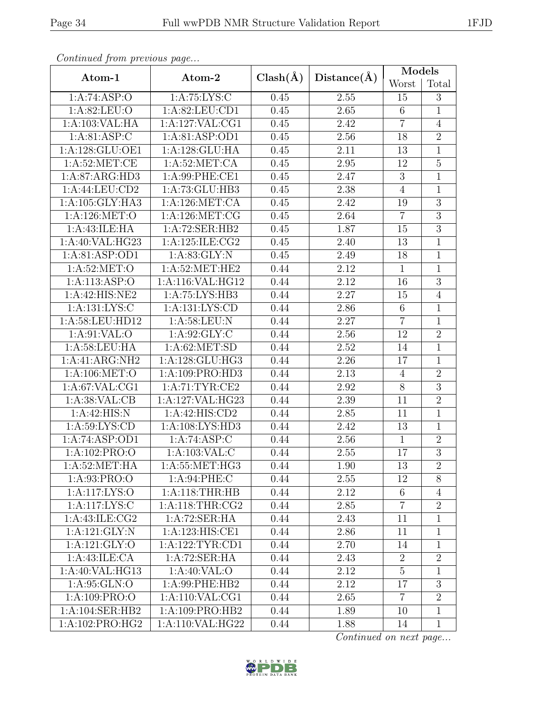|                            | ontentaca promo proceso ao pago |              |             | Models          |                |  |
|----------------------------|---------------------------------|--------------|-------------|-----------------|----------------|--|
| Atom-1                     | Atom-2                          | $Clash(\AA)$ | Distance(A) | Worst           | Total          |  |
| 1:A:74:ASP:O               | 1: A:75: LYS:C                  | 0.45         | $2.55\,$    | 15              | 3              |  |
| 1:A:82:LEU:O               | 1:A:82:LEU:CD1                  | 0.45         | 2.65        | $6\phantom{.}6$ | $\mathbf{1}$   |  |
| 1:A:103:VAL:HA             | 1:A:127:VAL:CG1                 | 0.45         | 2.42        | $\overline{7}$  | $\overline{4}$ |  |
| 1: A:81: ASP:C             | 1:A:81:ASP:OD1                  | 0.45         | 2.56        | 18              | $\overline{2}$ |  |
| 1:A:128:GLU:OE1            | 1:A:128:GLU:HA                  | 0.45         | 2.11        | 13              | $\overline{1}$ |  |
| 1: A:52:MET:CE             | $1: A:52: \overline{MET:CA}$    | 0.45         | 2.95        | 12              | $\overline{5}$ |  |
| 1:A:87:ARG:HD3             | 1:A:99:PHE:CE1                  | 0.45         | 2.47        | $\overline{3}$  | $\mathbf{1}$   |  |
| 1:A:44:LEU:CD2             | 1:A:73:GLU:HB3                  | 0.45         | 2.38        | $\overline{4}$  | $\mathbf{1}$   |  |
| 1: A: 105: GLY: HA3        | 1:A:126:MET:CA                  | 0.45         | 2.42        | 19              | $\overline{3}$ |  |
| 1:A:126:MET:O              | 1: A:126: MET:CG                | 0.45         | 2.64        | $\overline{7}$  | $\overline{3}$ |  |
| 1:A:43:ILE:HA              | 1:A:72:SER:HB2                  | 0.45         | 1.87        | 15              | $\overline{3}$ |  |
| 1:A:40:VAL:HG23            | 1:A:125:ILE:CG2                 | 0.45         | 2.40        | 13              | $\mathbf{1}$   |  |
| 1:A:81:ASP:OD1             | 1: A:83: GLY:N                  | 0.45         | 2.49        | 18              | $\mathbf{1}$   |  |
| 1: A:52:MET:O              | 1: A:52: MET:HE2                | 0.44         | 2.12        | $\mathbf{1}$    | $\mathbf{1}$   |  |
| 1:A:113:ASP:O              | 1:A:116:VAL:HG12                | 0.44         | 2.12        | 16              | 3              |  |
| 1:A:42:HTS:NE2             | 1:A:75:LYS:HB3                  | 0.44         | 2.27        | 15              | $\overline{4}$ |  |
| 1: A: 131: LYS: C          | 1:A:131:LYS:CD                  | 0.44         | 2.86        | $6\,$           | $\mathbf{1}$   |  |
| 1:A:58:LEU:HD12            | 1: A:58:LEU: N                  | 0.44         | 2.27        | $\overline{7}$  | $\overline{1}$ |  |
| 1: A:91: VAL:O             | 1: A:92: GLY: C                 | 0.44         | $2.56\,$    | 12              | $\overline{2}$ |  |
| 1: A:58:LEU:HA             | 1: A:62:MET:SD                  | 0.44         | 2.52        | 14              | $\overline{1}$ |  |
| 1:A:41:ARG:NH2             | 1:A:128:GLU:HG3                 | 0.44         | 2.26        | 17              | $\mathbf{1}$   |  |
| 1: A:106: MET:O            | 1:A:109:PRO:HD3                 | 0.44         | 2.13        | $\overline{4}$  | $\overline{2}$ |  |
| 1: A:67: VAL:CG1           | 1:A:71:TYR:CE2                  | 0.44         | 2.92        | $\overline{8}$  | $\overline{3}$ |  |
| 1:A:38:VAL:CB              | 1:A:127:VAL:HG23                | 0.44         | 2.39        | 11              | $\overline{2}$ |  |
| 1:A:42:HIS:N               | 1:A:42:HIS:CD2                  | 0.44         | $2.85\,$    | 11              | $\mathbf{1}$   |  |
| 1: A:59: LYS: CD           | 1:A:108:LYS:HD3                 | 0.44         | 2.42        | 13              | $\overline{1}$ |  |
| 1:A:74:ASP:OD1             | 1:A:74:ASP:C                    | 0.44         | 2.56        | $\mathbf{1}$    | $\overline{2}$ |  |
| $1:A:102:\overline{PRO:O}$ | 1:A:103:VAL:C                   | 0.44         | 2.55        | 17              | $\overline{3}$ |  |
| 1: A:52: MET:HA            | 1: A:55: MET:HG3                | 0.44         | 1.90        | 13              | $\overline{2}$ |  |
| 1:A:93:PRO:O               | 1:A:94:PHE:C                    | 0.44         | 2.55        | 12              | 8              |  |
| 1:A:117:LYS:O              | 1: A:118:THR:HB                 | 0.44         | 2.12        | 6               | $\overline{4}$ |  |
| 1:A:117:LYS:C              | 1: A:118:THR:CG2                | 0.44         | 2.85        | $\overline{7}$  | $\overline{2}$ |  |
| 1: A:43: ILE: CG2          | 1:A:72:SER:HA                   | 0.44         | 2.43        | 11              | $\mathbf{1}$   |  |
| 1:A:121:GLY:N              | 1:A:123:HIS:CE1                 | 0.44         | 2.86        | 11              | $\mathbf{1}$   |  |
| 1:A:121:GLY:O              | 1:A:122:TYR:CD1                 | 0.44         | 2.70        | 14              | 1              |  |
| 1:A:43:ILE:CA              | 1:A:72:SER:HA                   | 0.44         | 2.43        | $\overline{2}$  | $\overline{2}$ |  |
| 1:A:40:VAL:HG13            | 1:A:40:VAL:O                    | 0.44         | 2.12        | $5\overline{)}$ | $\mathbf{1}$   |  |
| 1: A:95: GLN:O             | 1:A:99:PHE:HB2                  | 0.44         | 2.12        | 17              | 3              |  |
| 1: A: 109: PRO: O          | 1: A:110: VAL:CG1               | 0.44         | 2.65        | $\overline{7}$  | $\overline{2}$ |  |
| 1:A:104:SER:HB2            | 1:A:109:PRO:HB2                 | 0.44         | 1.89        | 10              | $\mathbf{1}$   |  |
| 1:A:102:PRO:HG2            | 1:A:110:VAL:HG22                | 0.44         | 1.88        | 14              | $\mathbf{1}$   |  |

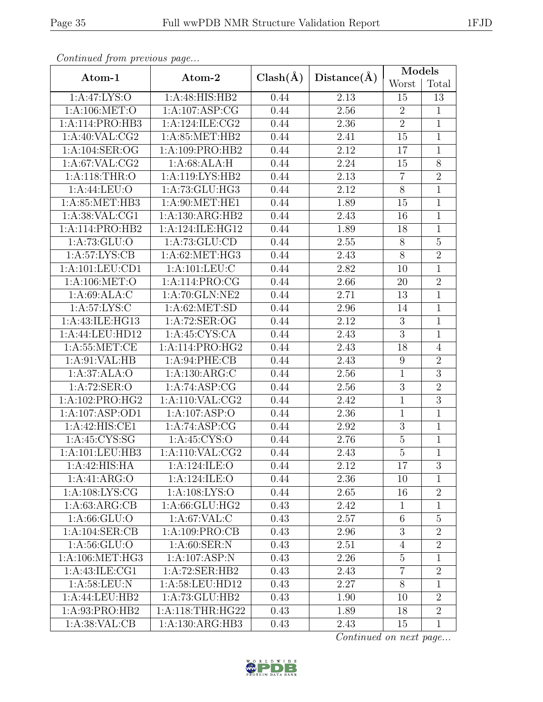| Continual from previous page |                    |              | Distance(A)       | Models           |                |  |
|------------------------------|--------------------|--------------|-------------------|------------------|----------------|--|
| Atom-1                       | Atom-2             | $Clash(\AA)$ |                   | Worst            | Total          |  |
| 1:A:47:LYS:O                 | 1:A:48:HIS:HB2     | 0.44         | 2.13              | 15               | 13             |  |
| 1:A:106:MET:O                | 1:A:107:ASP:CG     | 0.44         | 2.56              | $\overline{2}$   | $\mathbf{1}$   |  |
| 1:A:114:PRO:HB3              | 1:A:124:ILE:CG2    | 0.44         | 2.36              | $\sqrt{2}$       | $\overline{1}$ |  |
| 1: A:40: VAL: CG2            | 1:A:85:MET:HB2     | 0.44         | 2.41              | 15               | $\mathbf{1}$   |  |
| 1:A:104:SER:OG               | 1:A:109:PRO:HB2    | 0.44         | 2.12              | 17               | $\mathbf{1}$   |  |
| 1: A:67: VAL:CG2             | 1: A:68: ALA:H     | 0.44         | 2.24              | 15               | $\overline{8}$ |  |
| 1:A:118:THR:O                | 1:A:119:LYS:HB2    | 0.44         | 2.13              | $\overline{7}$   | $\overline{2}$ |  |
| 1:A:44:LEU:O                 | 1:A:73:GLU:HG3     | 0.44         | 2.12              | $8\,$            | $\overline{1}$ |  |
| 1: A:85: MET:HB3             | 1: A:90:MET:HE1    | 0.44         | 1.89              | 15               | $\overline{1}$ |  |
| 1: A:38: VAL:CG1             | 1:A:130:ARG:HB2    | 0.44         | 2.43              | 16               | $\mathbf 1$    |  |
| 1:A:114:PRO:HB2              | 1:A:124:ILE:HG12   | 0.44         | 1.89              | 18               | $\mathbf{1}$   |  |
| 1: A: 73: GLU:O              | 1:A:73:GLU:CD      | 0.44         | 2.55              | $8\,$            | $\overline{5}$ |  |
| 1: A:57: LYS: CB             | 1:A:62:MET:HG3     | 0.44         | 2.43              | $\overline{8}$   | $\overline{2}$ |  |
| 1:A:101:LEU:CD1              | 1:A:101:LEU:C      | 0.44         | 2.82              | 10               | 1              |  |
| 1:A:106:MET:O                | 1:A:114:PRO:CG     | 0.44         | 2.66              | 20               | $\overline{2}$ |  |
| 1:A:69:ALA:C                 | 1:A:70:GLN:NE2     | 0.44         | $\overline{2.71}$ | 13               | $\overline{1}$ |  |
| 1: A:57: LYS: C              | 1: A:62: MET:SD    | 0.44         | 2.96              | 14               | $\overline{1}$ |  |
| 1:A:43:ILE:HG13              | 1:A:72:SER:OG      | 0.44         | 2.12              | $\sqrt{3}$       | $\overline{1}$ |  |
| 1:A:44:LEU:HD12              | 1:A:45:CYS:CA      | 0.44         | 2.43              | $\overline{3}$   | $\overline{1}$ |  |
| 1: A:55: MET:CE              | 1:A:114:PRO:HG2    | 0.44         | 2.43              | 18               | $\overline{4}$ |  |
| 1: A:91: VAL:HB              | 1: A:94:PHE:CB     | 0.44         | 2.43              | $\boldsymbol{9}$ | $\overline{2}$ |  |
| 1:A:37:ALA:O                 | 1: A: 130: ARG: C  | 0.44         | 2.56              | $\mathbf 1$      | $\overline{3}$ |  |
| 1:A:72:SER:O                 | 1:A:74:ASP:CG      | 0.44         | 2.56              | $\overline{3}$   | $\overline{2}$ |  |
| 1:A:102:PRO:HG2              | 1: A:110: VAL: CG2 | 0.44         | 2.42              | $\mathbf 1$      | $\overline{3}$ |  |
| 1:A:107:ASP:OD1              | 1:A:107:ASP:O      | 0.44         | 2.36              | $\mathbf{1}$     | $\mathbf 1$    |  |
| 1:A:42:HIS:CE1               | 1:A:74:ASP:CG      | 0.44         | 2.92              | $\overline{3}$   | $\overline{1}$ |  |
| 1:A:45:CYS:SG                | 1: A:45: CYS:O     | 0.44         | 2.76              | $\bf 5$          | $\mathbf{1}$   |  |
| 1:A:101:LEU:HB3              | 1:A:110:VAL:CG2    | 0.44         | 2.43              | $\overline{5}$   | $\overline{1}$ |  |
| 1:A:42:HIS:HA                | 1:A:124:ILE:O      | 0.44         | 2.12              | 17               | 3              |  |
| 1:A:41:ARG:O                 | 1:A:124:ILE:O      | 0.44         | 2.36              | 10               | 1              |  |
| 1: A:108: LYS: CG            | 1: A:108: LYS:O    | 0.44         | 2.65              | 16               | $\overline{2}$ |  |
| 1: A:63: ARG:CB              | 1:A:66:GLU:HG2     | 0.43         | 2.42              | $\mathbf{1}$     | $\overline{1}$ |  |
| 1: A:66: GLU:O               | 1: A:67: VAL:C     | 0.43         | 2.57              | $6\phantom{.}6$  | $\overline{5}$ |  |
| 1:A:104:SER:CB               | 1:A:109:PRO:CB     | 0.43         | 2.96              | $\boldsymbol{3}$ | $\overline{2}$ |  |
| 1: A:56: GLU:O               | 1: A:60: SER: N    | 0.43         | 2.51              | $\overline{4}$   | $\overline{2}$ |  |
| 1: A:106: MET:HG3            | 1:A:107:ASP:N      | 0.43         | 2.26              | $\overline{5}$   | $\mathbf{1}$   |  |
| 1:A:43:ILE:CG1               | 1:A:72:SER:HB2     | 0.43         | 2.43              | $\overline{7}$   | $\overline{2}$ |  |
| 1:A:58:LEU:N                 | 1:A:58:LEU:HD12    | 0.43         | 2.27              | 8                | $\mathbf{1}$   |  |
| 1:A:44:LEU:HB2               | 1:A:73:GLU:HB2     | 0.43         | 1.90              | 10               | $\overline{2}$ |  |
| 1:A:93:PRO:HB2               | 1:A:118:THR:HG22   | 0.43         | 1.89              | 18               | $\overline{2}$ |  |
| 1: A:38: VAL:CB              | 1:A:130:ARG:HB3    | 0.43         | 2.43              | 15               | $\mathbf{1}$   |  |

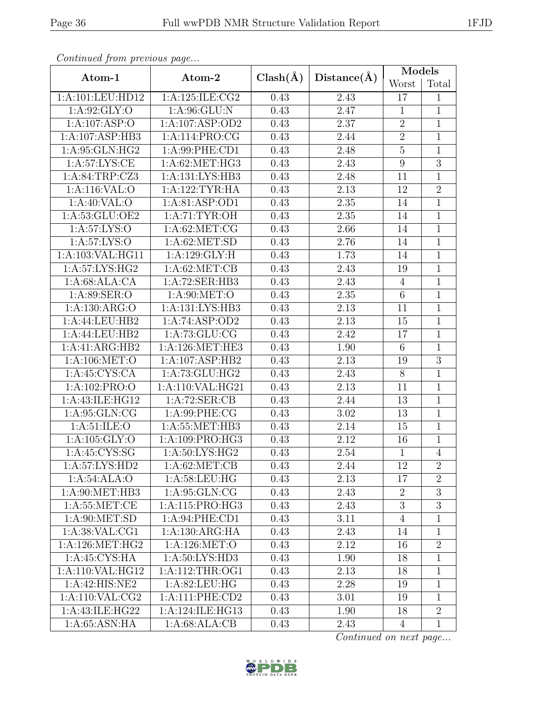| Continued from previous page |                     |              |                   | Models         |                |  |
|------------------------------|---------------------|--------------|-------------------|----------------|----------------|--|
| Atom-1                       | Atom-2              | $Clash(\AA)$ | Distance(A)       | Worst          | Total          |  |
| 1:A:101:LEU:HD12             | 1:A:125:ILE:CG2     | 0.43         | 2.43              | 17             | 1              |  |
| 1: A:92: GLY:O               | 1: A:96: GLU: N     | 0.43         | 2.47              | $\mathbf{1}$   | $\overline{1}$ |  |
| 1:A:107:ASP:O                | 1:A:107:ASP:OD2     | 0.43         | 2.37              | $\sqrt{2}$     | $\mathbf{1}$   |  |
| 1:A:107:ASP:HB3              | 1:A:114:PRO:CG      | 0.43         | 2.44              | $\overline{2}$ | $\overline{1}$ |  |
| 1:A:95:GLN:HG2               | 1: A:99: PHE:CD1    | 0.43         | 2.48              | $\overline{5}$ | $\mathbf{1}$   |  |
| 1: A:57: LYS: CE             | 1: A:62: MET:HG3    | 0.43         | 2.43              | $\overline{9}$ | $\overline{3}$ |  |
| 1:A:84:TRP:CZ3               | 1: A: 131: LYS: HB3 | 0.43         | 2.48              | 11             | $\mathbf{1}$   |  |
| 1:A:116:VAL:O                | 1:A:122:TYR:HA      | 0.43         | 2.13              | 12             | $\overline{2}$ |  |
| 1:A:40:VAL:O                 | 1:A:81:ASP:OD1      | 0.43         | $2.35\,$          | 14             | $\overline{1}$ |  |
| 1:A:53:GLU:OE2               | 1: A:71: TYR:OH     | 0.43         | 2.35              | 14             | $\mathbf 1$    |  |
| 1:A:57:LYS:O                 | 1: A:62:MET:CG      | 0.43         | 2.66              | 14             | $\overline{1}$ |  |
| 1: A:57: LYS:O               | 1: A:62: MET:SD     | 0.43         | 2.76              | 14             | $\mathbf{1}$   |  |
| 1:A:103:VAL:HG11             | 1:A:129:GLY:H       | 0.43         | 1.73              | 14             | $\overline{1}$ |  |
| 1:A:57:LYS:HG2               | 1: A:62: MET:CB     | 0.43         | 2.43              | 19             | $\overline{1}$ |  |
| 1:A:68:ALA:CA                | 1:A:72:SER:HB3      | 0.43         | 2.43              | $\overline{4}$ | $\overline{1}$ |  |
| 1: A:89: SER:O               | 1: A:90:MET:O       | 0.43         | 2.35              | $\,6\,$        | $\mathbf{1}$   |  |
| 1:A:130:ARG:O                | 1:A:131:LYS:HB3     | 0.43         | 2.13              | 11             | $\overline{1}$ |  |
| 1:A:44:LEU:HB2               | 1:A:74:ASP:OD2      | 0.43         | 2.13              | 15             | 1              |  |
| 1:A:44:LEU:HB2               | 1: A:73: GLU: CG    | 0.43         | 2.42              | 17             | $\overline{1}$ |  |
| 1:A:41:ARG:HB2               | 1: A:126: MET:HE3   | 0.43         | 1.90              | $\,6\,$        | $\mathbf 1$    |  |
| 1:A:106:MET:O                | 1:A:107:ASP:HB2     | 0.43         | 2.13              | 19             | $\overline{3}$ |  |
| 1: A:45: CYS:CA              | 1:A:73:GLU:HG2      | 0.43         | 2.43              | $8\,$          | $\mathbf{1}$   |  |
| 1:A:102:PRO:O                | 1:A:110:VAL:HG21    | 0.43         | $\overline{2.13}$ | 11             | $\overline{1}$ |  |
| 1:A:43:ILE:HG12              | 1:A:72:SER:CB       | 0.43         | 2.44              | 13             | $\overline{1}$ |  |
| 1:A:95:GLN:CG                | 1:A:99:PHE:CG       | 0.43         | 3.02              | 13             | $\mathbf{1}$   |  |
| 1: A:51: ILE: O              | 1:A:55:MET:HB3      | 0.43         | $2.14\,$          | 15             | $\overline{1}$ |  |
| 1:A:105:GLY:O                | 1:A:109:PRO:HG3     | 0.43         | 2.12              | 16             | $\mathbf{1}$   |  |
| 1: A:45:CYS:SG               | 1: A:50: LYS: HG2   | 0.43         | 2.54              | $\mathbf{1}$   | $\overline{4}$ |  |
| 1:A:57:LYS:HD2               | 1: A:62:MET:CB      | 0.43         | 2.44              | 12             | $\overline{2}$ |  |
| 1:A:54:ALA:O                 | 1: A:58:LEU:HG      | 0.43         | 2.13              | 17             | $\overline{2}$ |  |
| 1: A:90:MET:HB3              | 1: A:95: GLN:CG     | 0.43         | 2.43              | $\overline{2}$ | $\overline{3}$ |  |
| 1: A:55: MET:CE              | 1:A:115:PRO:HG3     | 0.43         | 2.43              | 3              | $\overline{3}$ |  |
| 1: A:90:MET:SD               | 1: A:94: PHE:CD1    | 0.43         | 3.11              | $\overline{4}$ | $\mathbf{1}$   |  |
| 1: A:38: VAL:CG1             | 1:A:130:ARG:HA      | 0.43         | 2.43              | 14             | 1              |  |
| 1: A:126: MET:HG2            | 1: A:126: MET:O     | 0.43         | 2.12              | 16             | $\overline{2}$ |  |
| 1: A:45: CYS: HA             | 1: A:50: LYS: HD3   | 0.43         | 1.90              | 18             | $\mathbf{1}$   |  |
| 1:A:110:VAL:HG12             | 1: A:112:THR:OG1    | 0.43         | 2.13              | 18             | $\mathbf{1}$   |  |
| 1:A:42:HIS:NE2               | 1:A:82:LEU:HG       | 0.43         | 2.28              | 19             | $\overline{1}$ |  |
| 1: A:110: VAL: CG2           | 1: A:111: PHE:CD2   | 0.43         | 3.01              | 19             | 1              |  |
| 1:A:43:ILE:HG22              | 1:A:124:ILE:HG13    | 0.43         | 1.90              | 18             | $\overline{2}$ |  |
| 1: A:65: ASN: HA             | 1:A:68:ALA:CB       | 0.43         | 2.43              | $\overline{4}$ | $\mathbf{1}$   |  |

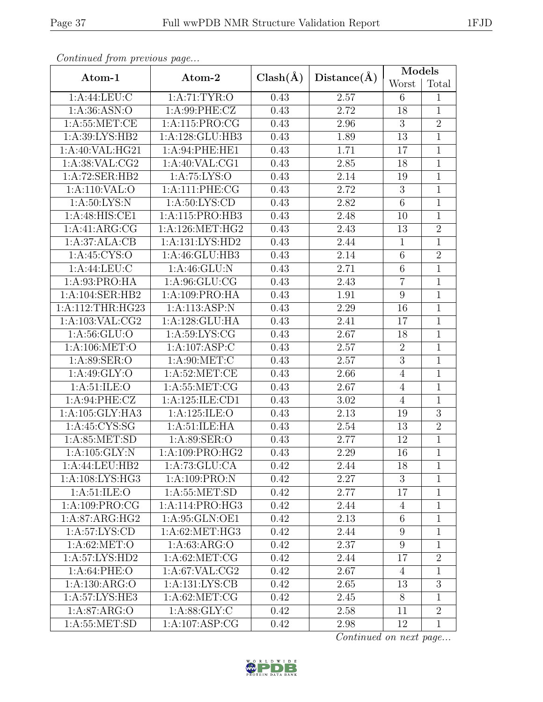| Continued from previous page |                     |              |             | Models          |                |  |
|------------------------------|---------------------|--------------|-------------|-----------------|----------------|--|
| Atom-1                       | Atom-2              | $Clash(\AA)$ | Distance(A) | Worst           | Total          |  |
| 1:A:44:LEU:C                 | 1:A:71:TYR:O        | 0.43         | 2.57        | 6               | 1              |  |
| 1: A:36: ASN:O               | 1:A:99:PHE:CZ       | 0.43         | 2.72        | 18              | $\overline{1}$ |  |
| 1: A:55: MET:CE              | 1:A:115:PRO:CG      | 0.43         | 2.96        | 3               | $\overline{2}$ |  |
| 1:A:39:LYS:HB2               | 1:A:128:GLU:HB3     | 0.43         | 1.89        | 13              | $\overline{1}$ |  |
| 1:A:40:VAL:HG21              | 1:A:94:PHE:HE1      | 0.43         | 1.71        | 17              | $\mathbf{1}$   |  |
| 1:A:38:VAL:CG2               | 1: A:40: VAL:CG1    | 0.43         | 2.85        | 18              | $\overline{1}$ |  |
| 1:A:72:SER:HB2               | $1:$ A:75:LYS:O     | 0.43         | 2.14        | 19              | $\overline{1}$ |  |
| 1:A:110:VAL:O                | 1:A:111:PHE:CG      | 0.43         | 2.72        | 3               | $\overline{1}$ |  |
| 1: A:50: LYS: N              | 1: A:50: LYS:CD     | 0.43         | 2.82        | $\overline{6}$  | $\overline{1}$ |  |
| 1:A:48:HIS:CE1               | 1:A:115:PRO:HB3     | 0.43         | 2.48        | 10              | 1              |  |
| 1:A:41:ARG:CG                | 1: A:126:MET:HG2    | 0.43         | 2.43        | 13              | $\overline{2}$ |  |
| 1:A:37:ALA:CB                | 1: A: 131: LYS: HD2 | 0.43         | 2.44        | $\mathbf{1}$    | $\mathbf{1}$   |  |
| 1: A:45:CYS:O                | 1: A:46: GLU:HB3    | 0.43         | 2.14        | $\,6\,$         | $\overline{2}$ |  |
| 1:A:44:LEU:C                 | 1:A:46:GLU:N        | 0.43         | 2.71        | $\overline{6}$  | $\overline{1}$ |  |
| 1:A:93:PRO:HA                | 1: A:96: GLU: CG    | 0.43         | 2.43        | $\overline{7}$  | $\overline{1}$ |  |
| 1:A:104:SER:HB2              | 1:A:109:PRO:HA      | 0.43         | 1.91        | $9\,$           | $\mathbf{1}$   |  |
| 1:A:112:THR:HG23             | 1:A:113:ASP:N       | 0.43         | 2.29        | 16              | $\overline{1}$ |  |
| 1: A: 103: VAL: CG2          | 1:A:128:GLU:HA      | 0.43         | 2.41        | 17              | 1              |  |
| 1: A:56: GLU:O               | 1: A:59:LYS:CG      | 0.43         | 2.67        | 18              | $\overline{1}$ |  |
| 1:A:106:MET:O                | 1:A:107:ASP:C       | 0.43         | 2.57        | $\sqrt{2}$      | $\mathbf 1$    |  |
| 1:A:89:SER:O                 | 1: A:90:MET:C       | 0.43         | 2.57        | $\overline{3}$  | $\overline{1}$ |  |
| 1: A:49: GLY:O               | 1: A:52:MET:CE      | 0.43         | 2.66        | $\overline{4}$  | $\mathbf{1}$   |  |
| 1: A:51: ILE: O              | 1: A:55: MET:CG     | 0.43         | 2.67        | $\overline{4}$  | $\overline{1}$ |  |
| 1: A:94:PHE: CZ              | 1:A:125:ILE:CD1     | 0.43         | $3.02\,$    | $\overline{4}$  | $\overline{1}$ |  |
| 1:A:105:GLY:HA3              | 1:A:125:ILE:O       | 0.43         | 2.13        | 19              | $\overline{3}$ |  |
| 1:A:45:CYS:SG                | 1: A:51: ILE: HA    | 0.43         | 2.54        | 13              | $\overline{2}$ |  |
| 1: A:85: MET:SD              | 1:A:89:SER:O        | 0.43         | 2.77        | 12              | $\overline{1}$ |  |
| 1:A:105:GLY:N                | 1: A:109: PRO:HG2   | 0.43         | 2.29        | 16              | $\overline{1}$ |  |
| 1:A:44:LEU:HB2               | 1:A:73:GLU:CA       | 0.42         | 2.44        | 18              | 1              |  |
| 1: A:108: LYS: HG3           | 1:A:109:PRO:N       | 0.42         | 2.27        | 3               | 1              |  |
| 1: A:51: ILE: O              | 1: A:55: MET:SD     | 0.42         | 2.77        | 17              | $\mathbf{1}$   |  |
| 1:A:109:PRO:CG               | 1:A:114:PRO:HG3     | 0.42         | 2.44        | $\overline{4}$  | $\mathbf{1}$   |  |
| $1:A:87:ARG:\overline{HG2}$  | 1:A:95:GLN:OE1      | 0.42         | 2.13        | $6\phantom{.}6$ | $\mathbf{1}$   |  |
| 1:A:57:LYS:CD                | 1:A:62:MET:HG3      | 0.42         | 2.44        | 9               | 1              |  |
| 1: A:62: MET:O               | 1: A:63: ARG:O      | 0.42         | 2.37        | 9               | 1              |  |
| 1:A:57:LYS:HD2               | 1: A:62:MET:CG      | 0.42         | 2.44        | 17              | $\overline{2}$ |  |
| 1: A:64:PHE:O                | 1: A:67: VAL:CG2    | 0.42         | 2.67        | 4               | 1              |  |
| 1:A:130:ARG:O                | 1: A: 131: LYS: CB  | 0.42         | 2.65        | 13              | $\overline{3}$ |  |
| 1:A:57:LYS:HE3               | 1: A:62:MET:CG      | 0.42         | 2.45        | 8               | 1              |  |
| 1: A:87: ARG:O               | 1: A:88: GLY: C     | 0.42         | 2.58        | 11              | $\overline{2}$ |  |
| 1: A:55: MET:SD              | 1: A: 107: ASP: CG  | 0.42         | 2.98        | 12              | $\mathbf{1}$   |  |

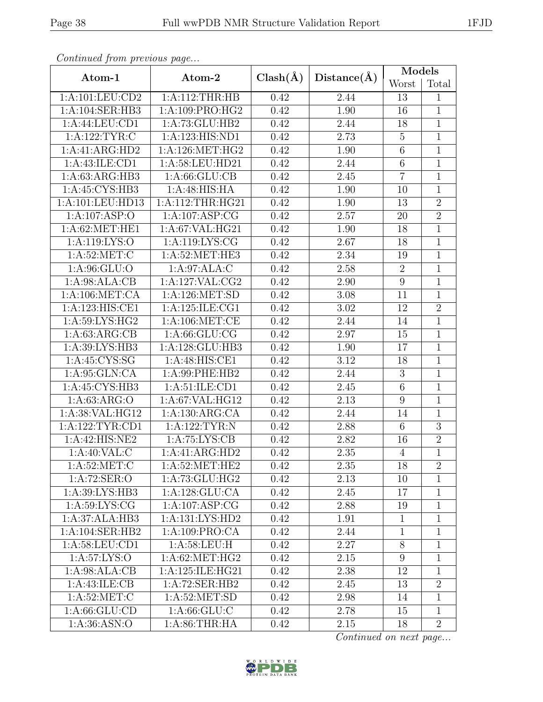| Continued from previous page |                             |                   |             | Models           |                |  |
|------------------------------|-----------------------------|-------------------|-------------|------------------|----------------|--|
| Atom-1                       | Atom-2                      | $Clash(\AA)$      | Distance(A) | Worst            | Total          |  |
| 1:A:101:LEU:CD2              | 1: A:112:THR:HB             | 0.42              | 2.44        | 13               | 1              |  |
| 1:A:104:SER:HB3              | 1:A:109:PRO:HG2             | 0.42              | 1.90        | 16               | $\overline{1}$ |  |
| 1:A:44:LEU:CD1               | 1:A:73:GLU:HB2              | 0.42              | 2.44        | 18               | $\mathbf{1}$   |  |
| 1: A:122: TYR: C             | 1:A:123:HIS:ND1             | 0.42              | 2.73        | $\overline{5}$   | $\mathbf{1}$   |  |
| 1:A:41:ARG:HD2               | 1: A:126: MET:HG2           | 0.42              | 1.90        | $\,6\,$          | $\mathbf{1}$   |  |
| 1:A:43:ILE:CD1               | 1:A:58:LEU:HD21             | 0.42              | 2.44        | $\sqrt{6}$       | $\mathbf 1$    |  |
| 1:A:63:ARG:HB3               | 1: A:66: GLU:CB             | 0.42              | 2.45        | $\overline{7}$   | $\mathbf{1}$   |  |
| 1: A:45: CYS:HB3             | 1: A:48: HIS: HA            | 0.42              | 1.90        | 10               | $\mathbf{1}$   |  |
| 1:A:101:LEU:HD13             | 1: A:112:THR:HG21           | 0.42              | 1.90        | 13               | $\overline{2}$ |  |
| 1:A:107:ASP:O                | 1:A:107:ASP:CG              | 0.42              | 2.57        | 20               | $\overline{2}$ |  |
| 1: A:62:MET:HE1              | 1: A:67: VAL: HG21          | 0.42              | 1.90        | 18               | $\overline{1}$ |  |
| 1:A:119:LYS:O                | 1:A:119:LYS:CG              | 0.42              | 2.67        | 18               | $\mathbf{1}$   |  |
| 1: A:52:MET:C                | 1:A:52:MET:HE3              | 0.42              | 2.34        | 19               | $\overline{1}$ |  |
| 1: A:96: GLU:O               | 1:A:97:ALA:C                | 0.42              | 2.58        | $\overline{2}$   | $\mathbf{1}$   |  |
| 1:A:98:ALA:CB                | 1:A:127:VAL:CG2             | 0.42              | 2.90        | $9\phantom{.0}$  | $\overline{1}$ |  |
| 1: A:106: MET:CA             | 1: A:126: MET:SD            | 0.42              | 3.08        | 11               | $\mathbf{1}$   |  |
| 1:A:123:HIS:CE1              | 1: A: 125: ILE: CG1         | 0.42              | 3.02        | 12               | $\overline{2}$ |  |
| 1:A:59:LYS:HG2               | 1: A:106: MET:CE            | 0.42              | 2.44        | 14               | $\mathbf 1$    |  |
| 1: A:63:ARG:CB               | 1: A:66: GLU:CG             | 0.42              | 2.97        | 15               | $\overline{1}$ |  |
| 1:A:39:LYS:HB3               | 1:A:128:GLU:HB3             | 0.42              | 1.90        | 17               | $\mathbf{1}$   |  |
| 1: A:45:CYS:SG               | 1:A:48:HIS:CE1              | 0.42              | 3.12        | 18               | $\overline{1}$ |  |
| 1: A:95: GLN:CA              | 1:A:99:PHE:HB2              | 0.42              | 2.44        | 3                | $\mathbf{1}$   |  |
| 1:A:45:CYS:HB3               | 1:A:51:ILE:CD1              | 0.42              | 2.45        | $\,6$            | $\overline{1}$ |  |
| 1: A:63: ARG:O               | 1:A:67:VAL:HG12             | 0.42              | 2.13        | $\overline{9}$   | $\overline{1}$ |  |
| 1:A:38:VAL:HG12              | 1:A:130:ARG:CA              | 0.42              | 2.44        | 14               | $\mathbf{1}$   |  |
| 1:A:122:TYR:CD1              | 1:A:122:TYR:N               | 0.42              | 2.88        | $\sqrt{6}$       | $\overline{3}$ |  |
| 1:A:42:HIS:NE2               | 1: A:75: LYS: CB            | 0.42              | 2.82        | 16               | $\overline{2}$ |  |
| 1: A:40: VAL: C              | $1:A:41:\overline{ARG:HD2}$ | $\overline{0.42}$ | 2.35        | $\overline{4}$   | $\overline{1}$ |  |
| 1: A:52: MET:C               | 1: A:52:MET:HE2             | 0.42              | 2.35        | 18               | $\overline{2}$ |  |
| 1:A:72:SER:O                 | 1: A:73: GLU: HG2           | 0.42              | 2.13        | 10               | $\mathbf{1}$   |  |
| 1:A:39:LYS:HB3               | 1:A:128:GLU:CA              | 0.42              | 2.45        | 17               | $\mathbf{1}$   |  |
| 1: A:59: LYS: CG             | 1: A: 107: ASP: CG          | 0.42              | 2.88        | 19               | $\mathbf{1}$   |  |
| 1:A:37:ALA:HB3               | 1:A:131:LYS:HD2             | 0.42              | 1.91        | $\mathbf{1}$     | 1              |  |
| 1:A:104:SER:HB2              | 1:A:109:PRO:CA              | 0.42              | 2.44        | $\mathbf{1}$     | $\mathbf{1}$   |  |
| 1: A:58:LEU:CD1              | 1: A:58:LEU:H               | 0.42              | 2.27        | $8\,$            | $\mathbf 1$    |  |
| 1:A:57:LYS:O                 | 1: A:62:MET:HG2             | 0.42              | 2.15        | $\boldsymbol{9}$ | $\mathbf 1$    |  |
| 1:A:98:ALA:CB                | 1: A:125: ILE: HG21         | 0.42              | 2.38        | 12               | 1              |  |
| 1: A: 43: ILE: CB            | 1:A:72:SER:HB2              | 0.42              | 2.45        | 13               | $\overline{2}$ |  |
| 1: A:52:MET:C                | 1: A:52: MET:SD             | 0.42              | 2.98        | 14               | $\mathbf{1}$   |  |
| 1: A:66: GLU:CD              | 1: A:66: GLU:C              | 0.42              | 2.78        | 15               | $\mathbf{1}$   |  |
| 1: A:36: ASN:O               | 1: A:86:THR:HA              | 0.42              | 2.15        | 18               | $\overline{2}$ |  |

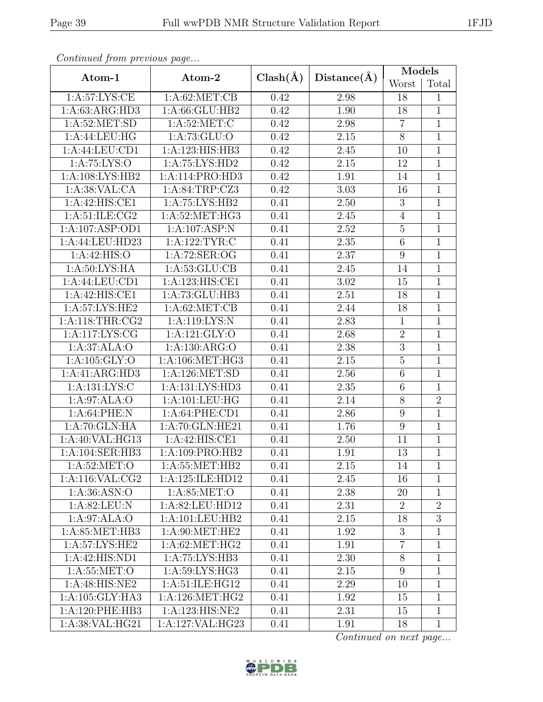| Continual from previous page |                   |              |             | Models           |                |  |
|------------------------------|-------------------|--------------|-------------|------------------|----------------|--|
| Atom-1                       | Atom-2            | $Clash(\AA)$ | Distance(A) | Worst            | Total          |  |
| 1: A:57: LYS: CE             | 1: A:62:MET:CB    | 0.42         | 2.98        | 18               | 1              |  |
| 1:A:63:ARG:HD3               | 1:A:66:GLU:HB2    | 0.42         | 1.90        | 18               | $\mathbf{1}$   |  |
| 1: A:52: MET:SD              | 1: A:52:MET:C     | 0.42         | 2.98        | $\overline{7}$   | $\overline{1}$ |  |
| 1:A:44:LEU:HG                | 1:A:73:GLU:O      | 0.42         | 2.15        | $8\,$            | $\mathbf 1$    |  |
| 1: A:44:LEU:CD1              | 1:A:123:HIS:HB3   | 0.42         | 2.45        | 10               | $\mathbf{1}$   |  |
| 1:A:75:LYS:O                 | 1: A:75: LYS:HD2  | 0.42         | 2.15        | 12               | 1              |  |
| 1:A:108:LYS:HB2              | 1:A:114:PRO:HD3   | 0.42         | 1.91        | 14               | $\overline{1}$ |  |
| 1: A:38: VAL:CA              | 1:A:84:TRP:CZ3    | 0.42         | 3.03        | 16               | $\mathbf{1}$   |  |
| 1:A:42:HIS:CE1               | 1:A:75:LYS:HB2    | 0.41         | 2.50        | $\overline{3}$   | $\overline{1}$ |  |
| 1: A:51: ILE: CG2            | 1: A:52:MET:HG3   | 0.41         | 2.45        | $\overline{4}$   | $\mathbf 1$    |  |
| 1:A:107:ASP:OD1              | 1:A:107:ASP:N     | 0.41         | 2.52        | $\bf 5$          | $\mathbf{1}$   |  |
| 1:A:44:LEU:HD23              | 1: A: 122: TYR: C | 0.41         | 2.35        | $\,6\,$          | $\mathbf{1}$   |  |
| 1:A:42:HIS:O                 | 1:A:72:SER:OG     | 0.41         | 2.37        | $\boldsymbol{9}$ | $\overline{1}$ |  |
| 1: A:50: LYS: HA             | 1: A:53: GLU:CB   | 0.41         | 2.45        | 14               | $\mathbf 1$    |  |
| 1:A:44:LEU:CD1               | 1:A:123:HIS:CE1   | 0.41         | 3.02        | 15               | $\overline{1}$ |  |
| 1:A:42:HIS:CE1               | 1:A:73:GLU:HB3    | 0.41         | 2.51        | 18               | $\mathbf{1}$   |  |
| 1:A:57:LYS:HE2               | 1: A:62:MET:CB    | 0.41         | 2.44        | 18               | $\overline{1}$ |  |
| 1: A:118:THR:CG2             | 1:A:119:LYS:N     | 0.41         | 2.83        | $\mathbf{1}$     | $\mathbf{1}$   |  |
| 1:A:117:LYS:CG               | 1:A:121:GLY:O     | 0.41         | 2.68        | $\overline{2}$   | $\overline{1}$ |  |
| 1:A:37:ALA:O                 | 1:A:130:ARG:O     | 0.41         | 2.38        | $\overline{3}$   | $\mathbf{1}$   |  |
| 1:A:105:GLY:O                | 1: A:106: MET:HG3 | 0.41         | 2.15        | $\overline{5}$   | $\mathbf{1}$   |  |
| 1:A:41:ARG:HD3               | 1:A:126:MET:SD    | 0.41         | 2.56        | $\,6$            | $\mathbf{1}$   |  |
| 1:A:131:LYS:C                | 1:A:131:LYS:HD3   | 0.41         | 2.35        | $\,6$            | $\mathbf 1$    |  |
| 1:A:97:ALA:O                 | 1:A:101:LEU:HG    | 0.41         | 2.14        | $8\,$            | $\overline{2}$ |  |
| 1:A:64:PHE:N                 | 1: A:64:PHE:CD1   | 0.41         | 2.86        | 9                | $\mathbf{1}$   |  |
| 1:A:70:GLN:HA                | 1:A:70:GLN:HE21   | 0.41         | 1.76        | $9\,$            | $\overline{1}$ |  |
| 1:A:40:VAL:HG13              | 1:A:42:HIS:CE1    | 0.41         | 2.50        | 11               | $\mathbf{1}$   |  |
| 1:A:104:SER:HB3              | 1:A:109:PRO:HB2   | 0.41         | 1.91        | $\overline{13}$  | $\overline{1}$ |  |
| 1: A:52: MET:O               | 1: A:55: MET:HB2  | 0.41         | 2.15        | 14               | 1              |  |
| 1:A:116:VAL:CG2              | 1:A:125:ILE:HD12  | 0.41         | 2.45        | 16               | 1              |  |
| 1:A:36:ASN:O                 | 1: A:85:MET:O     | 0.41         | 2.38        | 20               | $\mathbf{1}$   |  |
| 1: A:82: LEU: N              | 1:A:82:LEU:HD12   | 0.41         | 2.31        | $\overline{2}$   | $\overline{2}$ |  |
| 1:A:97:ALA:O                 | 1:A:101:LEU:HB2   | 0.41         | 2.15        | 18               | $\overline{3}$ |  |
| 1:A:85:MET:HB3               | 1:A:90:MET:HE2    | 0.41         | 1.92        | 3                | 1              |  |
| 1:A:57:LYS:HE2               | 1: A:62: MET:HG2  | 0.41         | 1.91        | $\overline{7}$   | $\mathbf{1}$   |  |
| 1:A:42:HIS:ND1               | 1:A:75:LYS:HB3    | 0.41         | 2.30        | $8\,$            | $\mathbf{1}$   |  |
| 1: A:55:MET:O                | 1:A:59:LYS:HG3    | 0.41         | 2.15        | 9                | $\mathbf{1}$   |  |
| 1:A:48:HIS:NE2               | 1:A:51:ILE:HG12   | 0.41         | 2.29        | 10               | $\mathbf{1}$   |  |
| 1: A: 105: GLY: HA3          | 1: A:126: MET:HG2 | 0.41         | 1.92        | 15               | $\mathbf{1}$   |  |
| 1: A:120: PHE:HB3            | 1:A:123:HIS:NE2   | 0.41         | 2.31        | 15               | $\mathbf{1}$   |  |
| 1:A:38:VAL:HG21              | 1:A:127:VAL:HG23  | 0.41         | 1.91        | 18               | $\mathbf{1}$   |  |

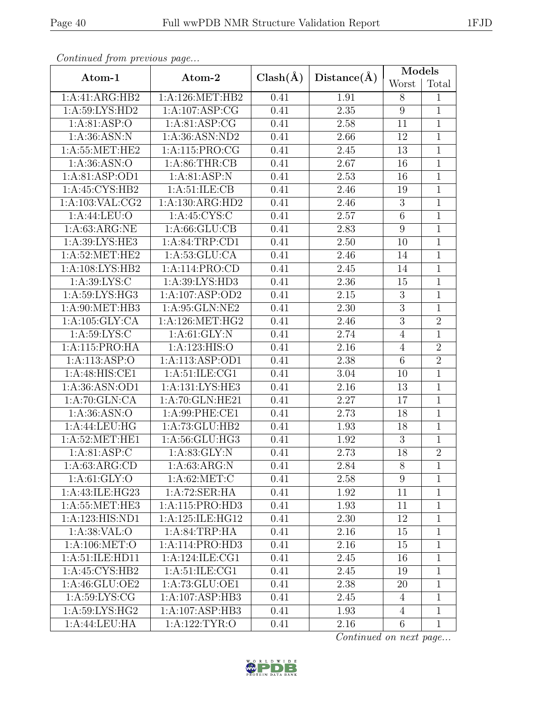| Continueu from pretious page |                            |              |                   | <b>Models</b>   |                |
|------------------------------|----------------------------|--------------|-------------------|-----------------|----------------|
| Atom-1                       | Atom-2                     | $Clash(\AA)$ | Distance(A)       | Worst           | Total          |
| 1:A:41:ARG:HB2               | 1: A:126: MET:HB2          | 0.41         | 1.91              | 8               | 1              |
| 1:A:59:LYS:HD2               | 1: A: 107: ASP: CG         | 0.41         | 2.35              | $9\phantom{.0}$ | 1              |
| 1: A:81: ASP:O               | 1: A:81: ASP:CG            | 0.41         | 2.58              | 11              | $\mathbf{1}$   |
| 1: A:36: ASN: N              | 1:A:36:ASN:ND2             | 0.41         | 2.66              | 12              | $\mathbf{1}$   |
| 1: A:55: MET:HE2             | 1:A:115:PRO:CG             | 0.41         | 2.45              | 13              | $\overline{1}$ |
| 1: A:36: ASN:O               | 1: A:86:THR:CB             | 0.41         | 2.67              | 16              | $\overline{1}$ |
| 1:A:81:ASP:OD1               | 1: A:81: ASP: N            | 0.41         | 2.53              | 16              | $\overline{1}$ |
| 1:A:45:CYS:HB2               | 1: A:51: ILE: CB           | 0.41         | 2.46              | 19              | $\mathbf{1}$   |
| 1: A: 103: VAL: CG2          | 1:A:130:ARG:HD2            | 0.41         | 2.46              | $\overline{3}$  | $\overline{1}$ |
| 1: A:44: LEU:O               | $1: A:45:CYS.\overline{C}$ | 0.41         | 2.57              | $\,6\,$         | $\mathbf{1}$   |
| 1: A:63:ARG:NE               | 1: A:66: GLU:CB            | 0.41         | 2.83              | $\overline{9}$  | $\overline{1}$ |
| 1:A:39:LYS:HE3               | 1:A:84:TRP:CD1             | 0.41         | 2.50              | 10              | $\mathbf{1}$   |
| 1: A:52:MET:HE2              | 1: A:53: GLU:CA            | 0.41         | 2.46              | 14              | $\overline{1}$ |
| 1:A:108:LYS:HB2              | 1:A:114:PRO:CD             | 0.41         | 2.45              | 14              | $\overline{1}$ |
| 1:A:39:LYS:C                 | 1: A:39: LYS: HD3          | 0.41         | $\overline{2}.36$ | 15              | $\overline{1}$ |
| 1:A:59:LYS:HG3               | 1:A:107:ASP:OD2            | 0.41         | 2.15              | $\overline{3}$  | $\overline{1}$ |
| 1: A:90:MET:HB3              | 1:A:95:GLN:NE2             | 0.41         | 2.30              | $\mathfrak{Z}$  | $\mathbf{1}$   |
| 1: A: 105: GLY: CA           | 1:A:126:MET:HG2            | 0.41         | 2.46              | $\overline{3}$  | $\overline{2}$ |
| 1:A:59:LYS:C                 | 1: A:61: GLY:N             | 0.41         | 2.74              | $\overline{4}$  | $\overline{1}$ |
| 1:A:115:PRO:HA               | 1:A:123:HIS:O              | 0.41         | 2.16              | $\overline{4}$  | $\overline{2}$ |
| 1:A:113:ASP:O                | 1:A:113:ASP:OD1            | 0.41         | 2.38              | $\,6$           | $\overline{2}$ |
| 1:A:48:HIS:CE1               | 1: A:51: ILE: CG1          | 0.41         | 3.04              | 10              | $\mathbf{1}$   |
| 1:A:36:ASN:OD1               | 1:A:131:LYS:HE3            | 0.41         | 2.16              | 13              | $\mathbf{1}$   |
| 1:A:70:GLN:CA                | 1:A:70:GLN:HE21            | 0.41         | 2.27              | 17              | $\overline{1}$ |
| 1: A:36: ASN:O               | 1: A:99: PHE:CE1           | 0.41         | 2.73              | 18              | $\overline{1}$ |
| $1:A:44:\overline{LEU:HG}$   | 1:A:73:GLU:HB2             | 0.41         | 1.93              | 18              | $\overline{1}$ |
| 1: A:52: MET:HE1             | 1:A:56:GLU:HG3             | 0.41         | 1.92              | $\mathfrak{Z}$  | $\mathbf 1$    |
| 1: A:81: ASP:C               | 1: A:83: GLY:N             | 0.41         | $\overline{2.73}$ | 18              | $\overline{2}$ |
| 1: A:63: ARG:CD              | 1: A:63: ARG:N             | 0.41         | 2.84              | 8               | 1              |
| 1: A:61: GLY:O               | 1: A:62:MET:C              | 0.41         | 2.58              | 9               | $\mathbf{1}$   |
| 1:A:43:ILE:HG23              | 1:A:72:SER:HA              | 0.41         | 1.92              | 11              | 1              |
| 1: A:55:MET:HE3              | 1: A:115: PRO:HD3          | 0.41         | 1.93              | 11              | $\mathbf{1}$   |
| 1:A:123:HIS:ND1              | 1:A:125:ILE:HG12           | 0.41         | 2.30              | 12              | 1              |
| 1:A:38:VAL:O                 | 1: A:84:TRP:HA             | 0.41         | 2.16              | 15              | $\mathbf{1}$   |
| 1: A:106: MET:O              | 1:A:114:PRO:HD3            | 0.41         | 2.16              | 15              | $\mathbf{1}$   |
| 1:A:51:ILE:HD11              | 1:A:124:ILE:CG1            | 0.41         | 2.45              | 16              | 1              |
| 1:A:45:CYS:HB2               | 1: A:51: ILE: CG1          | 0.41         | 2.45              | 19              | 1              |
| 1:A:46:GLU:OE2               | 1:A:73:GLU:OE1             | 0.41         | 2.38              | 20              | $\mathbf{1}$   |
| 1: A:59: LYS: CG             | 1:A:107:ASP:HB3            | 0.41         | 2.45              | $\overline{4}$  | 1              |
| 1:A:59:LYS:HG2               | 1:A:107:ASP:HB3            | 0.41         | 1.93              | $\overline{4}$  | $\mathbf{1}$   |
| 1:A:44:LEU:HA                | 1:A:122:TYR:O              | 0.41         | 2.16              | $6\,$           | $\mathbf{1}$   |

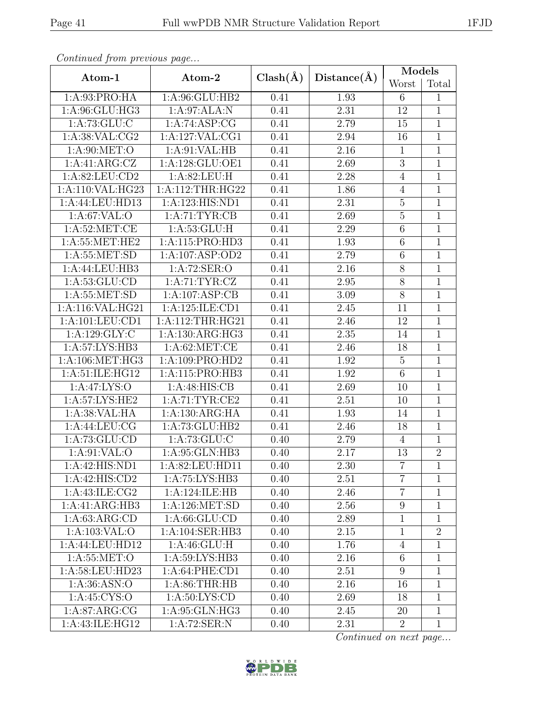| Convenaca from previous page |                                  |              |                   | Models           |                |
|------------------------------|----------------------------------|--------------|-------------------|------------------|----------------|
| Atom-1                       | Atom-2                           | $Clash(\AA)$ | Distance(A)       | Worst            | Total          |
| 1:A:93:PRO:HA                | 1:A:96:GLU:HB2                   | 0.41         | 1.93              | 6                | $\mathbf{1}$   |
| 1:A:96:GLU:HG3               | 1:A:97:ALA:N                     | 0.41         | 2.31              | 12               | $\mathbf{1}$   |
| 1: A: 73: GLU: C             | 1:A:74:ASP:CG                    | 0.41         | 2.79              | 15               | $\mathbf{1}$   |
| 1: A:38: VAL:CG2             | 1:A:127:VAL:CG1                  | 0.41         | 2.94              | 16               | $\overline{1}$ |
| 1: A:90:MET:O                | 1: A:91: VAL: HB                 | 0.41         | 2.16              | $\mathbf{1}$     | $\overline{1}$ |
| 1:A:41:ARG:CZ                | 1:A:128:GLU:OE1                  | 0.41         | 2.69              | $\overline{3}$   | $\mathbf{1}$   |
| 1:A:82:LEU:CD2               | 1: A:82: LEU:H                   | 0.41         | 2.28              | $\overline{4}$   | $\overline{1}$ |
| 1:A:110:VAL:HG23             | 1:A:112:THR:HG22                 | 0.41         | 1.86              | $\overline{4}$   | $\overline{1}$ |
| 1:A:44:LEU:HD13              | 1:A:123:HIS:ND1                  | 0.41         | 2.31              | $\overline{5}$   | $\overline{1}$ |
| 1:A:67:VAL:O                 | 1: A: 71: TYR: CB                | 0.41         | 2.69              | $\bf 5$          | 1              |
| 1: A:52:MET:CE               | 1: A:53: GLU: H                  | 0.41         | 2.29              | $\,6$            | $\overline{1}$ |
| 1: A:55:MET:HE2              | 1:A:115:PRO:HD3                  | 0.41         | 1.93              | $\,6$            | $\overline{1}$ |
| 1: A: 55: MET: SD            | 1:A:107:ASP:OD2                  | 0.41         | 2.79              | $\,6$            | $\overline{1}$ |
| 1:A:44:LEU:HB3               | 1:A:72:SER:O                     | 0.41         | 2.16              | $8\,$            | $\mathbf{1}$   |
| 1: A:53: GLU:CD              | 1:A:71:TYR:CZ                    | 0.41         | 2.95              | $8\,$            | $\mathbf{1}$   |
| 1: A: 55: MET: SD            | 1:A:107:ASP:CB                   | 0.41         | $\overline{3.09}$ | $\overline{8}$   | $\mathbf{1}$   |
| 1:A:116:VAL:HG21             | 1:A:125:ILE:CD1                  | 0.41         | 2.45              | 11               | $\mathbf{1}$   |
| 1: A: 101: LEU: CD1          | 1:A:112:THR:HG21                 | 0.41         | $\overline{2}.46$ | 12               | $\overline{1}$ |
| 1:A:129:GLY:C                | 1:A:130:ARG:HG3                  | 0.41         | 2.35              | 14               | 1              |
| 1:A:57:LYS:HB3               | 1: A:62:MET:CE                   | 0.41         | 2.46              | 18               | $\mathbf{1}$   |
| 1: A:106:MET:HG3             | 1:A:109:PRO:HD2                  | 0.41         | 1.92              | $5\,$            | $\mathbf{1}$   |
| 1:A:51:ILE:HG12              | 1:A:115:PRO:HB3                  | 0.41         | 1.92              | $\,6$            | $\overline{1}$ |
| 1: A:47: LYS:O               | 1:A:48:HIS:CB                    | 0.41         | 2.69              | 10               | $\overline{1}$ |
| 1:A:57:LYS:HE2               | 1:A:71:TYR:CE2                   | 0.41         | 2.51              | 10               | $\overline{1}$ |
| 1:A:38:VAL:HA                | 1:A:130:ARG:HA                   | 0.41         | 1.93              | 14               | $\mathbf{1}$   |
| 1:A:44:LEU:CG                | 1:A:73:GLU:HB2                   | 0.41         | 2.46              | 18               | $\overline{1}$ |
| 1: A:73: GLU:CD              | 1:A:73:GLU:C                     | 0.40         | 2.79              | $\overline{4}$   | $\mathbf{1}$   |
| 1: A:91: VAL:O               | 1: A:95: GLN:HB3                 | 0.40         | $\overline{2.17}$ | $\overline{13}$  | $\overline{2}$ |
| 1:A:42:HIS:ND1               | 1:A:82:LEU:HD11                  | 0.40         | 2.30              | $\overline{7}$   | 1              |
| 1:A:42:HIS:CD2               | 1:A:75:LYS:HB3                   | 0.40         | 2.51              | $\overline{7}$   | 1              |
| 1: A: 43: ILE: CG2           | 1:A:124:ILE:HB                   | 0.40         | 2.46              | $\overline{7}$   | $\mathbf{1}$   |
| 1:A:41:ARG:HB3               | 1:A:126:MET:SD                   | 0.40         | 2.56              | $9\phantom{.0}$  | $\mathbf{1}$   |
| 1: A:63: ARG:CD              | 1: A:66: GLU:CD                  | 0.40         | 2.89              | $\mathbf 1$      | 1              |
| 1:A:103:VAL:O                | 1:A:104:SER:HB3                  | 0.40         | 2.15              | $\mathbf{1}$     | $\overline{2}$ |
| 1:A:44:LEU:HD12              | 1: A:46: GLU: H                  | 0.40         | 1.76              | $\overline{4}$   | 1              |
| 1: A: 55: MET:O              | 1:A:59:LYS:HB3                   | 0.40         | 2.16              | 6                | 1              |
| 1: A:58:LEU:HD23             | 1:A:64:PHE:CD1                   | 0.40         | 2.51              | $\boldsymbol{9}$ | 1              |
| 1: A:36: ASN:O               | 1: A:86:THR:HB                   | 0.40         | 2.16              | 16               | 1              |
| 1: A:45: CYS:O               | 1: A:50: LYS:CD                  | 0.40         | 2.69              | 18               | $\mathbf{1}$   |
| 1:A:87:ARG:CG                | 1:A:95:GLN:HG3                   | 0.40         | 2.45              | 20               | $\mathbf{1}$   |
| 1:A:43:ILE:HG12              | $1:A:72:\overline{\text{SER}:N}$ | 0.40         | 2.31              | $\overline{2}$   | $\mathbf{1}$   |

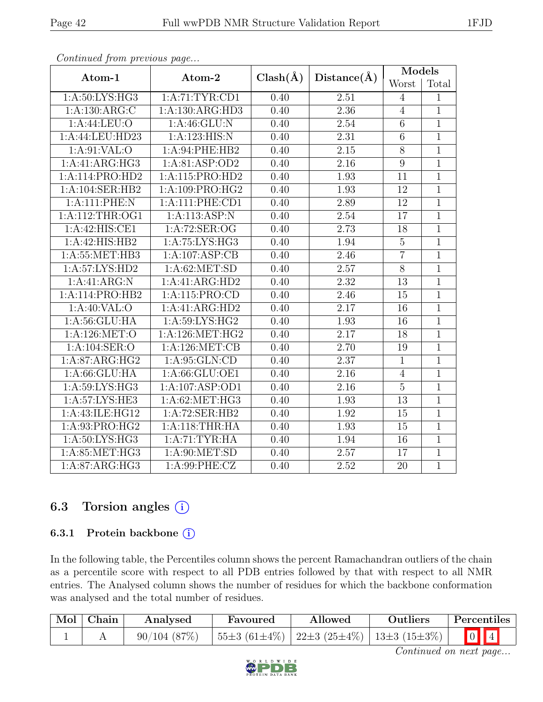| Atom-1            | Atom-2                     | $Clash(\AA)$ |             | <b>Models</b><br>Worst |                |
|-------------------|----------------------------|--------------|-------------|------------------------|----------------|
|                   |                            |              | Distance(A) |                        | Total          |
| 1:A:50:LYS:HG3    | 1: A:71: TYR: CD1          | 0.40         | 2.51        | $\overline{4}$         | 1              |
| 1:A:130:ARG:C     | 1:A:130:ARG:HD3            | 0.40         | 2.36        | $\overline{4}$         | $\mathbf{1}$   |
| 1:A:44:LEU:O      | 1: A:46: GLU: N            | 0.40         | 2.54        | $\overline{6}$         | $\overline{1}$ |
| 1:A:44:LEU:HD23   | $1:A:\overline{123:HIS:N}$ | 0.40         | 2.31        | $\,6$                  | $\mathbf{1}$   |
| 1: A:91: VAL:O    | 1:A:94:PHE:HB2             | 0.40         | 2.15        | $8\,$                  | $\mathbf{1}$   |
| 1:A:41:ARG:HG3    | 1:A:81:ASP:OD2             | 0.40         | 2.16        | $\boldsymbol{9}$       | $\overline{1}$ |
| 1:A:114:PRO:HD2   | 1:A:115:PRO:HD2            | 0.40         | 1.93        | 11                     | $\mathbf{1}$   |
| 1:A:104:SER:HB2   | 1:A:109:PRO:HG2            | 0.40         | 1.93        | 12                     | $\overline{1}$ |
| 1:A:111:PHE:N     | 1: A:111: PHE:CD1          | 0.40         | 2.89        | 12                     | $\overline{1}$ |
| 1:A:112:THR:OG1   | 1:A:113:ASP:N              | 0.40         | 2.54        | 17                     | $\mathbf{1}$   |
| 1:A:42:HIS:CE1    | 1:A:72:SER:OG              | 0.40         | 2.73        | 18                     | $\overline{1}$ |
| 1:A:42:HIS:HB2    | 1:A:75:LYS:HG3             | 0.40         | 1.94        | $\bf 5$                | $\overline{1}$ |
| 1: A:55: MET:HB3  | 1:A:107:ASP:CB             | 0.40         | 2.46        | $\overline{7}$         | $\overline{1}$ |
| 1:A:57:LYS:HD2    | 1: A:62: MET:SD            | 0.40         | 2.57        | $\overline{8}$         | $\overline{1}$ |
| 1:A:41:ARG:N      | 1:A:41:ARG:HD2             | 0.40         | 2.32        | 13                     | $\mathbf{1}$   |
| 1:A:114:PRO:HB2   | 1:A:115:PRO:CD             | 0.40         | 2.46        | 15                     | $\overline{1}$ |
| 1:A:40:VAL:O      | 1:A:41:ARG:HD2             | 0.40         | 2.17        | 16                     | $\mathbf{1}$   |
| 1: A:56: GLU: HA  | 1: A:59: LYS: HG2          | 0.40         | 1.93        | 16                     | $\overline{1}$ |
| 1:A:126:MET:O     | 1: A:126:MET:HG2           | 0.40         | 2.17        | 18                     | $\mathbf{1}$   |
| 1:A:104:SER:O     | 1:A:126:MET:CB             | 0.40         | 2.70        | 19                     | $\mathbf{1}$   |
| 1:A:87:ARG:HG2    | 1: A:95: GLN:CD            | 0.40         | 2.37        | $\overline{1}$         | $\overline{1}$ |
| 1:A:66:GLU:HA     | 1:A:66:GLU:OE1             | 0.40         | 2.16        | $\overline{4}$         | $\overline{1}$ |
| 1: A:59: LYS: HG3 | 1:A:107:ASP:OD1            | 0.40         | 2.16        | $\overline{5}$         | $\overline{1}$ |
| 1: A:57: LYS: HE3 | 1:A:62:MET:HG3             | 0.40         | 1.93        | 13                     | $\overline{1}$ |
| 1:A:43:ILE:HG12   | 1:A:72:SER:HB2             | 0.40         | 1.92        | 15                     | $\mathbf{1}$   |
| 1:A:93:PRO:HG2    | 1:A:118:THR:HA             | 0.40         | 1.93        | 15                     | $\overline{1}$ |
| 1:A:50:LYS:HG3    | 1:A:71:TYR:HA              | 0.40         | 1.94        | 16                     | $\mathbf{1}$   |
| 1: A:85: MET:HG3  | 1: A:90: MET:SD            | 0.40         | 2.57        | 17                     | $\mathbf 1$    |
| 1:A:87:ARG:HG3    | 1:A:99:PHE:CZ              | 0.40         | 2.52        | 20                     | $\mathbf{1}$   |

### 6.3 Torsion angles  $(i)$

#### 6.3.1 Protein backbone  $(i)$

In the following table, the Percentiles column shows the percent Ramachandran outliers of the chain as a percentile score with respect to all PDB entries followed by that with respect to all NMR entries. The Analysed column shows the number of residues for which the backbone conformation was analysed and the total number of residues.

| Mol   Chain | Analysed    | Favoured | Allowed                                                    | Outliers | Percentiles |
|-------------|-------------|----------|------------------------------------------------------------|----------|-------------|
|             | 90/104(87%) |          | $ 55\pm3(61\pm4\%) 22\pm3(25\pm4\%) 13\pm3(15\pm3\%) 0 4 $ |          |             |

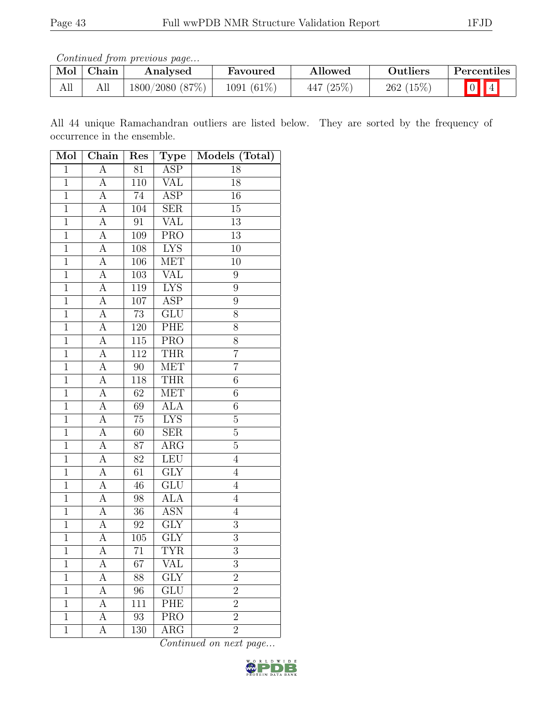Continued from previous page...

|     | Mol   Chain | Analysed       | Favoured     | Allowed   | Outliers | Percentiles |
|-----|-------------|----------------|--------------|-----------|----------|-------------|
| All |             | 1800/2080(87%) | $1091(61\%)$ | 447 (25%) | 262(15%) |             |

All 44 unique Ramachandran outliers are listed below. They are sorted by the frequency of occurrence in the ensemble.

| Mol            | Chain              | Res              | Type                    | Models (Total)   |
|----------------|--------------------|------------------|-------------------------|------------------|
| $\mathbf 1$    | А                  | 81               | $\overline{\text{ASP}}$ | 18               |
| $\mathbf{1}$   | А                  | 110              | VAL                     | 18               |
| $\overline{1}$ | $\overline{A}$     | 74               | <b>ASP</b>              | $16\,$           |
| $\mathbf{1}$   | $\overline{A}$     | 104              | <b>SER</b>              | $15\,$           |
| $\overline{1}$ | $\boldsymbol{A}$   | $\rm 91$         | <b>VAL</b>              | $\overline{13}$  |
| $\overline{1}$ | $\overline{A}$     | 109              | $\overline{\text{PRO}}$ | $\overline{13}$  |
| $\mathbf{1}$   | A                  | 108              | <b>LYS</b>              | $10\,$           |
| $\mathbf{1}$   | $\overline{A}$     | 106              | <b>MET</b>              | 10               |
| $\mathbf{1}$   | A                  | 103              | <b>VAL</b>              | 9                |
| $\overline{1}$ | $\overline{A}$     | 119              | <b>LYS</b>              | $\boldsymbol{9}$ |
| $\overline{1}$ | $\overline{A}$     | 107              | <b>ASP</b>              | $\overline{9}$   |
| $\mathbf{1}$   | A                  | 73               | GLU                     | $8\,$            |
| $\overline{1}$ | $\overline{A}$     | 120              | PHE                     | $\overline{8}$   |
| $\mathbf{1}$   | $\boldsymbol{A}$   | 115              | <b>PRO</b>              | 8                |
| $\overline{1}$ | $\overline{\rm A}$ | $\overline{112}$ | <b>THR</b>              | $\overline{7}$   |
| $\overline{1}$ | А                  | 90               | <b>MET</b>              | $\overline{7}$   |
| $\overline{1}$ | A                  | 118              | <b>THR</b>              | $\overline{6}$   |
| $\overline{1}$ | $\boldsymbol{A}$   | 62               | <b>MET</b>              | $\sqrt{6}$       |
| $\overline{1}$ | $\boldsymbol{A}$   | 69               | <b>ALA</b>              | $\sqrt{6}$       |
| $\overline{1}$ | А                  | $75\,$           | <b>LYS</b>              | $\overline{5}$   |
| $\mathbf{1}$   | А                  | 60               | <b>SER</b>              | $\overline{5}$   |
| $\mathbf{1}$   | $\boldsymbol{A}$   | 87               | $\rm{ARG}$              | $\overline{5}$   |
| $\overline{1}$ | $\overline{A}$     | 82               | LEU                     | $\overline{4}$   |
| $\overline{1}$ | $\boldsymbol{A}$   | 61               | GLY                     | $\overline{4}$   |
| $\overline{1}$ | $\overline{A}$     | 46               | $\overline{\text{GLU}}$ | $\overline{4}$   |
| $\mathbf{1}$   | $\boldsymbol{A}$   | 98               | <b>ALA</b>              | $\,4\,$          |
| $\mathbf{1}$   | $\overline{A}$     | 36               | <b>ASN</b>              | $\overline{4}$   |
| $\overline{1}$ | $\overline{A}$     | 92               | $\overline{GLY}$        | $\overline{3}$   |
| $\overline{1}$ | $\overline{\rm A}$ | 105              | $\overline{\text{GLY}}$ | $\overline{3}$   |
| $\mathbf 1$    | А                  | 71               | <b>TYR</b>              | 3                |
| 1              | А                  | 67               | VAL                     | 3                |
| $\mathbf{1}$   | А                  | 88               | $\overline{\text{GLY}}$ | $\overline{2}$   |
| $\mathbf{1}$   | А                  | 96               | GLU                     | $\overline{2}$   |
| $\overline{1}$ | А                  | 111              | PHE                     | $\overline{2}$   |
| $\mathbf{1}$   | А                  | 93               | <b>PRO</b>              | $\overline{2}$   |
| $\mathbf{1}$   | А                  | 130              | ĀRG                     | $\overline{2}$   |

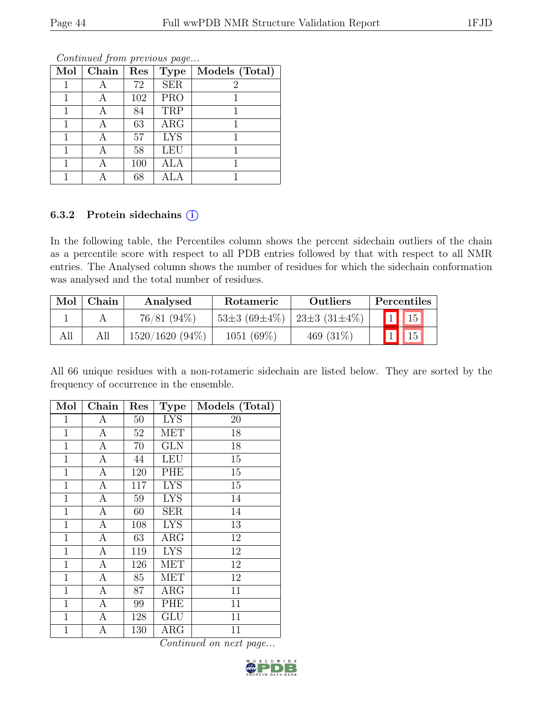| Mol | Chain | Res | <b>Type</b> | Models (Total) |
|-----|-------|-----|-------------|----------------|
|     |       | 72  | <b>SER</b>  | 2              |
|     |       | 102 | <b>PRO</b>  |                |
|     |       | 84  | TRP         |                |
|     |       | 63  | ARG         |                |
|     |       | 57  | <b>LYS</b>  |                |
|     |       | 58  | LEU         |                |
|     |       | 100 | ALA         |                |
|     |       | 68  |             |                |

#### 6.3.2 Protein sidechains  $(i)$

In the following table, the Percentiles column shows the percent sidechain outliers of the chain as a percentile score with respect to all PDB entries followed by that with respect to all NMR entries. The Analysed column shows the number of residues for which the sidechain conformation was analysed and the total number of residues.

| Mol | Chain | Analysed          | <b>Rotameric</b>   | <b>Outliers</b>         |                 | <b>Percentiles</b> |
|-----|-------|-------------------|--------------------|-------------------------|-----------------|--------------------|
|     |       | 76/81 (94%)       | $53\pm3(69\pm4\%)$ | $123 \pm 3(31 \pm 4\%)$ | $\vert 1 \vert$ | $\vert$ 15         |
| All |       | $1520/1620(94\%)$ | $1051(69\%)$       | 469 $(31\%)$            | $1\vert$        | $\sqrt{15}$        |

All 66 unique residues with a non-rotameric sidechain are listed below. They are sorted by the frequency of occurrence in the ensemble.

| Mol            | Chain            | Res | <b>Type</b> | Models (Total) |
|----------------|------------------|-----|-------------|----------------|
| 1              | А                | 50  | <b>LYS</b>  | 20             |
| 1              | А                | 52  | MET         | 18             |
| $\mathbf{1}$   | A                | 70  | <b>GLN</b>  | 18             |
| $\mathbf{1}$   | A                | 44  | LEU         | 15             |
| $\mathbf{1}$   | A                | 120 | PHE         | 15             |
| $\mathbf 1$    | $\overline{A}$   | 117 | <b>LYS</b>  | 15             |
| $\mathbf 1$    | $\boldsymbol{A}$ | 59  | <b>LYS</b>  | 14             |
| 1              | А                | 60  | <b>SER</b>  | 14             |
| $\mathbf 1$    | А                | 108 | <b>LYS</b>  | 13             |
| $\mathbf{1}$   | А                | 63  | $\rm{ARG}$  | 12             |
| $\mathbf{1}$   | A                | 119 | <b>LYS</b>  | 12             |
| $\mathbf 1$    | A                | 126 | MET         | 12             |
| $\mathbf{1}$   | $\mathbf{A}$     | 85  | <b>MET</b>  | 12             |
| $\mathbf 1$    | $\overline{A}$   | 87  | <b>ARG</b>  | 11             |
| $\mathbf{1}$   | $\boldsymbol{A}$ | 99  | PHE         | 11             |
| $\mathbf{1}$   | А                | 128 | GLU         | 11             |
| $\overline{1}$ | Α                | 130 | $\rm{ARG}$  | 11             |

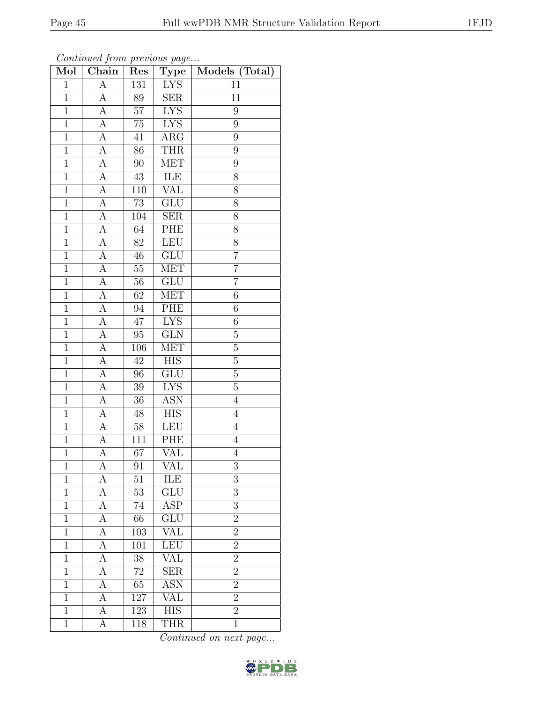| Mol            | Chain            | Res             | <b>Type</b>             | Models (Total)   |
|----------------|------------------|-----------------|-------------------------|------------------|
| $\mathbf{1}$   | $\overline{A}$   | 131             | <b>LYS</b>              | 11               |
| $\mathbf{1}$   | А                | 89              | <b>SER</b>              | 11               |
| $\overline{1}$ | $\overline{A}$   | $\overline{57}$ | <b>LYS</b>              | 9                |
| $\mathbf{1}$   | A                | $75\,$          | <b>LYS</b>              | $\boldsymbol{9}$ |
| $\overline{1}$ | $\overline{A}$   | $\overline{41}$ | $\overline{\rm{ARG}}$   | $\overline{9}$   |
| $\mathbf 1$    | А                | 86              | <b>THR</b>              | 9                |
| $\mathbf{1}$   | A                | 90              | <b>MET</b>              | 9                |
| $\mathbf{1}$   | А                | $43\,$          | ILE                     | 8                |
| $\mathbf{1}$   | А                | 110             | VAL                     | 8                |
| $\overline{1}$ | А                | $\overline{73}$ | $\overline{\text{GLU}}$ | 8                |
| $\mathbf{1}$   | А                | 104             | <b>SER</b>              | 8                |
| $\mathbf{1}$   | А                | 64              | <b>PHE</b>              | 8                |
| $\mathbf{1}$   | А                | 82              | <b>LEU</b>              | 8                |
| $\mathbf{1}$   | А                | 46              | $\overline{\text{GLU}}$ | $\overline{7}$   |
| $\overline{1}$ | А                | $\overline{55}$ | <b>MET</b>              | $\overline{7}$   |
| $\mathbf{1}$   | А                | $56\,$          | GLU                     | $\overline{7}$   |
| $\mathbf 1$    | А                | 62              | <b>MET</b>              | 6                |
| $1\,$          | $\boldsymbol{A}$ | $94\,$          | ${\rm PHE}$             | $\,6$            |
| $\mathbf{1}$   | А                | 47              | <b>LYS</b>              | $6\phantom{.}6$  |
| $\overline{1}$ | $\overline{A}$   | $95\,$          | GLN                     | $\overline{5}$   |
| $\mathbf 1$    | A                | 106             | <b>MET</b>              | 5                |
| $\mathbf{1}$   | $\overline{A}$   | $\overline{42}$ | $\overline{HIS}$        | $\overline{5}$   |
| $\mathbf{1}$   | A                | 96              | GLU                     | $\overline{5}$   |
| $\overline{1}$ | А                | $\overline{39}$ | $\overline{\text{LYS}}$ | $\overline{5}$   |
| $\mathbf{1}$   | А                | 36              | <b>ASN</b>              | $\overline{4}$   |
| $\mathbf{1}$   | А                | $48\,$          | HIS                     | $\overline{4}$   |
| $\mathbf{1}$   | А                | $58\,$          | LEU                     | $\overline{4}$   |
| $\mathbf{1}$   | А                | 111             | PHE                     | $\overline{4}$   |
| $\overline{1}$ | $\overline{A}$   | $\overline{67}$ | VAL                     | $\overline{4}$   |
| 1              | А                | 91              | VAL                     | 3                |
| $\overline{1}$ | А                | 51              | ILE                     | 3                |
| $\mathbf 1$    | А                | $53\,$          | $\overline{\text{GLU}}$ | 3                |
| $\mathbf{1}$   | А                | 74              | ASP                     | 3                |
| $\mathbf{1}$   | А                | 66              | GLU                     | $\overline{2}$   |
| $\mathbf{1}$   | А                | 103             | <b>VAL</b>              | $\overline{2}$   |
| $\mathbf{1}$   | А                | 101             | <b>LEU</b>              | $\overline{2}$   |
| $\mathbf{1}$   | А                | 38              | <b>VAL</b>              | $\overline{2}$   |
| $\mathbf{1}$   | А                | $72\,$          | <b>SER</b>              | $\overline{2}$   |
| $\overline{1}$ | А                | 65              | $\overline{\text{ASN}}$ | $\overline{2}$   |
| $\mathbf{1}$   | А                | 127             | VAL                     | $\overline{2}$   |
| $\mathbf{1}$   | А                | 123             | <b>HIS</b>              | $\overline{2}$   |
| $\mathbf{1}$   | А                | 118             | <b>THR</b>              | $\mathbf{1}$     |

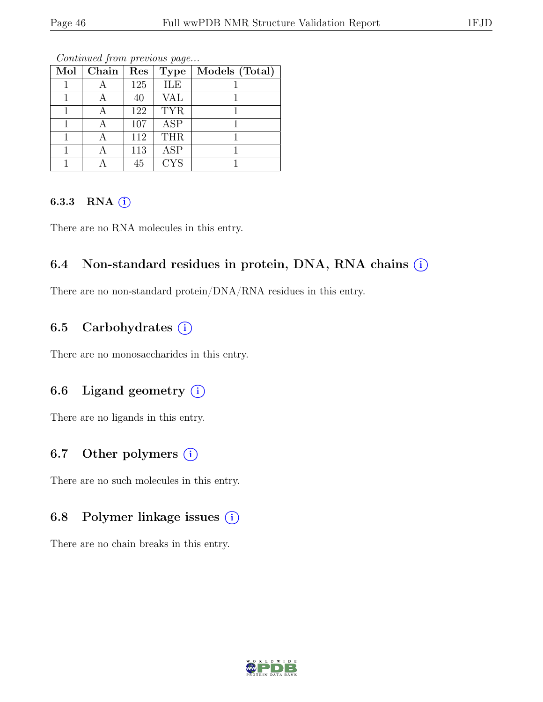| Mol | Chain | Res | <b>Type</b> | Models (Total) |
|-----|-------|-----|-------------|----------------|
|     |       | 125 | ILE         |                |
|     |       | 40  | VAL         |                |
|     |       | 122 | <b>TYR</b>  |                |
|     |       | 107 | <b>ASP</b>  |                |
|     |       | 112 | <b>THR</b>  |                |
|     |       | 113 | <b>ASP</b>  |                |
|     |       | 45  | <b>CYS</b>  |                |

Continued from previous page...

#### 6.3.3 RNA  $(i)$

There are no RNA molecules in this entry.

#### 6.4 Non-standard residues in protein, DNA, RNA chains  $(i)$

There are no non-standard protein/DNA/RNA residues in this entry.

#### 6.5 Carbohydrates  $(i)$

There are no monosaccharides in this entry.

#### 6.6 Ligand geometry  $(i)$

There are no ligands in this entry.

#### 6.7 Other polymers  $(i)$

There are no such molecules in this entry.

#### 6.8 Polymer linkage issues  $(i)$

There are no chain breaks in this entry.